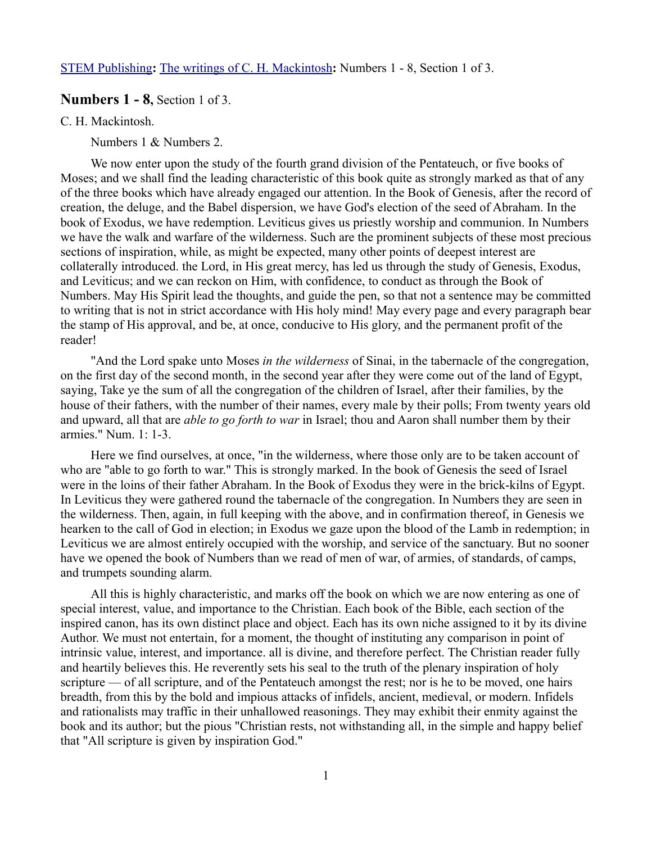[STEM Publishing](http://www.stempublishing.com/)**:** [The writings of C. H. Mackintosh](http://www.stempublishing.com/authors/mackintosh/index.html)**:** Numbers 1 - 8, Section 1 of 3.

# **Numbers 1 - 8,** Section 1 of 3.

C. H. Mackintosh.

Numbers 1 & Numbers 2.

We now enter upon the study of the fourth grand division of the Pentateuch, or five books of Moses; and we shall find the leading characteristic of this book quite as strongly marked as that of any of the three books which have already engaged our attention. In the Book of Genesis, after the record of creation, the deluge, and the Babel dispersion, we have God's election of the seed of Abraham. In the book of Exodus, we have redemption. Leviticus gives us priestly worship and communion. In Numbers we have the walk and warfare of the wilderness. Such are the prominent subjects of these most precious sections of inspiration, while, as might be expected, many other points of deepest interest are collaterally introduced. the Lord, in His great mercy, has led us through the study of Genesis, Exodus, and Leviticus; and we can reckon on Him, with confidence, to conduct as through the Book of Numbers. May His Spirit lead the thoughts, and guide the pen, so that not a sentence may be committed to writing that is not in strict accordance with His holy mind! May every page and every paragraph bear the stamp of His approval, and be, at once, conducive to His glory, and the permanent profit of the reader!

"And the Lord spake unto Moses *in the wilderness* of Sinai, in the tabernacle of the congregation, on the first day of the second month, in the second year after they were come out of the land of Egypt, saying, Take ye the sum of all the congregation of the children of Israel, after their families, by the house of their fathers, with the number of their names, every male by their polls; From twenty years old and upward, all that are *able to go forth to war* in Israel; thou and Aaron shall number them by their armies." Num. 1: 1-3.

Here we find ourselves, at once, "in the wilderness, where those only are to be taken account of who are "able to go forth to war." This is strongly marked. In the book of Genesis the seed of Israel were in the loins of their father Abraham. In the Book of Exodus they were in the brick-kilns of Egypt. In Leviticus they were gathered round the tabernacle of the congregation. In Numbers they are seen in the wilderness. Then, again, in full keeping with the above, and in confirmation thereof, in Genesis we hearken to the call of God in election; in Exodus we gaze upon the blood of the Lamb in redemption; in Leviticus we are almost entirely occupied with the worship, and service of the sanctuary. But no sooner have we opened the book of Numbers than we read of men of war, of armies, of standards, of camps, and trumpets sounding alarm.

All this is highly characteristic, and marks off the book on which we are now entering as one of special interest, value, and importance to the Christian. Each book of the Bible, each section of the inspired canon, has its own distinct place and object. Each has its own niche assigned to it by its divine Author. We must not entertain, for a moment, the thought of instituting any comparison in point of intrinsic value, interest, and importance. all is divine, and therefore perfect. The Christian reader fully and heartily believes this. He reverently sets his seal to the truth of the plenary inspiration of holy scripture — of all scripture, and of the Pentateuch amongst the rest; nor is he to be moved, one hairs breadth, from this by the bold and impious attacks of infidels, ancient, medieval, or modern. Infidels and rationalists may traffic in their unhallowed reasonings. They may exhibit their enmity against the book and its author; but the pious "Christian rests, not withstanding all, in the simple and happy belief that "All scripture is given by inspiration God."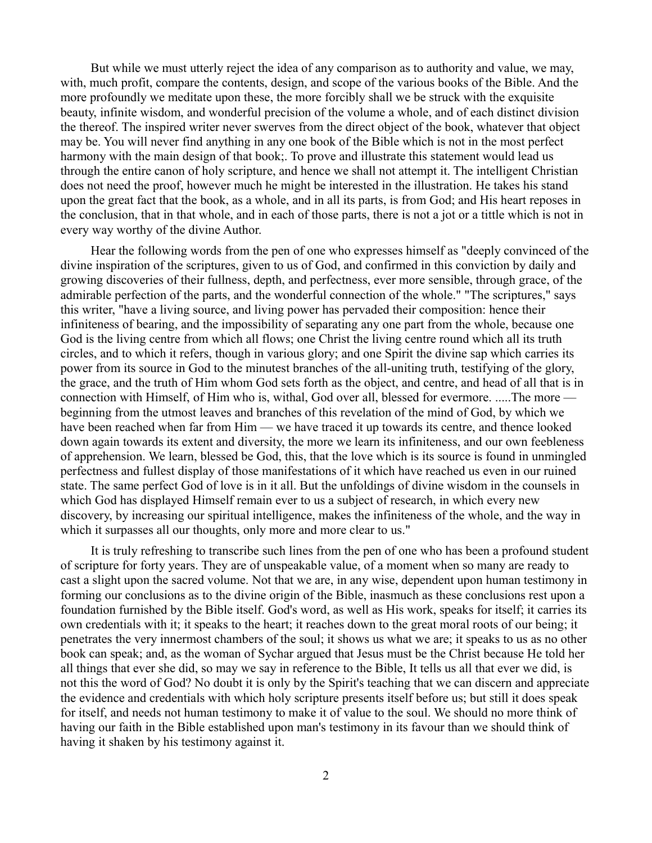But while we must utterly reject the idea of any comparison as to authority and value, we may, with, much profit, compare the contents, design, and scope of the various books of the Bible. And the more profoundly we meditate upon these, the more forcibly shall we be struck with the exquisite beauty, infinite wisdom, and wonderful precision of the volume a whole, and of each distinct division the thereof. The inspired writer never swerves from the direct object of the book, whatever that object may be. You will never find anything in any one book of the Bible which is not in the most perfect harmony with the main design of that book;. To prove and illustrate this statement would lead us through the entire canon of holy scripture, and hence we shall not attempt it. The intelligent Christian does not need the proof, however much he might be interested in the illustration. He takes his stand upon the great fact that the book, as a whole, and in all its parts, is from God; and His heart reposes in the conclusion, that in that whole, and in each of those parts, there is not a jot or a tittle which is not in every way worthy of the divine Author.

Hear the following words from the pen of one who expresses himself as "deeply convinced of the divine inspiration of the scriptures, given to us of God, and confirmed in this conviction by daily and growing discoveries of their fullness, depth, and perfectness, ever more sensible, through grace, of the admirable perfection of the parts, and the wonderful connection of the whole." "The scriptures," says this writer, "have a living source, and living power has pervaded their composition: hence their infiniteness of bearing, and the impossibility of separating any one part from the whole, because one God is the living centre from which all flows; one Christ the living centre round which all its truth circles, and to which it refers, though in various glory; and one Spirit the divine sap which carries its power from its source in God to the minutest branches of the all-uniting truth, testifying of the glory, the grace, and the truth of Him whom God sets forth as the object, and centre, and head of all that is in connection with Himself, of Him who is, withal, God over all, blessed for evermore. .....The more beginning from the utmost leaves and branches of this revelation of the mind of God, by which we have been reached when far from Him — we have traced it up towards its centre, and thence looked down again towards its extent and diversity, the more we learn its infiniteness, and our own feebleness of apprehension. We learn, blessed be God, this, that the love which is its source is found in unmingled perfectness and fullest display of those manifestations of it which have reached us even in our ruined state. The same perfect God of love is in it all. But the unfoldings of divine wisdom in the counsels in which God has displayed Himself remain ever to us a subject of research, in which every new discovery, by increasing our spiritual intelligence, makes the infiniteness of the whole, and the way in which it surpasses all our thoughts, only more and more clear to us."

It is truly refreshing to transcribe such lines from the pen of one who has been a profound student of scripture for forty years. They are of unspeakable value, of a moment when so many are ready to cast a slight upon the sacred volume. Not that we are, in any wise, dependent upon human testimony in forming our conclusions as to the divine origin of the Bible, inasmuch as these conclusions rest upon a foundation furnished by the Bible itself. God's word, as well as His work, speaks for itself; it carries its own credentials with it; it speaks to the heart; it reaches down to the great moral roots of our being; it penetrates the very innermost chambers of the soul; it shows us what we are; it speaks to us as no other book can speak; and, as the woman of Sychar argued that Jesus must be the Christ because He told her all things that ever she did, so may we say in reference to the Bible, It tells us all that ever we did, is not this the word of God? No doubt it is only by the Spirit's teaching that we can discern and appreciate the evidence and credentials with which holy scripture presents itself before us; but still it does speak for itself, and needs not human testimony to make it of value to the soul. We should no more think of having our faith in the Bible established upon man's testimony in its favour than we should think of having it shaken by his testimony against it.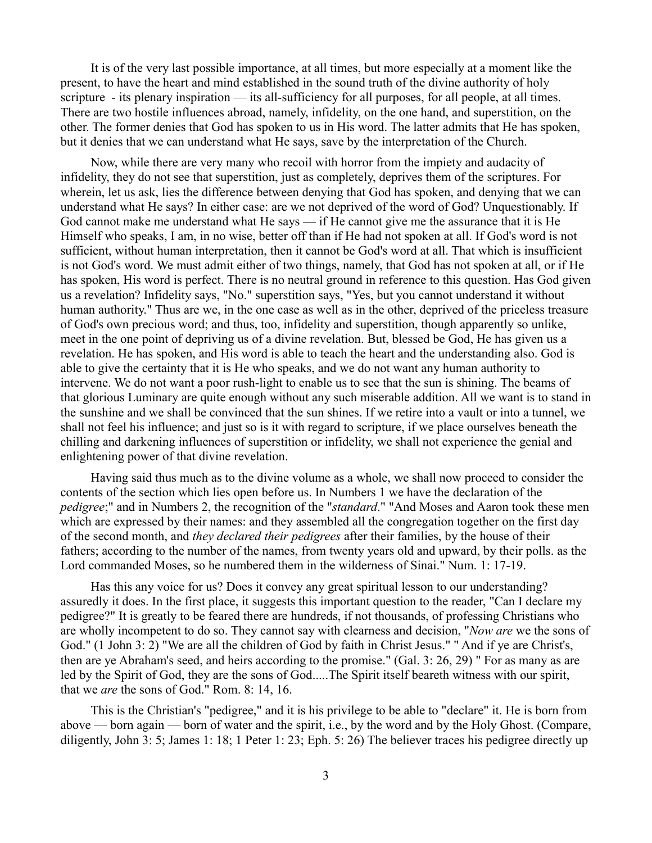It is of the very last possible importance, at all times, but more especially at a moment like the present, to have the heart and mind established in the sound truth of the divine authority of holy scripture - its plenary inspiration — its all-sufficiency for all purposes, for all people, at all times. There are two hostile influences abroad, namely, infidelity, on the one hand, and superstition, on the other. The former denies that God has spoken to us in His word. The latter admits that He has spoken, but it denies that we can understand what He says, save by the interpretation of the Church.

Now, while there are very many who recoil with horror from the impiety and audacity of infidelity, they do not see that superstition, just as completely, deprives them of the scriptures. For wherein, let us ask, lies the difference between denying that God has spoken, and denying that we can understand what He says? In either case: are we not deprived of the word of God? Unquestionably. If God cannot make me understand what He says — if He cannot give me the assurance that it is He Himself who speaks, I am, in no wise, better off than if He had not spoken at all. If God's word is not sufficient, without human interpretation, then it cannot be God's word at all. That which is insufficient is not God's word. We must admit either of two things, namely, that God has not spoken at all, or if He has spoken, His word is perfect. There is no neutral ground in reference to this question. Has God given us a revelation? Infidelity says, "No." superstition says, "Yes, but you cannot understand it without human authority." Thus are we, in the one case as well as in the other, deprived of the priceless treasure of God's own precious word; and thus, too, infidelity and superstition, though apparently so unlike, meet in the one point of depriving us of a divine revelation. But, blessed be God, He has given us a revelation. He has spoken, and His word is able to teach the heart and the understanding also. God is able to give the certainty that it is He who speaks, and we do not want any human authority to intervene. We do not want a poor rush-light to enable us to see that the sun is shining. The beams of that glorious Luminary are quite enough without any such miserable addition. All we want is to stand in the sunshine and we shall be convinced that the sun shines. If we retire into a vault or into a tunnel, we shall not feel his influence; and just so is it with regard to scripture, if we place ourselves beneath the chilling and darkening influences of superstition or infidelity, we shall not experience the genial and enlightening power of that divine revelation.

Having said thus much as to the divine volume as a whole, we shall now proceed to consider the contents of the section which lies open before us. In Numbers 1 we have the declaration of the *pedigree*;" and in Numbers 2, the recognition of the "*standard*." "And Moses and Aaron took these men which are expressed by their names: and they assembled all the congregation together on the first day of the second month, and *they declared their pedigrees* after their families, by the house of their fathers; according to the number of the names, from twenty years old and upward, by their polls. as the Lord commanded Moses, so he numbered them in the wilderness of Sinai." Num. 1: 17-19.

Has this any voice for us? Does it convey any great spiritual lesson to our understanding? assuredly it does. In the first place, it suggests this important question to the reader, "Can I declare my pedigree?" It is greatly to be feared there are hundreds, if not thousands, of professing Christians who are wholly incompetent to do so. They cannot say with clearness and decision, "*Now are* we the sons of God." (1 John 3: 2) "We are all the children of God by faith in Christ Jesus." " And if ye are Christ's, then are ye Abraham's seed, and heirs according to the promise." (Gal. 3: 26, 29) " For as many as are led by the Spirit of God, they are the sons of God.....The Spirit itself beareth witness with our spirit, that we *are* the sons of God." Rom. 8: 14, 16.

This is the Christian's "pedigree," and it is his privilege to be able to "declare" it. He is born from above — born again — born of water and the spirit, i.e., by the word and by the Holy Ghost. (Compare, diligently, John 3: 5; James 1: 18; 1 Peter 1: 23; Eph. 5: 26) The believer traces his pedigree directly up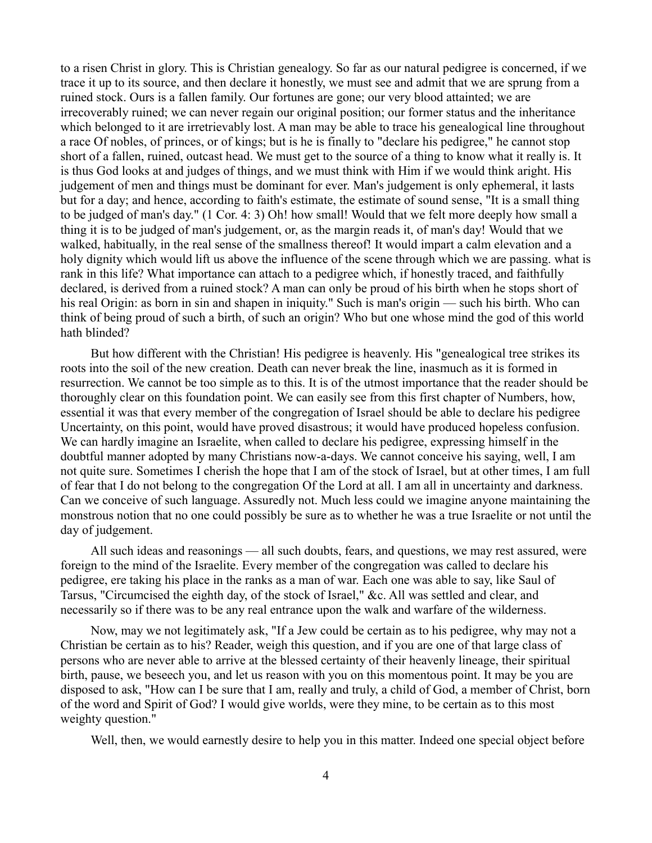to a risen Christ in glory. This is Christian genealogy. So far as our natural pedigree is concerned, if we trace it up to its source, and then declare it honestly, we must see and admit that we are sprung from a ruined stock. Ours is a fallen family. Our fortunes are gone; our very blood attainted; we are irrecoverably ruined; we can never regain our original position; our former status and the inheritance which belonged to it are irretrievably lost. A man may be able to trace his genealogical line throughout a race Of nobles, of princes, or of kings; but is he is finally to "declare his pedigree," he cannot stop short of a fallen, ruined, outcast head. We must get to the source of a thing to know what it really is. It is thus God looks at and judges of things, and we must think with Him if we would think aright. His judgement of men and things must be dominant for ever. Man's judgement is only ephemeral, it lasts but for a day; and hence, according to faith's estimate, the estimate of sound sense, "It is a small thing to be judged of man's day." (1 Cor. 4: 3) Oh! how small! Would that we felt more deeply how small a thing it is to be judged of man's judgement, or, as the margin reads it, of man's day! Would that we walked, habitually, in the real sense of the smallness thereof! It would impart a calm elevation and a holy dignity which would lift us above the influence of the scene through which we are passing. what is rank in this life? What importance can attach to a pedigree which, if honestly traced, and faithfully declared, is derived from a ruined stock? A man can only be proud of his birth when he stops short of his real Origin: as born in sin and shapen in iniquity." Such is man's origin — such his birth. Who can think of being proud of such a birth, of such an origin? Who but one whose mind the god of this world hath blinded?

But how different with the Christian! His pedigree is heavenly. His "genealogical tree strikes its roots into the soil of the new creation. Death can never break the line, inasmuch as it is formed in resurrection. We cannot be too simple as to this. It is of the utmost importance that the reader should be thoroughly clear on this foundation point. We can easily see from this first chapter of Numbers, how, essential it was that every member of the congregation of Israel should be able to declare his pedigree Uncertainty, on this point, would have proved disastrous; it would have produced hopeless confusion. We can hardly imagine an Israelite, when called to declare his pedigree, expressing himself in the doubtful manner adopted by many Christians now-a-days. We cannot conceive his saying, well, I am not quite sure. Sometimes I cherish the hope that I am of the stock of Israel, but at other times, I am full of fear that I do not belong to the congregation Of the Lord at all. I am all in uncertainty and darkness. Can we conceive of such language. Assuredly not. Much less could we imagine anyone maintaining the monstrous notion that no one could possibly be sure as to whether he was a true Israelite or not until the day of judgement.

All such ideas and reasonings — all such doubts, fears, and questions, we may rest assured, were foreign to the mind of the Israelite. Every member of the congregation was called to declare his pedigree, ere taking his place in the ranks as a man of war. Each one was able to say, like Saul of Tarsus, "Circumcised the eighth day, of the stock of Israel," &c. All was settled and clear, and necessarily so if there was to be any real entrance upon the walk and warfare of the wilderness.

Now, may we not legitimately ask, "If a Jew could be certain as to his pedigree, why may not a Christian be certain as to his? Reader, weigh this question, and if you are one of that large class of persons who are never able to arrive at the blessed certainty of their heavenly lineage, their spiritual birth, pause, we beseech you, and let us reason with you on this momentous point. It may be you are disposed to ask, "How can I be sure that I am, really and truly, a child of God, a member of Christ, born of the word and Spirit of God? I would give worlds, were they mine, to be certain as to this most weighty question."

Well, then, we would earnestly desire to help you in this matter. Indeed one special object before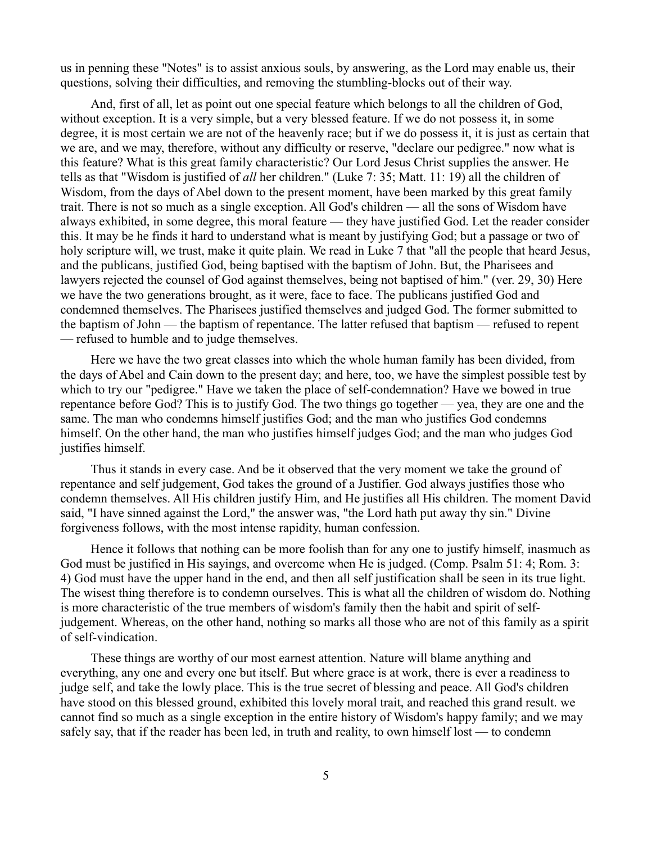us in penning these "Notes" is to assist anxious souls, by answering, as the Lord may enable us, their questions, solving their difficulties, and removing the stumbling-blocks out of their way.

And, first of all, let as point out one special feature which belongs to all the children of God, without exception. It is a very simple, but a very blessed feature. If we do not possess it, in some degree, it is most certain we are not of the heavenly race; but if we do possess it, it is just as certain that we are, and we may, therefore, without any difficulty or reserve, "declare our pedigree." now what is this feature? What is this great family characteristic? Our Lord Jesus Christ supplies the answer. He tells as that "Wisdom is justified of *all* her children." (Luke 7: 35; Matt. 11: 19) all the children of Wisdom, from the days of Abel down to the present moment, have been marked by this great family trait. There is not so much as a single exception. All God's children — all the sons of Wisdom have always exhibited, in some degree, this moral feature — they have justified God. Let the reader consider this. It may be he finds it hard to understand what is meant by justifying God; but a passage or two of holy scripture will, we trust, make it quite plain. We read in Luke 7 that "all the people that heard Jesus, and the publicans, justified God, being baptised with the baptism of John. But, the Pharisees and lawyers rejected the counsel of God against themselves, being not baptised of him." (ver. 29, 30) Here we have the two generations brought, as it were, face to face. The publicans justified God and condemned themselves. The Pharisees justified themselves and judged God. The former submitted to the baptism of John — the baptism of repentance. The latter refused that baptism — refused to repent — refused to humble and to judge themselves.

Here we have the two great classes into which the whole human family has been divided, from the days of Abel and Cain down to the present day; and here, too, we have the simplest possible test by which to try our "pedigree." Have we taken the place of self-condemnation? Have we bowed in true repentance before God? This is to justify God. The two things go together — yea, they are one and the same. The man who condemns himself justifies God; and the man who justifies God condemns himself. On the other hand, the man who justifies himself judges God; and the man who judges God justifies himself.

Thus it stands in every case. And be it observed that the very moment we take the ground of repentance and self judgement, God takes the ground of a Justifier. God always justifies those who condemn themselves. All His children justify Him, and He justifies all His children. The moment David said, "I have sinned against the Lord," the answer was, "the Lord hath put away thy sin." Divine forgiveness follows, with the most intense rapidity, human confession.

Hence it follows that nothing can be more foolish than for any one to justify himself, inasmuch as God must be justified in His sayings, and overcome when He is judged. (Comp. Psalm 51: 4; Rom. 3: 4) God must have the upper hand in the end, and then all self justification shall be seen in its true light. The wisest thing therefore is to condemn ourselves. This is what all the children of wisdom do. Nothing is more characteristic of the true members of wisdom's family then the habit and spirit of selfjudgement. Whereas, on the other hand, nothing so marks all those who are not of this family as a spirit of self-vindication.

These things are worthy of our most earnest attention. Nature will blame anything and everything, any one and every one but itself. But where grace is at work, there is ever a readiness to judge self, and take the lowly place. This is the true secret of blessing and peace. All God's children have stood on this blessed ground, exhibited this lovely moral trait, and reached this grand result. we cannot find so much as a single exception in the entire history of Wisdom's happy family; and we may safely say, that if the reader has been led, in truth and reality, to own himself lost — to condemn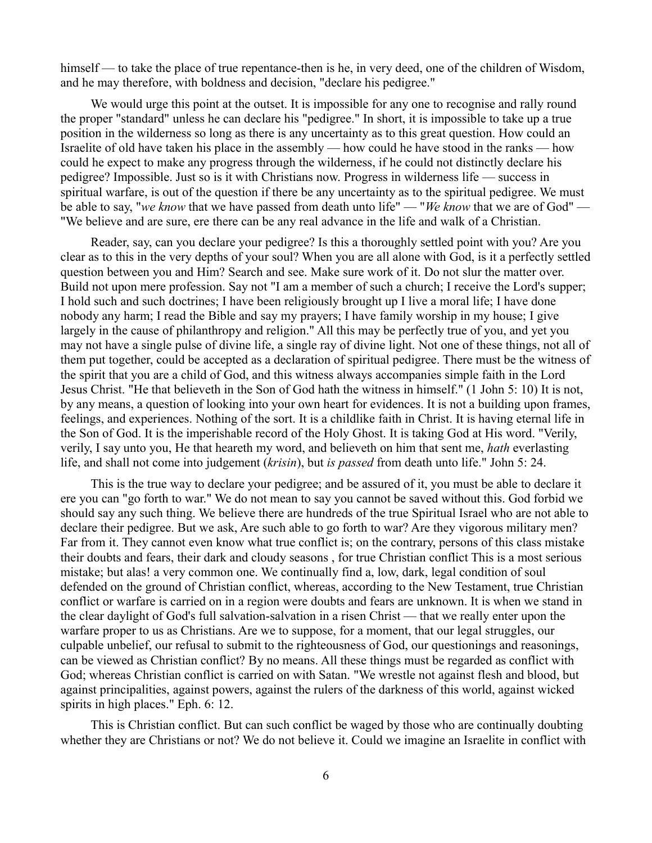himself — to take the place of true repentance-then is he, in very deed, one of the children of Wisdom, and he may therefore, with boldness and decision, "declare his pedigree."

We would urge this point at the outset. It is impossible for any one to recognise and rally round the proper "standard" unless he can declare his "pedigree." In short, it is impossible to take up a true position in the wilderness so long as there is any uncertainty as to this great question. How could an Israelite of old have taken his place in the assembly — how could he have stood in the ranks — how could he expect to make any progress through the wilderness, if he could not distinctly declare his pedigree? Impossible. Just so is it with Christians now. Progress in wilderness life — success in spiritual warfare, is out of the question if there be any uncertainty as to the spiritual pedigree. We must be able to say, "*we know* that we have passed from death unto life" — "*We know* that we are of God" — "We believe and are sure, ere there can be any real advance in the life and walk of a Christian.

Reader, say, can you declare your pedigree? Is this a thoroughly settled point with you? Are you clear as to this in the very depths of your soul? When you are all alone with God, is it a perfectly settled question between you and Him? Search and see. Make sure work of it. Do not slur the matter over. Build not upon mere profession. Say not "I am a member of such a church; I receive the Lord's supper; I hold such and such doctrines; I have been religiously brought up I live a moral life; I have done nobody any harm; I read the Bible and say my prayers; I have family worship in my house; I give largely in the cause of philanthropy and religion." All this may be perfectly true of you, and yet you may not have a single pulse of divine life, a single ray of divine light. Not one of these things, not all of them put together, could be accepted as a declaration of spiritual pedigree. There must be the witness of the spirit that you are a child of God, and this witness always accompanies simple faith in the Lord Jesus Christ. "He that believeth in the Son of God hath the witness in himself." (1 John 5: 10) It is not, by any means, a question of looking into your own heart for evidences. It is not a building upon frames, feelings, and experiences. Nothing of the sort. It is a childlike faith in Christ. It is having eternal life in the Son of God. It is the imperishable record of the Holy Ghost. It is taking God at His word. "Verily, verily, I say unto you, He that heareth my word, and believeth on him that sent me, *hath* everlasting life, and shall not come into judgement (*krisin*), but *is passed* from death unto life." John 5: 24.

This is the true way to declare your pedigree; and be assured of it, you must be able to declare it ere you can "go forth to war." We do not mean to say you cannot be saved without this. God forbid we should say any such thing. We believe there are hundreds of the true Spiritual Israel who are not able to declare their pedigree. But we ask, Are such able to go forth to war? Are they vigorous military men? Far from it. They cannot even know what true conflict is; on the contrary, persons of this class mistake their doubts and fears, their dark and cloudy seasons , for true Christian conflict This is a most serious mistake; but alas! a very common one. We continually find a, low, dark, legal condition of soul defended on the ground of Christian conflict, whereas, according to the New Testament, true Christian conflict or warfare is carried on in a region were doubts and fears are unknown. It is when we stand in the clear daylight of God's full salvation-salvation in a risen Christ — that we really enter upon the warfare proper to us as Christians. Are we to suppose, for a moment, that our legal struggles, our culpable unbelief, our refusal to submit to the righteousness of God, our questionings and reasonings, can be viewed as Christian conflict? By no means. All these things must be regarded as conflict with God; whereas Christian conflict is carried on with Satan. "We wrestle not against flesh and blood, but against principalities, against powers, against the rulers of the darkness of this world, against wicked spirits in high places." Eph. 6: 12.

This is Christian conflict. But can such conflict be waged by those who are continually doubting whether they are Christians or not? We do not believe it. Could we imagine an Israelite in conflict with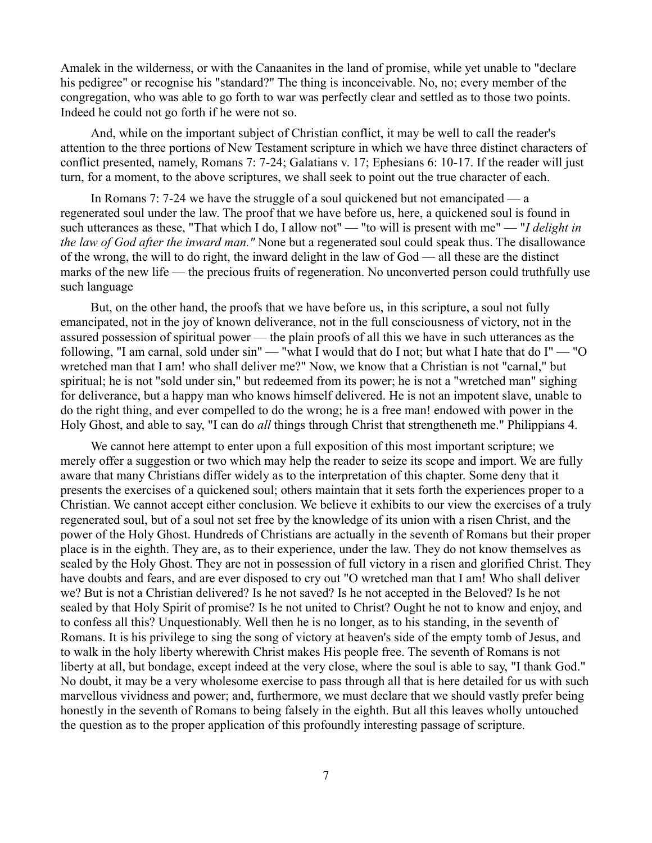Amalek in the wilderness, or with the Canaanites in the land of promise, while yet unable to "declare his pedigree" or recognise his "standard?" The thing is inconceivable. No, no; every member of the congregation, who was able to go forth to war was perfectly clear and settled as to those two points. Indeed he could not go forth if he were not so.

And, while on the important subject of Christian conflict, it may be well to call the reader's attention to the three portions of New Testament scripture in which we have three distinct characters of conflict presented, namely, Romans 7: 7-24; Galatians v. 17; Ephesians 6: 10-17. If the reader will just turn, for a moment, to the above scriptures, we shall seek to point out the true character of each.

In Romans 7: 7-24 we have the struggle of a soul quickened but not emancipated — a regenerated soul under the law. The proof that we have before us, here, a quickened soul is found in such utterances as these, "That which I do, I allow not" — "to will is present with me" — "*I delight in the law of God after the inward man."* None but a regenerated soul could speak thus. The disallowance of the wrong, the will to do right, the inward delight in the law of God — all these are the distinct marks of the new life — the precious fruits of regeneration. No unconverted person could truthfully use such language

But, on the other hand, the proofs that we have before us, in this scripture, a soul not fully emancipated, not in the joy of known deliverance, not in the full consciousness of victory, not in the assured possession of spiritual power — the plain proofs of all this we have in such utterances as the following, "I am carnal, sold under sin" — "what I would that do I not; but what I hate that do I" — "O wretched man that I am! who shall deliver me?" Now, we know that a Christian is not "carnal," but spiritual; he is not "sold under sin," but redeemed from its power; he is not a "wretched man" sighing for deliverance, but a happy man who knows himself delivered. He is not an impotent slave, unable to do the right thing, and ever compelled to do the wrong; he is a free man! endowed with power in the Holy Ghost, and able to say, "I can do *all* things through Christ that strengtheneth me." Philippians 4.

We cannot here attempt to enter upon a full exposition of this most important scripture; we merely offer a suggestion or two which may help the reader to seize its scope and import. We are fully aware that many Christians differ widely as to the interpretation of this chapter. Some deny that it presents the exercises of a quickened soul; others maintain that it sets forth the experiences proper to a Christian. We cannot accept either conclusion. We believe it exhibits to our view the exercises of a truly regenerated soul, but of a soul not set free by the knowledge of its union with a risen Christ, and the power of the Holy Ghost. Hundreds of Christians are actually in the seventh of Romans but their proper place is in the eighth. They are, as to their experience, under the law. They do not know themselves as sealed by the Holy Ghost. They are not in possession of full victory in a risen and glorified Christ. They have doubts and fears, and are ever disposed to cry out "O wretched man that I am! Who shall deliver we? But is not a Christian delivered? Is he not saved? Is he not accepted in the Beloved? Is he not sealed by that Holy Spirit of promise? Is he not united to Christ? Ought he not to know and enjoy, and to confess all this? Unquestionably. Well then he is no longer, as to his standing, in the seventh of Romans. It is his privilege to sing the song of victory at heaven's side of the empty tomb of Jesus, and to walk in the holy liberty wherewith Christ makes His people free. The seventh of Romans is not liberty at all, but bondage, except indeed at the very close, where the soul is able to say, "I thank God." No doubt, it may be a very wholesome exercise to pass through all that is here detailed for us with such marvellous vividness and power; and, furthermore, we must declare that we should vastly prefer being honestly in the seventh of Romans to being falsely in the eighth. But all this leaves wholly untouched the question as to the proper application of this profoundly interesting passage of scripture.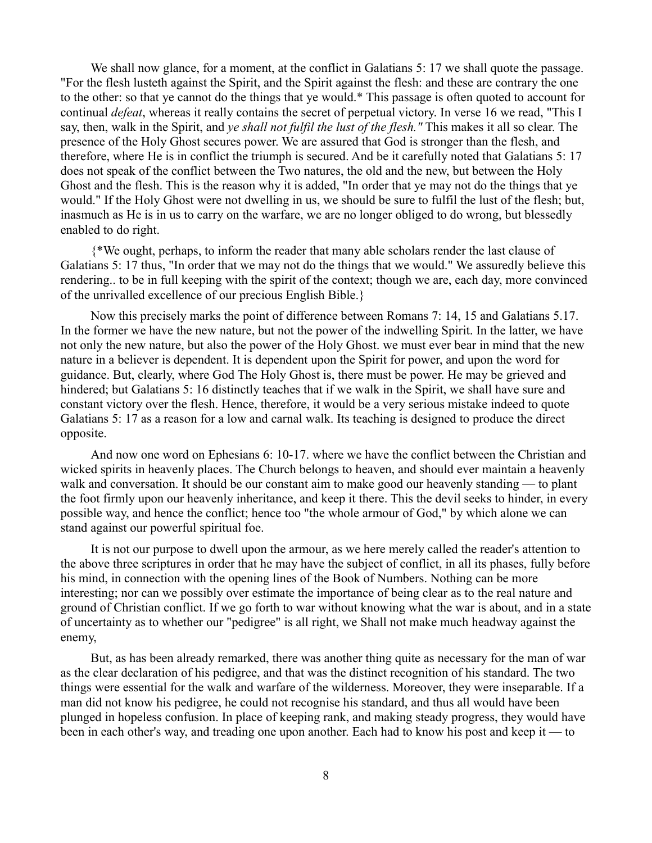We shall now glance, for a moment, at the conflict in Galatians 5: 17 we shall quote the passage. "For the flesh lusteth against the Spirit, and the Spirit against the flesh: and these are contrary the one to the other: so that ye cannot do the things that ye would.\* This passage is often quoted to account for continual *defeat*, whereas it really contains the secret of perpetual victory. In verse 16 we read, "This I say, then, walk in the Spirit, and *ye shall not fulfil the lust of the flesh."* This makes it all so clear. The presence of the Holy Ghost secures power. We are assured that God is stronger than the flesh, and therefore, where He is in conflict the triumph is secured. And be it carefully noted that Galatians 5: 17 does not speak of the conflict between the Two natures, the old and the new, but between the Holy Ghost and the flesh. This is the reason why it is added, "In order that ye may not do the things that ye would." If the Holy Ghost were not dwelling in us, we should be sure to fulfil the lust of the flesh; but, inasmuch as He is in us to carry on the warfare, we are no longer obliged to do wrong, but blessedly enabled to do right.

{\*We ought, perhaps, to inform the reader that many able scholars render the last clause of Galatians 5: 17 thus, "In order that we may not do the things that we would." We assuredly believe this rendering.. to be in full keeping with the spirit of the context; though we are, each day, more convinced of the unrivalled excellence of our precious English Bible.}

Now this precisely marks the point of difference between Romans 7: 14, 15 and Galatians 5.17. In the former we have the new nature, but not the power of the indwelling Spirit. In the latter, we have not only the new nature, but also the power of the Holy Ghost. we must ever bear in mind that the new nature in a believer is dependent. It is dependent upon the Spirit for power, and upon the word for guidance. But, clearly, where God The Holy Ghost is, there must be power. He may be grieved and hindered; but Galatians 5: 16 distinctly teaches that if we walk in the Spirit, we shall have sure and constant victory over the flesh. Hence, therefore, it would be a very serious mistake indeed to quote Galatians 5: 17 as a reason for a low and carnal walk. Its teaching is designed to produce the direct opposite.

And now one word on Ephesians 6: 10-17. where we have the conflict between the Christian and wicked spirits in heavenly places. The Church belongs to heaven, and should ever maintain a heavenly walk and conversation. It should be our constant aim to make good our heavenly standing — to plant the foot firmly upon our heavenly inheritance, and keep it there. This the devil seeks to hinder, in every possible way, and hence the conflict; hence too "the whole armour of God," by which alone we can stand against our powerful spiritual foe.

It is not our purpose to dwell upon the armour, as we here merely called the reader's attention to the above three scriptures in order that he may have the subject of conflict, in all its phases, fully before his mind, in connection with the opening lines of the Book of Numbers. Nothing can be more interesting; nor can we possibly over estimate the importance of being clear as to the real nature and ground of Christian conflict. If we go forth to war without knowing what the war is about, and in a state of uncertainty as to whether our "pedigree" is all right, we Shall not make much headway against the enemy,

But, as has been already remarked, there was another thing quite as necessary for the man of war as the clear declaration of his pedigree, and that was the distinct recognition of his standard. The two things were essential for the walk and warfare of the wilderness. Moreover, they were inseparable. If a man did not know his pedigree, he could not recognise his standard, and thus all would have been plunged in hopeless confusion. In place of keeping rank, and making steady progress, they would have been in each other's way, and treading one upon another. Each had to know his post and keep it — to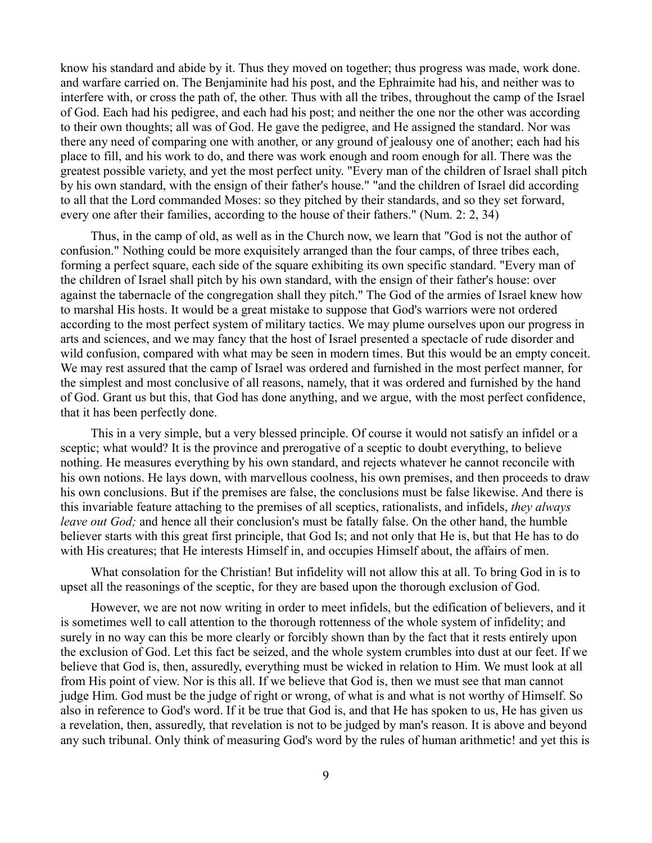know his standard and abide by it. Thus they moved on together; thus progress was made, work done. and warfare carried on. The Benjaminite had his post, and the Ephraimite had his, and neither was to interfere with, or cross the path of, the other. Thus with all the tribes, throughout the camp of the Israel of God. Each had his pedigree, and each had his post; and neither the one nor the other was according to their own thoughts; all was of God. He gave the pedigree, and He assigned the standard. Nor was there any need of comparing one with another, or any ground of jealousy one of another; each had his place to fill, and his work to do, and there was work enough and room enough for all. There was the greatest possible variety, and yet the most perfect unity. "Every man of the children of Israel shall pitch by his own standard, with the ensign of their father's house." "and the children of Israel did according to all that the Lord commanded Moses: so they pitched by their standards, and so they set forward, every one after their families, according to the house of their fathers." (Num. 2: 2, 34)

Thus, in the camp of old, as well as in the Church now, we learn that "God is not the author of confusion." Nothing could be more exquisitely arranged than the four camps, of three tribes each, forming a perfect square, each side of the square exhibiting its own specific standard. "Every man of the children of Israel shall pitch by his own standard, with the ensign of their father's house: over against the tabernacle of the congregation shall they pitch." The God of the armies of Israel knew how to marshal His hosts. It would be a great mistake to suppose that God's warriors were not ordered according to the most perfect system of military tactics. We may plume ourselves upon our progress in arts and sciences, and we may fancy that the host of Israel presented a spectacle of rude disorder and wild confusion, compared with what may be seen in modern times. But this would be an empty conceit. We may rest assured that the camp of Israel was ordered and furnished in the most perfect manner, for the simplest and most conclusive of all reasons, namely, that it was ordered and furnished by the hand of God. Grant us but this, that God has done anything, and we argue, with the most perfect confidence, that it has been perfectly done.

This in a very simple, but a very blessed principle. Of course it would not satisfy an infidel or a sceptic; what would? It is the province and prerogative of a sceptic to doubt everything, to believe nothing. He measures everything by his own standard, and rejects whatever he cannot reconcile with his own notions. He lays down, with marvellous coolness, his own premises, and then proceeds to draw his own conclusions. But if the premises are false, the conclusions must be false likewise. And there is this invariable feature attaching to the premises of all sceptics, rationalists, and infidels, *they always leave out God;* and hence all their conclusion's must be fatally false. On the other hand, the humble believer starts with this great first principle, that God Is; and not only that He is, but that He has to do with His creatures; that He interests Himself in, and occupies Himself about, the affairs of men.

What consolation for the Christian! But infidelity will not allow this at all. To bring God in is to upset all the reasonings of the sceptic, for they are based upon the thorough exclusion of God.

However, we are not now writing in order to meet infidels, but the edification of believers, and it is sometimes well to call attention to the thorough rottenness of the whole system of infidelity; and surely in no way can this be more clearly or forcibly shown than by the fact that it rests entirely upon the exclusion of God. Let this fact be seized, and the whole system crumbles into dust at our feet. If we believe that God is, then, assuredly, everything must be wicked in relation to Him. We must look at all from His point of view. Nor is this all. If we believe that God is, then we must see that man cannot judge Him. God must be the judge of right or wrong, of what is and what is not worthy of Himself. So also in reference to God's word. If it be true that God is, and that He has spoken to us, He has given us a revelation, then, assuredly, that revelation is not to be judged by man's reason. It is above and beyond any such tribunal. Only think of measuring God's word by the rules of human arithmetic! and yet this is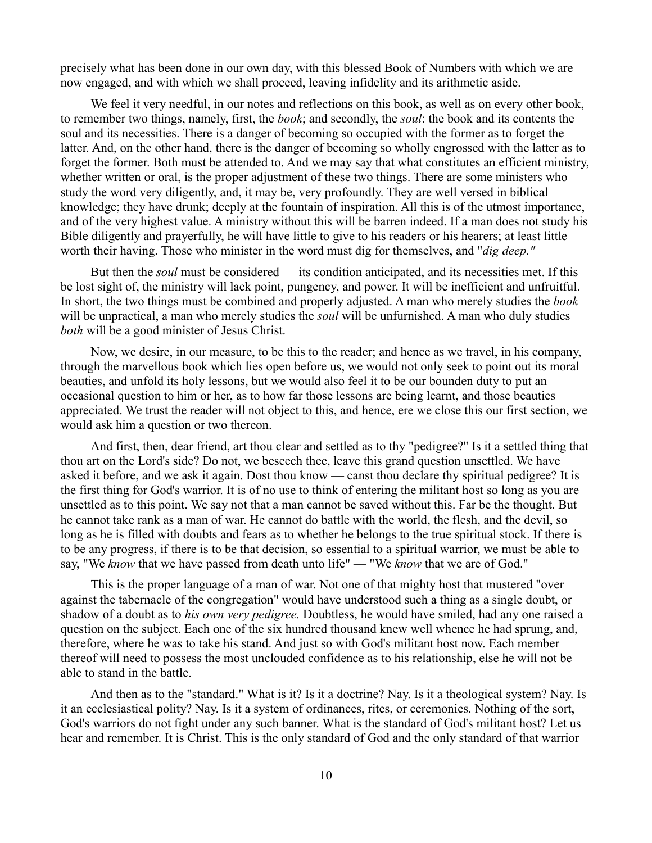precisely what has been done in our own day, with this blessed Book of Numbers with which we are now engaged, and with which we shall proceed, leaving infidelity and its arithmetic aside.

We feel it very needful, in our notes and reflections on this book, as well as on every other book, to remember two things, namely, first, the *book*; and secondly, the *soul*: the book and its contents the soul and its necessities. There is a danger of becoming so occupied with the former as to forget the latter. And, on the other hand, there is the danger of becoming so wholly engrossed with the latter as to forget the former. Both must be attended to. And we may say that what constitutes an efficient ministry, whether written or oral, is the proper adjustment of these two things. There are some ministers who study the word very diligently, and, it may be, very profoundly. They are well versed in biblical knowledge; they have drunk; deeply at the fountain of inspiration. All this is of the utmost importance, and of the very highest value. A ministry without this will be barren indeed. If a man does not study his Bible diligently and prayerfully, he will have little to give to his readers or his hearers; at least little worth their having. Those who minister in the word must dig for themselves, and "*dig deep."*

But then the *soul* must be considered — its condition anticipated, and its necessities met. If this be lost sight of, the ministry will lack point, pungency, and power. It will be inefficient and unfruitful. In short, the two things must be combined and properly adjusted. A man who merely studies the *book* will be unpractical, a man who merely studies the *soul* will be unfurnished. A man who duly studies *both* will be a good minister of Jesus Christ.

Now, we desire, in our measure, to be this to the reader; and hence as we travel, in his company, through the marvellous book which lies open before us, we would not only seek to point out its moral beauties, and unfold its holy lessons, but we would also feel it to be our bounden duty to put an occasional question to him or her, as to how far those lessons are being learnt, and those beauties appreciated. We trust the reader will not object to this, and hence, ere we close this our first section, we would ask him a question or two thereon.

And first, then, dear friend, art thou clear and settled as to thy "pedigree?" Is it a settled thing that thou art on the Lord's side? Do not, we beseech thee, leave this grand question unsettled. We have asked it before, and we ask it again. Dost thou know — canst thou declare thy spiritual pedigree? It is the first thing for God's warrior. It is of no use to think of entering the militant host so long as you are unsettled as to this point. We say not that a man cannot be saved without this. Far be the thought. But he cannot take rank as a man of war. He cannot do battle with the world, the flesh, and the devil, so long as he is filled with doubts and fears as to whether he belongs to the true spiritual stock. If there is to be any progress, if there is to be that decision, so essential to a spiritual warrior, we must be able to say, "We *know* that we have passed from death unto life" — "We *know* that we are of God."

This is the proper language of a man of war. Not one of that mighty host that mustered "over against the tabernacle of the congregation" would have understood such a thing as a single doubt, or shadow of a doubt as to *his own very pedigree.* Doubtless, he would have smiled, had any one raised a question on the subject. Each one of the six hundred thousand knew well whence he had sprung, and, therefore, where he was to take his stand. And just so with God's militant host now. Each member thereof will need to possess the most unclouded confidence as to his relationship, else he will not be able to stand in the battle.

And then as to the "standard." What is it? Is it a doctrine? Nay. Is it a theological system? Nay. Is it an ecclesiastical polity? Nay. Is it a system of ordinances, rites, or ceremonies. Nothing of the sort, God's warriors do not fight under any such banner. What is the standard of God's militant host? Let us hear and remember. It is Christ. This is the only standard of God and the only standard of that warrior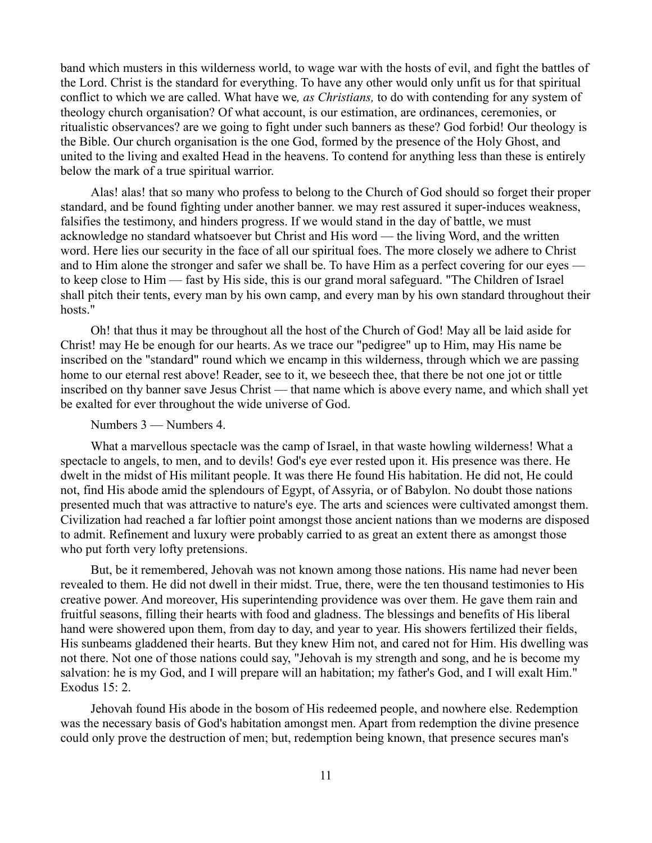band which musters in this wilderness world, to wage war with the hosts of evil, and fight the battles of the Lord. Christ is the standard for everything. To have any other would only unfit us for that spiritual conflict to which we are called. What have we*, as Christians,* to do with contending for any system of theology church organisation? Of what account, is our estimation, are ordinances, ceremonies, or ritualistic observances? are we going to fight under such banners as these? God forbid! Our theology is the Bible. Our church organisation is the one God, formed by the presence of the Holy Ghost, and united to the living and exalted Head in the heavens. To contend for anything less than these is entirely below the mark of a true spiritual warrior.

Alas! alas! that so many who profess to belong to the Church of God should so forget their proper standard, and be found fighting under another banner. we may rest assured it super-induces weakness, falsifies the testimony, and hinders progress. If we would stand in the day of battle, we must acknowledge no standard whatsoever but Christ and His word — the living Word, and the written word. Here lies our security in the face of all our spiritual foes. The more closely we adhere to Christ and to Him alone the stronger and safer we shall be. To have Him as a perfect covering for our eyes to keep close to Him — fast by His side, this is our grand moral safeguard. "The Children of Israel shall pitch their tents, every man by his own camp, and every man by his own standard throughout their hosts."

Oh! that thus it may be throughout all the host of the Church of God! May all be laid aside for Christ! may He be enough for our hearts. As we trace our "pedigree" up to Him, may His name be inscribed on the "standard" round which we encamp in this wilderness, through which we are passing home to our eternal rest above! Reader, see to it, we beseech thee, that there be not one jot or tittle inscribed on thy banner save Jesus Christ — that name which is above every name, and which shall yet be exalted for ever throughout the wide universe of God.

## Numbers 3 — Numbers 4.

What a marvellous spectacle was the camp of Israel, in that waste howling wilderness! What a spectacle to angels, to men, and to devils! God's eye ever rested upon it. His presence was there. He dwelt in the midst of His militant people. It was there He found His habitation. He did not, He could not, find His abode amid the splendours of Egypt, of Assyria, or of Babylon. No doubt those nations presented much that was attractive to nature's eye. The arts and sciences were cultivated amongst them. Civilization had reached a far loftier point amongst those ancient nations than we moderns are disposed to admit. Refinement and luxury were probably carried to as great an extent there as amongst those who put forth very lofty pretensions.

But, be it remembered, Jehovah was not known among those nations. His name had never been revealed to them. He did not dwell in their midst. True, there, were the ten thousand testimonies to His creative power. And moreover, His superintending providence was over them. He gave them rain and fruitful seasons, filling their hearts with food and gladness. The blessings and benefits of His liberal hand were showered upon them, from day to day, and year to year. His showers fertilized their fields, His sunbeams gladdened their hearts. But they knew Him not, and cared not for Him. His dwelling was not there. Not one of those nations could say, "Jehovah is my strength and song, and he is become my salvation: he is my God, and I will prepare will an habitation; my father's God, and I will exalt Him." Exodus 15: 2.

Jehovah found His abode in the bosom of His redeemed people, and nowhere else. Redemption was the necessary basis of God's habitation amongst men. Apart from redemption the divine presence could only prove the destruction of men; but, redemption being known, that presence secures man's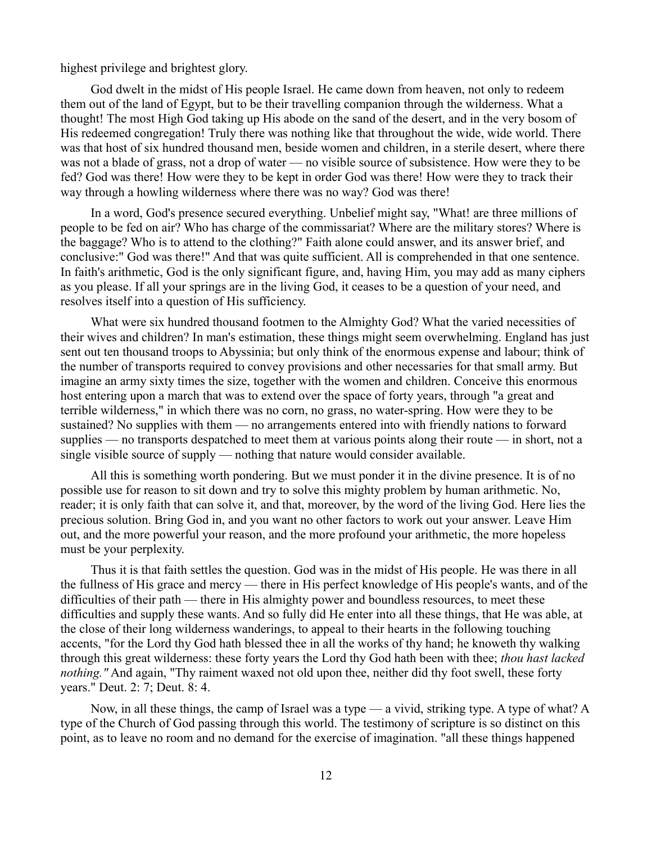highest privilege and brightest glory.

God dwelt in the midst of His people Israel. He came down from heaven, not only to redeem them out of the land of Egypt, but to be their travelling companion through the wilderness. What a thought! The most High God taking up His abode on the sand of the desert, and in the very bosom of His redeemed congregation! Truly there was nothing like that throughout the wide, wide world. There was that host of six hundred thousand men, beside women and children, in a sterile desert, where there was not a blade of grass, not a drop of water — no visible source of subsistence. How were they to be fed? God was there! How were they to be kept in order God was there! How were they to track their way through a howling wilderness where there was no way? God was there!

In a word, God's presence secured everything. Unbelief might say, "What! are three millions of people to be fed on air? Who has charge of the commissariat? Where are the military stores? Where is the baggage? Who is to attend to the clothing?" Faith alone could answer, and its answer brief, and conclusive:" God was there!" And that was quite sufficient. All is comprehended in that one sentence. In faith's arithmetic, God is the only significant figure, and, having Him, you may add as many ciphers as you please. If all your springs are in the living God, it ceases to be a question of your need, and resolves itself into a question of His sufficiency.

What were six hundred thousand footmen to the Almighty God? What the varied necessities of their wives and children? In man's estimation, these things might seem overwhelming. England has just sent out ten thousand troops to Abyssinia; but only think of the enormous expense and labour; think of the number of transports required to convey provisions and other necessaries for that small army. But imagine an army sixty times the size, together with the women and children. Conceive this enormous host entering upon a march that was to extend over the space of forty years, through "a great and terrible wilderness," in which there was no corn, no grass, no water-spring. How were they to be sustained? No supplies with them — no arrangements entered into with friendly nations to forward supplies — no transports despatched to meet them at various points along their route — in short, not a single visible source of supply — nothing that nature would consider available.

All this is something worth pondering. But we must ponder it in the divine presence. It is of no possible use for reason to sit down and try to solve this mighty problem by human arithmetic. No, reader; it is only faith that can solve it, and that, moreover, by the word of the living God. Here lies the precious solution. Bring God in, and you want no other factors to work out your answer. Leave Him out, and the more powerful your reason, and the more profound your arithmetic, the more hopeless must be your perplexity.

Thus it is that faith settles the question. God was in the midst of His people. He was there in all the fullness of His grace and mercy — there in His perfect knowledge of His people's wants, and of the difficulties of their path — there in His almighty power and boundless resources, to meet these difficulties and supply these wants. And so fully did He enter into all these things, that He was able, at the close of their long wilderness wanderings, to appeal to their hearts in the following touching accents, "for the Lord thy God hath blessed thee in all the works of thy hand; he knoweth thy walking through this great wilderness: these forty years the Lord thy God hath been with thee; *thou hast lacked nothing.*" And again, "Thy raiment waxed not old upon thee, neither did thy foot swell, these forty years." Deut. 2: 7; Deut. 8: 4.

Now, in all these things, the camp of Israel was a type — a vivid, striking type. A type of what? A type of the Church of God passing through this world. The testimony of scripture is so distinct on this point, as to leave no room and no demand for the exercise of imagination. "all these things happened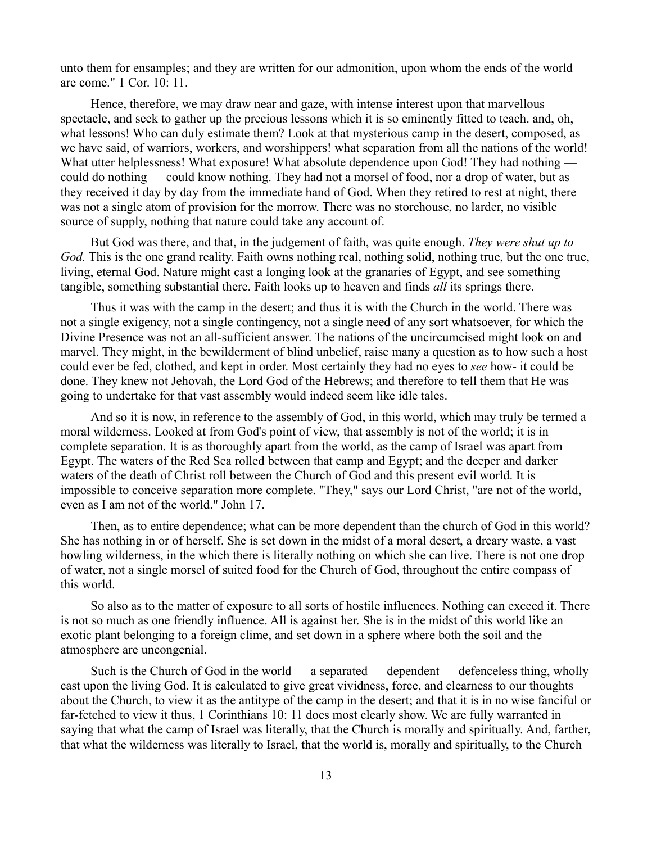unto them for ensamples; and they are written for our admonition, upon whom the ends of the world are come." 1 Cor. 10: 11.

Hence, therefore, we may draw near and gaze, with intense interest upon that marvellous spectacle, and seek to gather up the precious lessons which it is so eminently fitted to teach. and, oh, what lessons! Who can duly estimate them? Look at that mysterious camp in the desert, composed, as we have said, of warriors, workers, and worshippers! what separation from all the nations of the world! What utter helplessness! What exposure! What absolute dependence upon God! They had nothing could do nothing — could know nothing. They had not a morsel of food, nor a drop of water, but as they received it day by day from the immediate hand of God. When they retired to rest at night, there was not a single atom of provision for the morrow. There was no storehouse, no larder, no visible source of supply, nothing that nature could take any account of.

But God was there, and that, in the judgement of faith, was quite enough. *They were shut up to God.* This is the one grand reality. Faith owns nothing real, nothing solid, nothing true, but the one true, living, eternal God. Nature might cast a longing look at the granaries of Egypt, and see something tangible, something substantial there. Faith looks up to heaven and finds *all* its springs there.

Thus it was with the camp in the desert; and thus it is with the Church in the world. There was not a single exigency, not a single contingency, not a single need of any sort whatsoever, for which the Divine Presence was not an all-sufficient answer. The nations of the uncircumcised might look on and marvel. They might, in the bewilderment of blind unbelief, raise many a question as to how such a host could ever be fed, clothed, and kept in order. Most certainly they had no eyes to *see* how- it could be done. They knew not Jehovah, the Lord God of the Hebrews; and therefore to tell them that He was going to undertake for that vast assembly would indeed seem like idle tales.

And so it is now, in reference to the assembly of God, in this world, which may truly be termed a moral wilderness. Looked at from God's point of view, that assembly is not of the world; it is in complete separation. It is as thoroughly apart from the world, as the camp of Israel was apart from Egypt. The waters of the Red Sea rolled between that camp and Egypt; and the deeper and darker waters of the death of Christ roll between the Church of God and this present evil world. It is impossible to conceive separation more complete. "They," says our Lord Christ, "are not of the world, even as I am not of the world." John 17.

Then, as to entire dependence; what can be more dependent than the church of God in this world? She has nothing in or of herself. She is set down in the midst of a moral desert, a dreary waste, a vast howling wilderness, in the which there is literally nothing on which she can live. There is not one drop of water, not a single morsel of suited food for the Church of God, throughout the entire compass of this world.

So also as to the matter of exposure to all sorts of hostile influences. Nothing can exceed it. There is not so much as one friendly influence. All is against her. She is in the midst of this world like an exotic plant belonging to a foreign clime, and set down in a sphere where both the soil and the atmosphere are uncongenial.

Such is the Church of God in the world — a separated — dependent — defenceless thing, wholly cast upon the living God. It is calculated to give great vividness, force, and clearness to our thoughts about the Church, to view it as the antitype of the camp in the desert; and that it is in no wise fanciful or far-fetched to view it thus, 1 Corinthians 10: 11 does most clearly show. We are fully warranted in saying that what the camp of Israel was literally, that the Church is morally and spiritually. And, farther, that what the wilderness was literally to Israel, that the world is, morally and spiritually, to the Church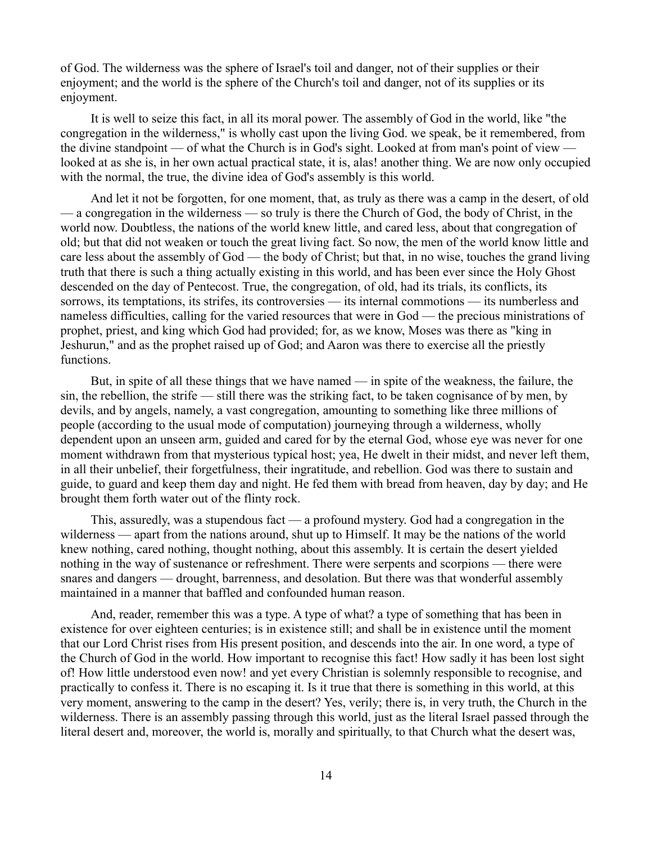of God. The wilderness was the sphere of Israel's toil and danger, not of their supplies or their enjoyment; and the world is the sphere of the Church's toil and danger, not of its supplies or its enjoyment.

It is well to seize this fact, in all its moral power. The assembly of God in the world, like "the congregation in the wilderness," is wholly cast upon the living God. we speak, be it remembered, from the divine standpoint — of what the Church is in God's sight. Looked at from man's point of view looked at as she is, in her own actual practical state, it is, alas! another thing. We are now only occupied with the normal, the true, the divine idea of God's assembly is this world.

And let it not be forgotten, for one moment, that, as truly as there was a camp in the desert, of old — a congregation in the wilderness — so truly is there the Church of God, the body of Christ, in the world now. Doubtless, the nations of the world knew little, and cared less, about that congregation of old; but that did not weaken or touch the great living fact. So now, the men of the world know little and care less about the assembly of God — the body of Christ; but that, in no wise, touches the grand living truth that there is such a thing actually existing in this world, and has been ever since the Holy Ghost descended on the day of Pentecost. True, the congregation, of old, had its trials, its conflicts, its sorrows, its temptations, its strifes, its controversies — its internal commotions — its numberless and nameless difficulties, calling for the varied resources that were in God — the precious ministrations of prophet, priest, and king which God had provided; for, as we know, Moses was there as "king in Jeshurun," and as the prophet raised up of God; and Aaron was there to exercise all the priestly functions.

But, in spite of all these things that we have named — in spite of the weakness, the failure, the sin, the rebellion, the strife — still there was the striking fact, to be taken cognisance of by men, by devils, and by angels, namely, a vast congregation, amounting to something like three millions of people (according to the usual mode of computation) journeying through a wilderness, wholly dependent upon an unseen arm, guided and cared for by the eternal God, whose eye was never for one moment withdrawn from that mysterious typical host; yea, He dwelt in their midst, and never left them, in all their unbelief, their forgetfulness, their ingratitude, and rebellion. God was there to sustain and guide, to guard and keep them day and night. He fed them with bread from heaven, day by day; and He brought them forth water out of the flinty rock.

This, assuredly, was a stupendous fact — a profound mystery. God had a congregation in the wilderness — apart from the nations around, shut up to Himself. It may be the nations of the world knew nothing, cared nothing, thought nothing, about this assembly. It is certain the desert yielded nothing in the way of sustenance or refreshment. There were serpents and scorpions — there were snares and dangers — drought, barrenness, and desolation. But there was that wonderful assembly maintained in a manner that baffled and confounded human reason.

And, reader, remember this was a type. A type of what? a type of something that has been in existence for over eighteen centuries; is in existence still; and shall be in existence until the moment that our Lord Christ rises from His present position, and descends into the air. In one word, a type of the Church of God in the world. How important to recognise this fact! How sadly it has been lost sight of! How little understood even now! and yet every Christian is solemnly responsible to recognise, and practically to confess it. There is no escaping it. Is it true that there is something in this world, at this very moment, answering to the camp in the desert? Yes, verily; there is, in very truth, the Church in the wilderness. There is an assembly passing through this world, just as the literal Israel passed through the literal desert and, moreover, the world is, morally and spiritually, to that Church what the desert was,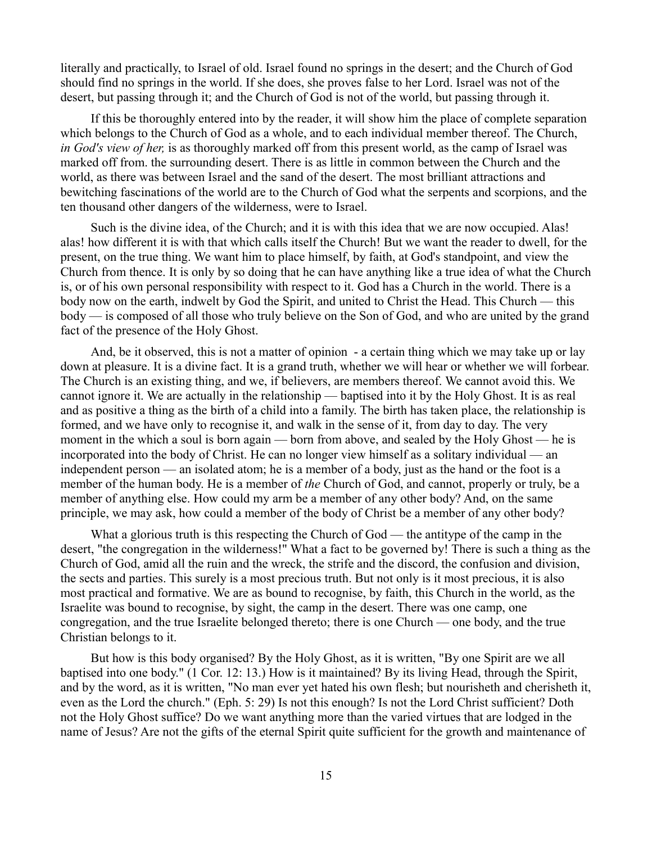literally and practically, to Israel of old. Israel found no springs in the desert; and the Church of God should find no springs in the world. If she does, she proves false to her Lord. Israel was not of the desert, but passing through it; and the Church of God is not of the world, but passing through it.

If this be thoroughly entered into by the reader, it will show him the place of complete separation which belongs to the Church of God as a whole, and to each individual member thereof. The Church, *in God's view of her,* is as thoroughly marked off from this present world, as the camp of Israel was marked off from. the surrounding desert. There is as little in common between the Church and the world, as there was between Israel and the sand of the desert. The most brilliant attractions and bewitching fascinations of the world are to the Church of God what the serpents and scorpions, and the ten thousand other dangers of the wilderness, were to Israel.

Such is the divine idea, of the Church; and it is with this idea that we are now occupied. Alas! alas! how different it is with that which calls itself the Church! But we want the reader to dwell, for the present, on the true thing. We want him to place himself, by faith, at God's standpoint, and view the Church from thence. It is only by so doing that he can have anything like a true idea of what the Church is, or of his own personal responsibility with respect to it. God has a Church in the world. There is a body now on the earth, indwelt by God the Spirit, and united to Christ the Head. This Church — this body — is composed of all those who truly believe on the Son of God, and who are united by the grand fact of the presence of the Holy Ghost.

And, be it observed, this is not a matter of opinion - a certain thing which we may take up or lay down at pleasure. It is a divine fact. It is a grand truth, whether we will hear or whether we will forbear. The Church is an existing thing, and we, if believers, are members thereof. We cannot avoid this. We cannot ignore it. We are actually in the relationship — baptised into it by the Holy Ghost. It is as real and as positive a thing as the birth of a child into a family. The birth has taken place, the relationship is formed, and we have only to recognise it, and walk in the sense of it, from day to day. The very moment in the which a soul is born again — born from above, and sealed by the Holy Ghost — he is incorporated into the body of Christ. He can no longer view himself as a solitary individual — an independent person — an isolated atom; he is a member of a body, just as the hand or the foot is a member of the human body. He is a member of *the* Church of God, and cannot, properly or truly, be a member of anything else. How could my arm be a member of any other body? And, on the same principle, we may ask, how could a member of the body of Christ be a member of any other body?

What a glorious truth is this respecting the Church of God — the antitype of the camp in the desert, "the congregation in the wilderness!" What a fact to be governed by! There is such a thing as the Church of God, amid all the ruin and the wreck, the strife and the discord, the confusion and division, the sects and parties. This surely is a most precious truth. But not only is it most precious, it is also most practical and formative. We are as bound to recognise, by faith, this Church in the world, as the Israelite was bound to recognise, by sight, the camp in the desert. There was one camp, one congregation, and the true Israelite belonged thereto; there is one Church — one body, and the true Christian belongs to it.

But how is this body organised? By the Holy Ghost, as it is written, "By one Spirit are we all baptised into one body." (1 Cor. 12: 13.) How is it maintained? By its living Head, through the Spirit, and by the word, as it is written, "No man ever yet hated his own flesh; but nourisheth and cherisheth it, even as the Lord the church." (Eph. 5: 29) Is not this enough? Is not the Lord Christ sufficient? Doth not the Holy Ghost suffice? Do we want anything more than the varied virtues that are lodged in the name of Jesus? Are not the gifts of the eternal Spirit quite sufficient for the growth and maintenance of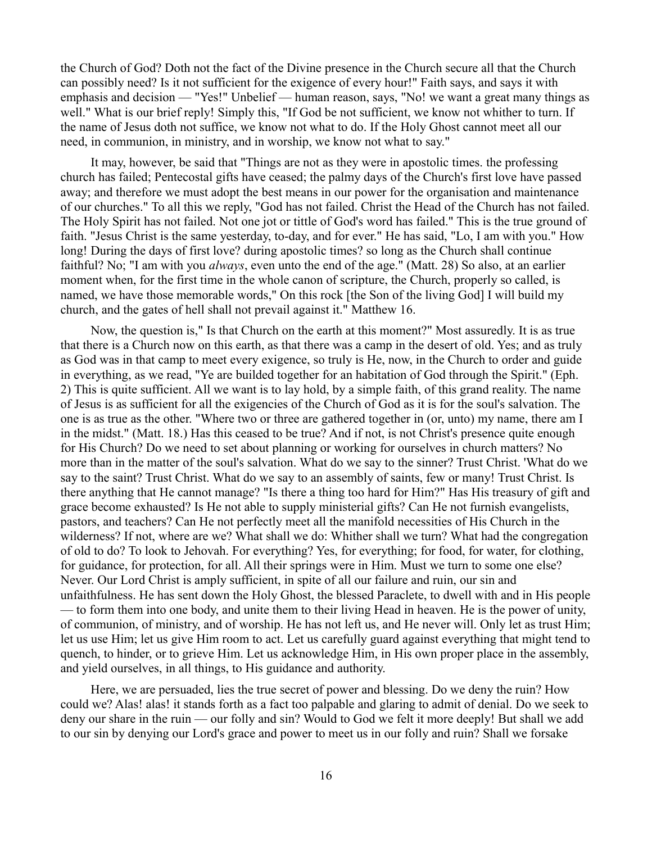the Church of God? Doth not the fact of the Divine presence in the Church secure all that the Church can possibly need? Is it not sufficient for the exigence of every hour!" Faith says, and says it with emphasis and decision — "Yes!" Unbelief — human reason, says, "No! we want a great many things as well." What is our brief reply! Simply this, "If God be not sufficient, we know not whither to turn. If the name of Jesus doth not suffice, we know not what to do. If the Holy Ghost cannot meet all our need, in communion, in ministry, and in worship, we know not what to say."

It may, however, be said that "Things are not as they were in apostolic times. the professing church has failed; Pentecostal gifts have ceased; the palmy days of the Church's first love have passed away; and therefore we must adopt the best means in our power for the organisation and maintenance of our churches." To all this we reply, "God has not failed. Christ the Head of the Church has not failed. The Holy Spirit has not failed. Not one jot or tittle of God's word has failed." This is the true ground of faith. "Jesus Christ is the same yesterday, to-day, and for ever." He has said, "Lo, I am with you." How long! During the days of first love? during apostolic times? so long as the Church shall continue faithful? No; "I am with you *always*, even unto the end of the age." (Matt. 28) So also, at an earlier moment when, for the first time in the whole canon of scripture, the Church, properly so called, is named, we have those memorable words," On this rock [the Son of the living God] I will build my church, and the gates of hell shall not prevail against it." Matthew 16.

Now, the question is," Is that Church on the earth at this moment?" Most assuredly. It is as true that there is a Church now on this earth, as that there was a camp in the desert of old. Yes; and as truly as God was in that camp to meet every exigence, so truly is He, now, in the Church to order and guide in everything, as we read, "Ye are builded together for an habitation of God through the Spirit." (Eph. 2) This is quite sufficient. All we want is to lay hold, by a simple faith, of this grand reality. The name of Jesus is as sufficient for all the exigencies of the Church of God as it is for the soul's salvation. The one is as true as the other. "Where two or three are gathered together in (or, unto) my name, there am I in the midst." (Matt. 18.) Has this ceased to be true? And if not, is not Christ's presence quite enough for His Church? Do we need to set about planning or working for ourselves in church matters? No more than in the matter of the soul's salvation. What do we say to the sinner? Trust Christ. 'What do we say to the saint? Trust Christ. What do we say to an assembly of saints, few or many! Trust Christ. Is there anything that He cannot manage? "Is there a thing too hard for Him?" Has His treasury of gift and grace become exhausted? Is He not able to supply ministerial gifts? Can He not furnish evangelists, pastors, and teachers? Can He not perfectly meet all the manifold necessities of His Church in the wilderness? If not, where are we? What shall we do: Whither shall we turn? What had the congregation of old to do? To look to Jehovah. For everything? Yes, for everything; for food, for water, for clothing, for guidance, for protection, for all. All their springs were in Him. Must we turn to some one else? Never. Our Lord Christ is amply sufficient, in spite of all our failure and ruin, our sin and unfaithfulness. He has sent down the Holy Ghost, the blessed Paraclete, to dwell with and in His people — to form them into one body, and unite them to their living Head in heaven. He is the power of unity, of communion, of ministry, and of worship. He has not left us, and He never will. Only let as trust Him; let us use Him; let us give Him room to act. Let us carefully guard against everything that might tend to quench, to hinder, or to grieve Him. Let us acknowledge Him, in His own proper place in the assembly, and yield ourselves, in all things, to His guidance and authority.

Here, we are persuaded, lies the true secret of power and blessing. Do we deny the ruin? How could we? Alas! alas! it stands forth as a fact too palpable and glaring to admit of denial. Do we seek to deny our share in the ruin — our folly and sin? Would to God we felt it more deeply! But shall we add to our sin by denying our Lord's grace and power to meet us in our folly and ruin? Shall we forsake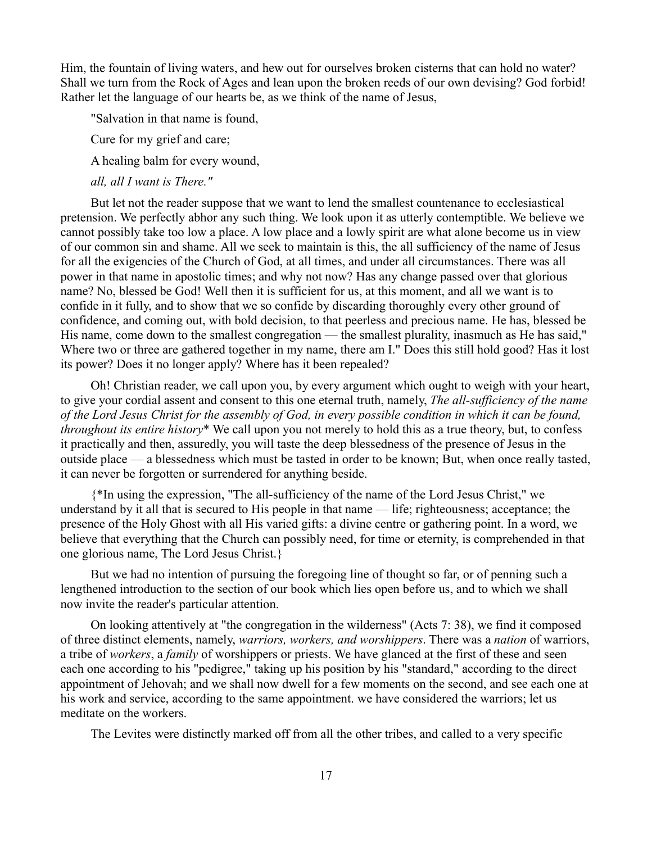Him, the fountain of living waters, and hew out for ourselves broken cisterns that can hold no water? Shall we turn from the Rock of Ages and lean upon the broken reeds of our own devising? God forbid! Rather let the language of our hearts be, as we think of the name of Jesus,

"Salvation in that name is found,

Cure for my grief and care;

A healing balm for every wound,

*all, all I want is There."*

But let not the reader suppose that we want to lend the smallest countenance to ecclesiastical pretension. We perfectly abhor any such thing. We look upon it as utterly contemptible. We believe we cannot possibly take too low a place. A low place and a lowly spirit are what alone become us in view of our common sin and shame. All we seek to maintain is this, the all sufficiency of the name of Jesus for all the exigencies of the Church of God, at all times, and under all circumstances. There was all power in that name in apostolic times; and why not now? Has any change passed over that glorious name? No, blessed be God! Well then it is sufficient for us, at this moment, and all we want is to confide in it fully, and to show that we so confide by discarding thoroughly every other ground of confidence, and coming out, with bold decision, to that peerless and precious name. He has, blessed be His name, come down to the smallest congregation — the smallest plurality, inasmuch as He has said," Where two or three are gathered together in my name, there am I." Does this still hold good? Has it lost its power? Does it no longer apply? Where has it been repealed?

Oh! Christian reader, we call upon you, by every argument which ought to weigh with your heart, to give your cordial assent and consent to this one eternal truth, namely, *The all-sufficiency of the name of the Lord Jesus Christ for the assembly of God, in every possible condition in which it can be found, throughout its entire history*\* We call upon you not merely to hold this as a true theory, but, to confess it practically and then, assuredly, you will taste the deep blessedness of the presence of Jesus in the outside place — a blessedness which must be tasted in order to be known; But, when once really tasted, it can never be forgotten or surrendered for anything beside.

{\*In using the expression, "The all-sufficiency of the name of the Lord Jesus Christ," we understand by it all that is secured to His people in that name — life; righteousness; acceptance; the presence of the Holy Ghost with all His varied gifts: a divine centre or gathering point. In a word, we believe that everything that the Church can possibly need, for time or eternity, is comprehended in that one glorious name, The Lord Jesus Christ.}

But we had no intention of pursuing the foregoing line of thought so far, or of penning such a lengthened introduction to the section of our book which lies open before us, and to which we shall now invite the reader's particular attention.

On looking attentively at "the congregation in the wilderness" (Acts 7: 38), we find it composed of three distinct elements, namely, *warriors, workers, and worshippers*. There was a *nation* of warriors, a tribe of *workers*, a *family* of worshippers or priests. We have glanced at the first of these and seen each one according to his "pedigree," taking up his position by his "standard," according to the direct appointment of Jehovah; and we shall now dwell for a few moments on the second, and see each one at his work and service, according to the same appointment. we have considered the warriors; let us meditate on the workers.

The Levites were distinctly marked off from all the other tribes, and called to a very specific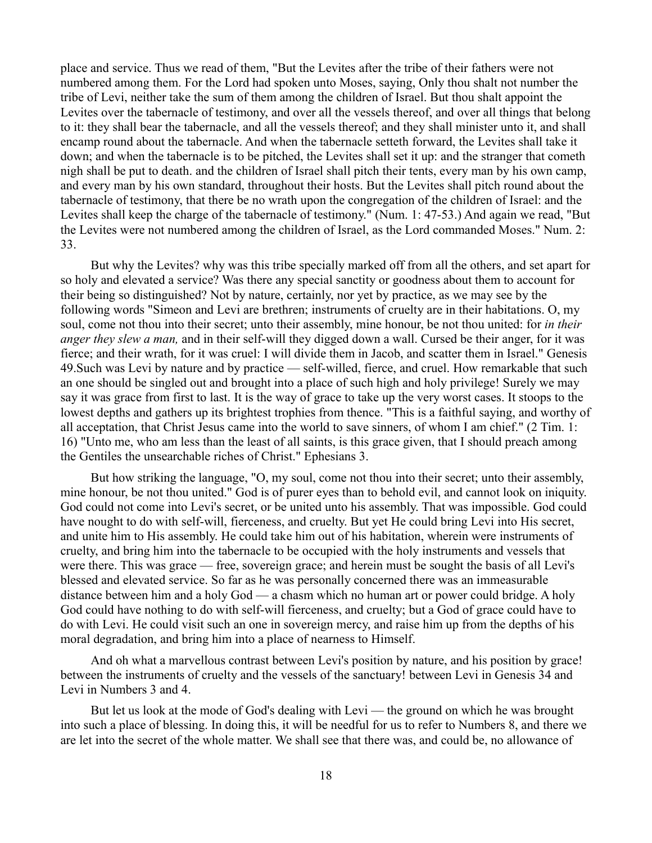place and service. Thus we read of them, "But the Levites after the tribe of their fathers were not numbered among them. For the Lord had spoken unto Moses, saying, Only thou shalt not number the tribe of Levi, neither take the sum of them among the children of Israel. But thou shalt appoint the Levites over the tabernacle of testimony, and over all the vessels thereof, and over all things that belong to it: they shall bear the tabernacle, and all the vessels thereof; and they shall minister unto it, and shall encamp round about the tabernacle. And when the tabernacle setteth forward, the Levites shall take it down; and when the tabernacle is to be pitched, the Levites shall set it up: and the stranger that cometh nigh shall be put to death. and the children of Israel shall pitch their tents, every man by his own camp, and every man by his own standard, throughout their hosts. But the Levites shall pitch round about the tabernacle of testimony, that there be no wrath upon the congregation of the children of Israel: and the Levites shall keep the charge of the tabernacle of testimony." (Num. 1: 47-53.) And again we read, "But the Levites were not numbered among the children of Israel, as the Lord commanded Moses." Num. 2: 33.

But why the Levites? why was this tribe specially marked off from all the others, and set apart for so holy and elevated a service? Was there any special sanctity or goodness about them to account for their being so distinguished? Not by nature, certainly, nor yet by practice, as we may see by the following words "Simeon and Levi are brethren; instruments of cruelty are in their habitations. O, my soul, come not thou into their secret; unto their assembly, mine honour, be not thou united: for *in their anger they slew a man,* and in their self-will they digged down a wall. Cursed be their anger, for it was fierce; and their wrath, for it was cruel: I will divide them in Jacob, and scatter them in Israel." Genesis 49.Such was Levi by nature and by practice — self-willed, fierce, and cruel. How remarkable that such an one should be singled out and brought into a place of such high and holy privilege! Surely we may say it was grace from first to last. It is the way of grace to take up the very worst cases. It stoops to the lowest depths and gathers up its brightest trophies from thence. "This is a faithful saying, and worthy of all acceptation, that Christ Jesus came into the world to save sinners, of whom I am chief." (2 Tim. 1: 16) "Unto me, who am less than the least of all saints, is this grace given, that I should preach among the Gentiles the unsearchable riches of Christ." Ephesians 3.

But how striking the language, "O, my soul, come not thou into their secret; unto their assembly, mine honour, be not thou united." God is of purer eyes than to behold evil, and cannot look on iniquity. God could not come into Levi's secret, or be united unto his assembly. That was impossible. God could have nought to do with self-will, fierceness, and cruelty. But yet He could bring Levi into His secret, and unite him to His assembly. He could take him out of his habitation, wherein were instruments of cruelty, and bring him into the tabernacle to be occupied with the holy instruments and vessels that were there. This was grace — free, sovereign grace; and herein must be sought the basis of all Levi's blessed and elevated service. So far as he was personally concerned there was an immeasurable distance between him and a holy God — a chasm which no human art or power could bridge. A holy God could have nothing to do with self-will fierceness, and cruelty; but a God of grace could have to do with Levi. He could visit such an one in sovereign mercy, and raise him up from the depths of his moral degradation, and bring him into a place of nearness to Himself.

And oh what a marvellous contrast between Levi's position by nature, and his position by grace! between the instruments of cruelty and the vessels of the sanctuary! between Levi in Genesis 34 and Levi in Numbers 3 and 4.

But let us look at the mode of God's dealing with Levi — the ground on which he was brought into such a place of blessing. In doing this, it will be needful for us to refer to Numbers 8, and there we are let into the secret of the whole matter. We shall see that there was, and could be, no allowance of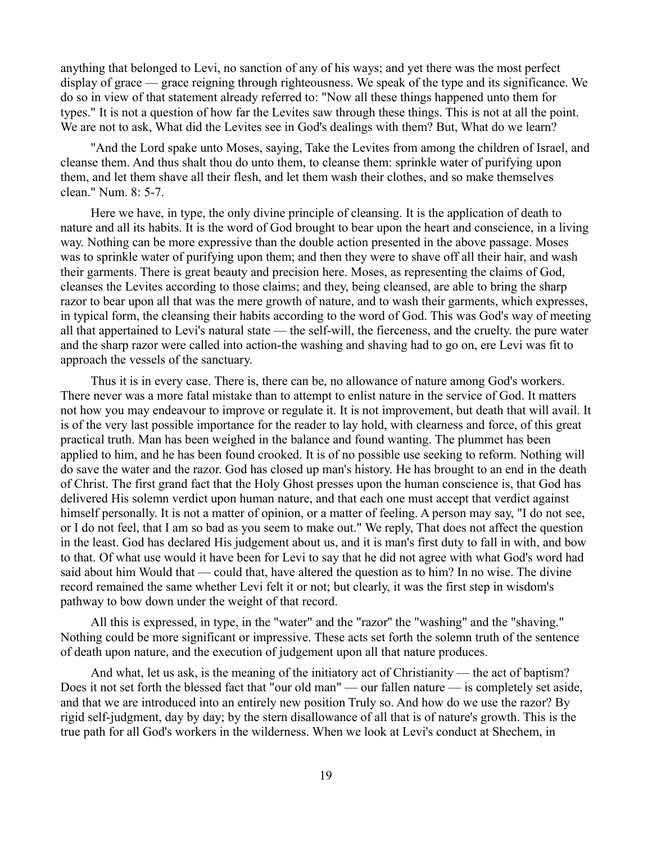anything that belonged to Levi, no sanction of any of his ways; and yet there was the most perfect display of grace — grace reigning through righteousness. We speak of the type and its significance. We do so in view of that statement already referred to: "Now all these things happened unto them for types." It is not a question of how far the Levites saw through these things. This is not at all the point. We are not to ask, What did the Levites see in God's dealings with them? But, What do we learn?

"And the Lord spake unto Moses, saying, Take the Levites from among the children of Israel, and cleanse them. And thus shalt thou do unto them, to cleanse them: sprinkle water of purifying upon them, and let them shave all their flesh, and let them wash their clothes, and so make themselves clean." Num. 8: 5-7.

Here we have, in type, the only divine principle of cleansing. It is the application of death to nature and all its habits. It is the word of God brought to bear upon the heart and conscience, in a living way. Nothing can be more expressive than the double action presented in the above passage. Moses was to sprinkle water of purifying upon them; and then they were to shave off all their hair, and wash their garments. There is great beauty and precision here. Moses, as representing the claims of God, cleanses the Levites according to those claims; and they, being cleansed, are able to bring the sharp razor to bear upon all that was the mere growth of nature, and to wash their garments, which expresses, in typical form, the cleansing their habits according to the word of God. This was God's way of meeting all that appertained to Levi's natural state — the self-will, the fierceness, and the cruelty. the pure water and the sharp razor were called into action-the washing and shaving had to go on, ere Levi was fit to approach the vessels of the sanctuary.

Thus it is in every case. There is, there can be, no allowance of nature among God's workers. There never was a more fatal mistake than to attempt to enlist nature in the service of God. It matters not how you may endeavour to improve or regulate it. It is not improvement, but death that will avail. It is of the very last possible importance for the reader to lay hold, with clearness and force, of this great practical truth. Man has been weighed in the balance and found wanting. The plummet has been applied to him, and he has been found crooked. It is of no possible use seeking to reform. Nothing will do save the water and the razor. God has closed up man's history. He has brought to an end in the death of Christ. The first grand fact that the Holy Ghost presses upon the human conscience is, that God has delivered His solemn verdict upon human nature, and that each one must accept that verdict against himself personally. It is not a matter of opinion, or a matter of feeling. A person may say, "I do not see, or I do not feel, that I am so bad as you seem to make out." We reply, That does not affect the question in the least. God has declared His judgement about us, and it is man's first duty to fall in with, and bow to that. Of what use would it have been for Levi to say that he did not agree with what God's word had said about him Would that — could that, have altered the question as to him? In no wise. The divine record remained the same whether Levi felt it or not; but clearly, it was the first step in wisdom's pathway to bow down under the weight of that record.

All this is expressed, in type, in the "water" and the "razor'' the "washing" and the "shaving." Nothing could be more significant or impressive. These acts set forth the solemn truth of the sentence of death upon nature, and the execution of judgement upon all that nature produces.

And what, let us ask, is the meaning of the initiatory act of Christianity — the act of baptism? Does it not set forth the blessed fact that "our old man" — our fallen nature — is completely set aside, and that we are introduced into an entirely new position Truly so. And how do we use the razor? By rigid self-judgment, day by day; by the stern disallowance of all that is of nature's growth. This is the true path for all God's workers in the wilderness. When we look at Levi's conduct at Shechem, in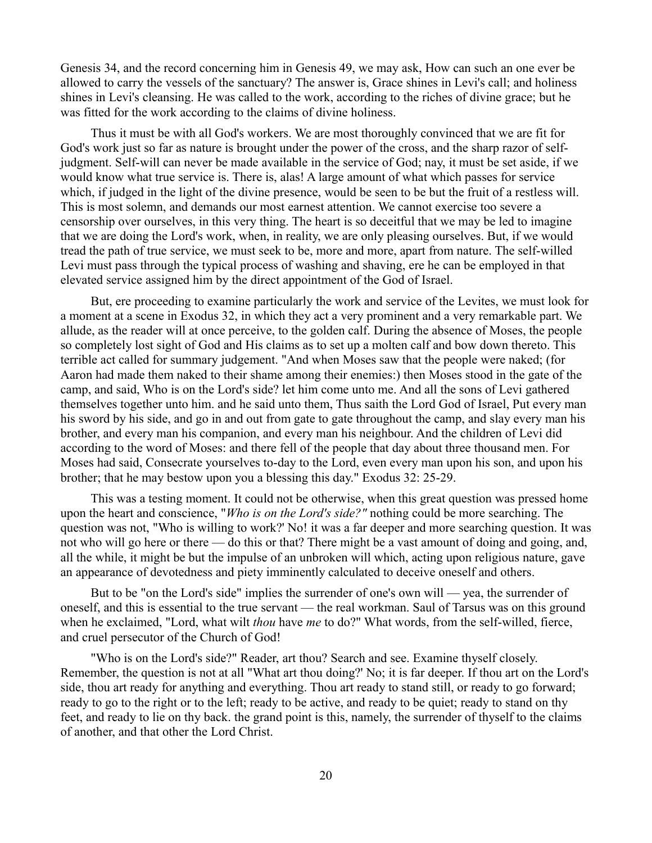Genesis 34, and the record concerning him in Genesis 49, we may ask, How can such an one ever be allowed to carry the vessels of the sanctuary? The answer is, Grace shines in Levi's call; and holiness shines in Levi's cleansing. He was called to the work, according to the riches of divine grace; but he was fitted for the work according to the claims of divine holiness.

Thus it must be with all God's workers. We are most thoroughly convinced that we are fit for God's work just so far as nature is brought under the power of the cross, and the sharp razor of selfjudgment. Self-will can never be made available in the service of God; nay, it must be set aside, if we would know what true service is. There is, alas! A large amount of what which passes for service which, if judged in the light of the divine presence, would be seen to be but the fruit of a restless will. This is most solemn, and demands our most earnest attention. We cannot exercise too severe a censorship over ourselves, in this very thing. The heart is so deceitful that we may be led to imagine that we are doing the Lord's work, when, in reality, we are only pleasing ourselves. But, if we would tread the path of true service, we must seek to be, more and more, apart from nature. The self-willed Levi must pass through the typical process of washing and shaving, ere he can be employed in that elevated service assigned him by the direct appointment of the God of Israel.

But, ere proceeding to examine particularly the work and service of the Levites, we must look for a moment at a scene in Exodus 32, in which they act a very prominent and a very remarkable part. We allude, as the reader will at once perceive, to the golden calf. During the absence of Moses, the people so completely lost sight of God and His claims as to set up a molten calf and bow down thereto. This terrible act called for summary judgement. "And when Moses saw that the people were naked; (for Aaron had made them naked to their shame among their enemies:) then Moses stood in the gate of the camp, and said, Who is on the Lord's side? let him come unto me. And all the sons of Levi gathered themselves together unto him. and he said unto them, Thus saith the Lord God of Israel, Put every man his sword by his side, and go in and out from gate to gate throughout the camp, and slay every man his brother, and every man his companion, and every man his neighbour. And the children of Levi did according to the word of Moses: and there fell of the people that day about three thousand men. For Moses had said, Consecrate yourselves to-day to the Lord, even every man upon his son, and upon his brother; that he may bestow upon you a blessing this day." Exodus 32: 25-29.

This was a testing moment. It could not be otherwise, when this great question was pressed home upon the heart and conscience, "*Who is on the Lord's side?"* nothing could be more searching. The question was not, "Who is willing to work?' No! it was a far deeper and more searching question. It was not who will go here or there — do this or that? There might be a vast amount of doing and going, and, all the while, it might be but the impulse of an unbroken will which, acting upon religious nature, gave an appearance of devotedness and piety imminently calculated to deceive oneself and others.

But to be "on the Lord's side" implies the surrender of one's own will — yea, the surrender of oneself, and this is essential to the true servant — the real workman. Saul of Tarsus was on this ground when he exclaimed, "Lord, what wilt *thou* have *me* to do?" What words, from the self-willed, fierce, and cruel persecutor of the Church of God!

"Who is on the Lord's side?" Reader, art thou? Search and see. Examine thyself closely. Remember, the question is not at all "What art thou doing?' No; it is far deeper. If thou art on the Lord's side, thou art ready for anything and everything. Thou art ready to stand still, or ready to go forward; ready to go to the right or to the left; ready to be active, and ready to be quiet; ready to stand on thy feet, and ready to lie on thy back. the grand point is this, namely, the surrender of thyself to the claims of another, and that other the Lord Christ.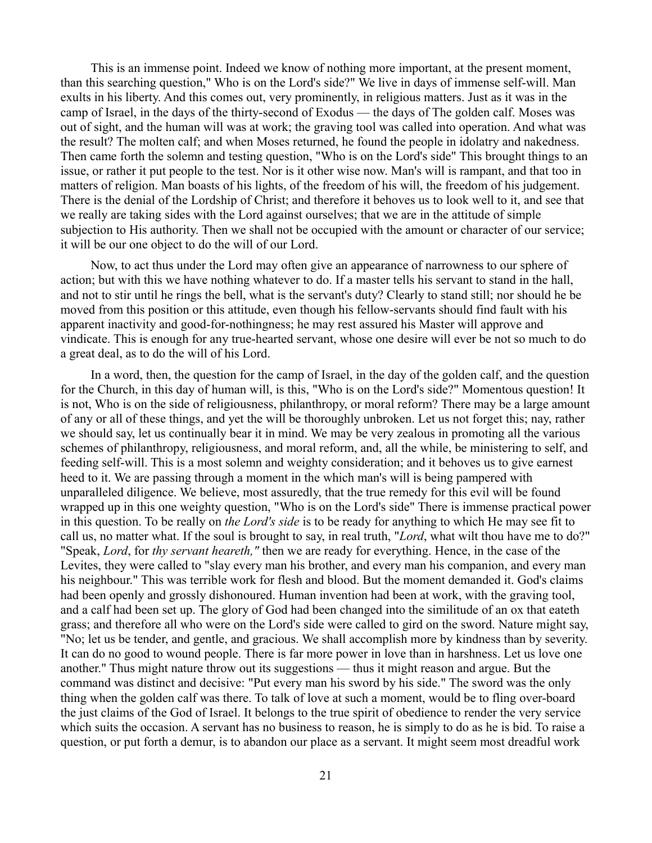This is an immense point. Indeed we know of nothing more important, at the present moment, than this searching question," Who is on the Lord's side?" We live in days of immense self-will. Man exults in his liberty. And this comes out, very prominently, in religious matters. Just as it was in the camp of Israel, in the days of the thirty-second of Exodus — the days of The golden calf. Moses was out of sight, and the human will was at work; the graving tool was called into operation. And what was the result? The molten calf; and when Moses returned, he found the people in idolatry and nakedness. Then came forth the solemn and testing question, "Who is on the Lord's side" This brought things to an issue, or rather it put people to the test. Nor is it other wise now. Man's will is rampant, and that too in matters of religion. Man boasts of his lights, of the freedom of his will, the freedom of his judgement. There is the denial of the Lordship of Christ; and therefore it behoves us to look well to it, and see that we really are taking sides with the Lord against ourselves; that we are in the attitude of simple subjection to His authority. Then we shall not be occupied with the amount or character of our service; it will be our one object to do the will of our Lord.

Now, to act thus under the Lord may often give an appearance of narrowness to our sphere of action; but with this we have nothing whatever to do. If a master tells his servant to stand in the hall, and not to stir until he rings the bell, what is the servant's duty? Clearly to stand still; nor should he be moved from this position or this attitude, even though his fellow-servants should find fault with his apparent inactivity and good-for-nothingness; he may rest assured his Master will approve and vindicate. This is enough for any true-hearted servant, whose one desire will ever be not so much to do a great deal, as to do the will of his Lord.

In a word, then, the question for the camp of Israel, in the day of the golden calf, and the question for the Church, in this day of human will, is this, "Who is on the Lord's side?" Momentous question! It is not, Who is on the side of religiousness, philanthropy, or moral reform? There may be a large amount of any or all of these things, and yet the will be thoroughly unbroken. Let us not forget this; nay, rather we should say, let us continually bear it in mind. We may be very zealous in promoting all the various schemes of philanthropy, religiousness, and moral reform, and, all the while, be ministering to self, and feeding self-will. This is a most solemn and weighty consideration; and it behoves us to give earnest heed to it. We are passing through a moment in the which man's will is being pampered with unparalleled diligence. We believe, most assuredly, that the true remedy for this evil will be found wrapped up in this one weighty question, "Who is on the Lord's side" There is immense practical power in this question. To be really on *the Lord's side* is to be ready for anything to which He may see fit to call us, no matter what. If the soul is brought to say, in real truth, "*Lord*, what wilt thou have me to do?" "Speak, *Lord*, for *thy servant heareth,"* then we are ready for everything. Hence, in the case of the Levites, they were called to "slay every man his brother, and every man his companion, and every man his neighbour." This was terrible work for flesh and blood. But the moment demanded it. God's claims had been openly and grossly dishonoured. Human invention had been at work, with the graving tool, and a calf had been set up. The glory of God had been changed into the similitude of an ox that eateth grass; and therefore all who were on the Lord's side were called to gird on the sword. Nature might say, "No; let us be tender, and gentle, and gracious. We shall accomplish more by kindness than by severity. It can do no good to wound people. There is far more power in love than in harshness. Let us love one another." Thus might nature throw out its suggestions — thus it might reason and argue. But the command was distinct and decisive: "Put every man his sword by his side." The sword was the only thing when the golden calf was there. To talk of love at such a moment, would be to fling over-board the just claims of the God of Israel. It belongs to the true spirit of obedience to render the very service which suits the occasion. A servant has no business to reason, he is simply to do as he is bid. To raise a question, or put forth a demur, is to abandon our place as a servant. It might seem most dreadful work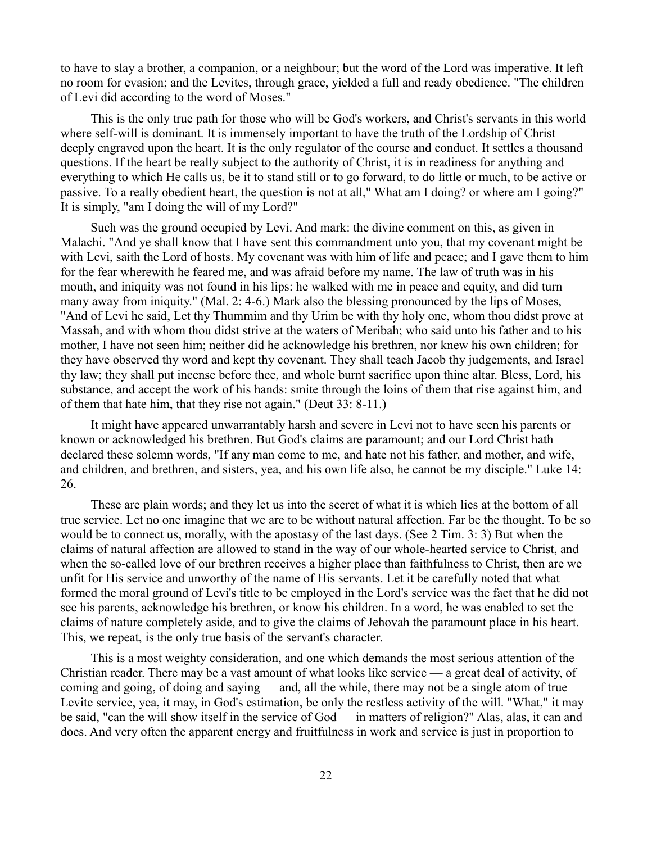to have to slay a brother, a companion, or a neighbour; but the word of the Lord was imperative. It left no room for evasion; and the Levites, through grace, yielded a full and ready obedience. "The children of Levi did according to the word of Moses."

This is the only true path for those who will be God's workers, and Christ's servants in this world where self-will is dominant. It is immensely important to have the truth of the Lordship of Christ deeply engraved upon the heart. It is the only regulator of the course and conduct. It settles a thousand questions. If the heart be really subject to the authority of Christ, it is in readiness for anything and everything to which He calls us, be it to stand still or to go forward, to do little or much, to be active or passive. To a really obedient heart, the question is not at all," What am I doing? or where am I going?" It is simply, "am I doing the will of my Lord?"

Such was the ground occupied by Levi. And mark: the divine comment on this, as given in Malachi. "And ye shall know that I have sent this commandment unto you, that my covenant might be with Levi, saith the Lord of hosts. My covenant was with him of life and peace; and I gave them to him for the fear wherewith he feared me, and was afraid before my name. The law of truth was in his mouth, and iniquity was not found in his lips: he walked with me in peace and equity, and did turn many away from iniquity." (Mal. 2: 4-6.) Mark also the blessing pronounced by the lips of Moses, "And of Levi he said, Let thy Thummim and thy Urim be with thy holy one, whom thou didst prove at Massah, and with whom thou didst strive at the waters of Meribah; who said unto his father and to his mother, I have not seen him; neither did he acknowledge his brethren, nor knew his own children; for they have observed thy word and kept thy covenant. They shall teach Jacob thy judgements, and Israel thy law; they shall put incense before thee, and whole burnt sacrifice upon thine altar. Bless, Lord, his substance, and accept the work of his hands: smite through the loins of them that rise against him, and of them that hate him, that they rise not again." (Deut 33: 8-11.)

It might have appeared unwarrantably harsh and severe in Levi not to have seen his parents or known or acknowledged his brethren. But God's claims are paramount; and our Lord Christ hath declared these solemn words, "If any man come to me, and hate not his father, and mother, and wife, and children, and brethren, and sisters, yea, and his own life also, he cannot be my disciple." Luke 14: 26.

These are plain words; and they let us into the secret of what it is which lies at the bottom of all true service. Let no one imagine that we are to be without natural affection. Far be the thought. To be so would be to connect us, morally, with the apostasy of the last days. (See 2 Tim. 3: 3) But when the claims of natural affection are allowed to stand in the way of our whole-hearted service to Christ, and when the so-called love of our brethren receives a higher place than faithfulness to Christ, then are we unfit for His service and unworthy of the name of His servants. Let it be carefully noted that what formed the moral ground of Levi's title to be employed in the Lord's service was the fact that he did not see his parents, acknowledge his brethren, or know his children. In a word, he was enabled to set the claims of nature completely aside, and to give the claims of Jehovah the paramount place in his heart. This, we repeat, is the only true basis of the servant's character.

This is a most weighty consideration, and one which demands the most serious attention of the Christian reader. There may be a vast amount of what looks like service — a great deal of activity, of coming and going, of doing and saying — and, all the while, there may not be a single atom of true Levite service, yea, it may, in God's estimation, be only the restless activity of the will. "What," it may be said, "can the will show itself in the service of God — in matters of religion?" Alas, alas, it can and does. And very often the apparent energy and fruitfulness in work and service is just in proportion to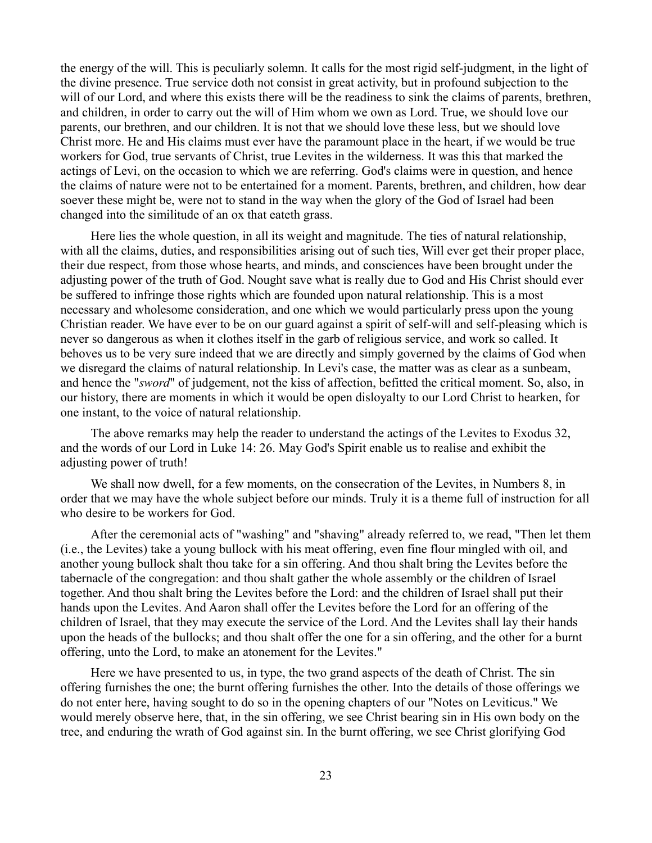the energy of the will. This is peculiarly solemn. It calls for the most rigid self-judgment, in the light of the divine presence. True service doth not consist in great activity, but in profound subjection to the will of our Lord, and where this exists there will be the readiness to sink the claims of parents, brethren, and children, in order to carry out the will of Him whom we own as Lord. True, we should love our parents, our brethren, and our children. It is not that we should love these less, but we should love Christ more. He and His claims must ever have the paramount place in the heart, if we would be true workers for God, true servants of Christ, true Levites in the wilderness. It was this that marked the actings of Levi, on the occasion to which we are referring. God's claims were in question, and hence the claims of nature were not to be entertained for a moment. Parents, brethren, and children, how dear soever these might be, were not to stand in the way when the glory of the God of Israel had been changed into the similitude of an ox that eateth grass.

Here lies the whole question, in all its weight and magnitude. The ties of natural relationship, with all the claims, duties, and responsibilities arising out of such ties, Will ever get their proper place, their due respect, from those whose hearts, and minds, and consciences have been brought under the adjusting power of the truth of God. Nought save what is really due to God and His Christ should ever be suffered to infringe those rights which are founded upon natural relationship. This is a most necessary and wholesome consideration, and one which we would particularly press upon the young Christian reader. We have ever to be on our guard against a spirit of self-will and self-pleasing which is never so dangerous as when it clothes itself in the garb of religious service, and work so called. It behoves us to be very sure indeed that we are directly and simply governed by the claims of God when we disregard the claims of natural relationship. In Levi's case, the matter was as clear as a sunbeam, and hence the "*sword*" of judgement, not the kiss of affection, befitted the critical moment. So, also, in our history, there are moments in which it would be open disloyalty to our Lord Christ to hearken, for one instant, to the voice of natural relationship.

The above remarks may help the reader to understand the actings of the Levites to Exodus 32, and the words of our Lord in Luke 14: 26. May God's Spirit enable us to realise and exhibit the adjusting power of truth!

We shall now dwell, for a few moments, on the consecration of the Levites, in Numbers 8, in order that we may have the whole subject before our minds. Truly it is a theme full of instruction for all who desire to be workers for God.

After the ceremonial acts of "washing" and "shaving" already referred to, we read, "Then let them (i.e., the Levites) take a young bullock with his meat offering, even fine flour mingled with oil, and another young bullock shalt thou take for a sin offering. And thou shalt bring the Levites before the tabernacle of the congregation: and thou shalt gather the whole assembly or the children of Israel together. And thou shalt bring the Levites before the Lord: and the children of Israel shall put their hands upon the Levites. And Aaron shall offer the Levites before the Lord for an offering of the children of Israel, that they may execute the service of the Lord. And the Levites shall lay their hands upon the heads of the bullocks; and thou shalt offer the one for a sin offering, and the other for a burnt offering, unto the Lord, to make an atonement for the Levites."

Here we have presented to us, in type, the two grand aspects of the death of Christ. The sin offering furnishes the one; the burnt offering furnishes the other. Into the details of those offerings we do not enter here, having sought to do so in the opening chapters of our "Notes on Leviticus." We would merely observe here, that, in the sin offering, we see Christ bearing sin in His own body on the tree, and enduring the wrath of God against sin. In the burnt offering, we see Christ glorifying God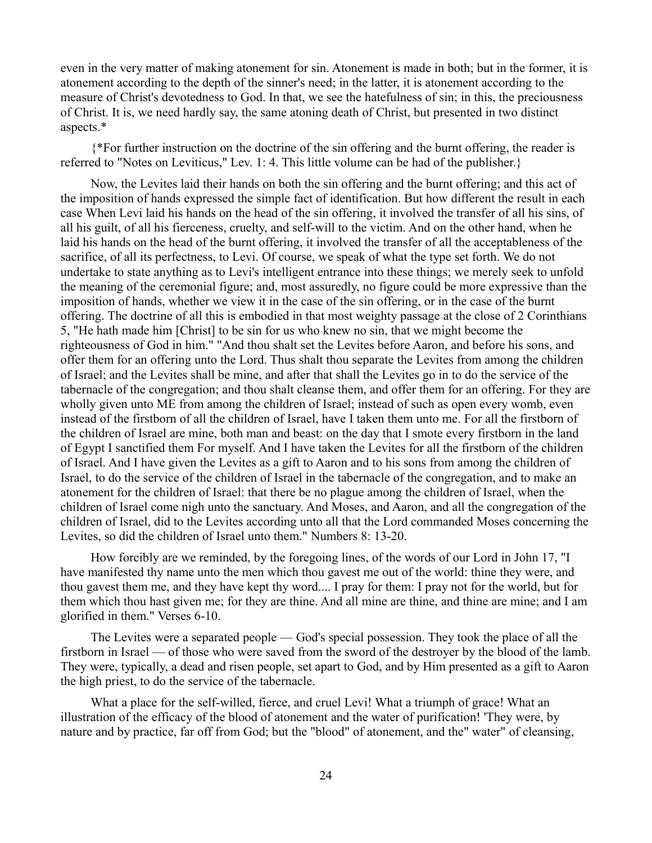even in the very matter of making atonement for sin. Atonement is made in both; but in the former, it is atonement according to the depth of the sinner's need; in the latter, it is atonement according to the measure of Christ's devotedness to God. In that, we see the hatefulness of sin; in this, the preciousness of Christ. It is, we need hardly say, the same atoning death of Christ, but presented in two distinct aspects.\*

{\*For further instruction on the doctrine of the sin offering and the burnt offering, the reader is referred to "Notes on Leviticus," Lev. 1: 4. This little volume can be had of the publisher.}

Now, the Levites laid their hands on both the sin offering and the burnt offering; and this act of the imposition of hands expressed the simple fact of identification. But how different the result in each case When Levi laid his hands on the head of the sin offering, it involved the transfer of all his sins, of all his guilt, of all his fierceness, cruelty, and self-will to the victim. And on the other hand, when he laid his hands on the head of the burnt offering, it involved the transfer of all the acceptableness of the sacrifice, of all its perfectness, to Levi. Of course, we speak of what the type set forth. We do not undertake to state anything as to Levi's intelligent entrance into these things; we merely seek to unfold the meaning of the ceremonial figure; and, most assuredly, no figure could be more expressive than the imposition of hands, whether we view it in the case of the sin offering, or in the case of the burnt offering. The doctrine of all this is embodied in that most weighty passage at the close of 2 Corinthians 5, "He hath made him [Christ] to be sin for us who knew no sin, that we might become the righteousness of God in him." "And thou shalt set the Levites before Aaron, and before his sons, and offer them for an offering unto the Lord. Thus shalt thou separate the Levites from among the children of Israel; and the Levites shall be mine, and after that shall the Levites go in to do the service of the tabernacle of the congregation; and thou shalt cleanse them, and offer them for an offering. For they are wholly given unto ME from among the children of Israel; instead of such as open every womb, even instead of the firstborn of all the children of Israel, have I taken them unto me. For all the firstborn of the children of Israel are mine, both man and beast: on the day that I smote every firstborn in the land of Egypt I sanctified them For myself. And I have taken the Levites for all the firstborn of the children of Israel. And I have given the Levites as a gift to Aaron and to his sons from among the children of Israel, to do the service of the children of Israel in the tabernacle of the congregation, and to make an atonement for the children of Israel: that there be no plague among the children of Israel, when the children of Israel come nigh unto the sanctuary. And Moses, and Aaron, and all the congregation of the children of Israel, did to the Levites according unto all that the Lord commanded Moses concerning the Levites, so did the children of Israel unto them." Numbers 8: 13-20.

How forcibly are we reminded, by the foregoing lines, of the words of our Lord in John 17, "I have manifested thy name unto the men which thou gavest me out of the world: thine they were, and thou gavest them me, and they have kept thy word.... I pray for them: I pray not for the world, but for them which thou hast given me; for they are thine. And all mine are thine, and thine are mine; and I am glorified in them." Verses 6-10.

The Levites were a separated people — God's special possession. They took the place of all the firstborn in Israel — of those who were saved from the sword of the destroyer by the blood of the lamb. They were, typically, a dead and risen people, set apart to God, and by Him presented as a gift to Aaron the high priest, to do the service of the tabernacle.

What a place for the self-willed, fierce, and cruel Levi! What a triumph of grace! What an illustration of the efficacy of the blood of atonement and the water of purification! 'They were, by nature and by practice, far off from God; but the "blood" of atonement, and the" water" of cleansing,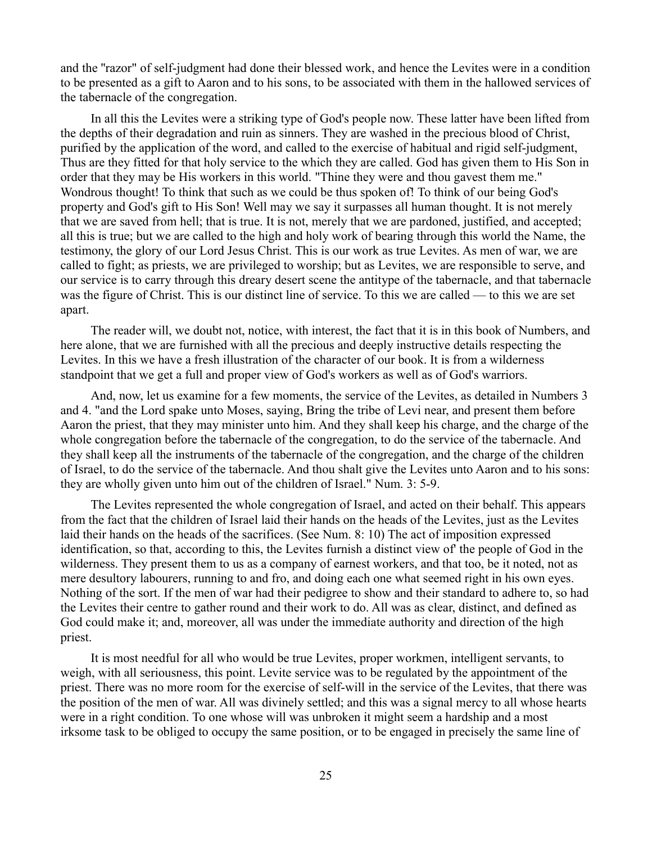and the ''razor" of self-judgment had done their blessed work, and hence the Levites were in a condition to be presented as a gift to Aaron and to his sons, to be associated with them in the hallowed services of the tabernacle of the congregation.

In all this the Levites were a striking type of God's people now. These latter have been lifted from the depths of their degradation and ruin as sinners. They are washed in the precious blood of Christ, purified by the application of the word, and called to the exercise of habitual and rigid self-judgment, Thus are they fitted for that holy service to the which they are called. God has given them to His Son in order that they may be His workers in this world. "Thine they were and thou gavest them me." Wondrous thought! To think that such as we could be thus spoken of! To think of our being God's property and God's gift to His Son! Well may we say it surpasses all human thought. It is not merely that we are saved from hell; that is true. It is not, merely that we are pardoned, justified, and accepted; all this is true; but we are called to the high and holy work of bearing through this world the Name, the testimony, the glory of our Lord Jesus Christ. This is our work as true Levites. As men of war, we are called to fight; as priests, we are privileged to worship; but as Levites, we are responsible to serve, and our service is to carry through this dreary desert scene the antitype of the tabernacle, and that tabernacle was the figure of Christ. This is our distinct line of service. To this we are called — to this we are set apart.

The reader will, we doubt not, notice, with interest, the fact that it is in this book of Numbers, and here alone, that we are furnished with all the precious and deeply instructive details respecting the Levites. In this we have a fresh illustration of the character of our book. It is from a wilderness standpoint that we get a full and proper view of God's workers as well as of God's warriors.

And, now, let us examine for a few moments, the service of the Levites, as detailed in Numbers 3 and 4. "and the Lord spake unto Moses, saying, Bring the tribe of Levi near, and present them before Aaron the priest, that they may minister unto him. And they shall keep his charge, and the charge of the whole congregation before the tabernacle of the congregation, to do the service of the tabernacle. And they shall keep all the instruments of the tabernacle of the congregation, and the charge of the children of Israel, to do the service of the tabernacle. And thou shalt give the Levites unto Aaron and to his sons: they are wholly given unto him out of the children of Israel." Num. 3: 5-9.

The Levites represented the whole congregation of Israel, and acted on their behalf. This appears from the fact that the children of Israel laid their hands on the heads of the Levites, just as the Levites laid their hands on the heads of the sacrifices. (See Num. 8: 10) The act of imposition expressed identification, so that, according to this, the Levites furnish a distinct view of' the people of God in the wilderness. They present them to us as a company of earnest workers, and that too, be it noted, not as mere desultory labourers, running to and fro, and doing each one what seemed right in his own eyes. Nothing of the sort. If the men of war had their pedigree to show and their standard to adhere to, so had the Levites their centre to gather round and their work to do. All was as clear, distinct, and defined as God could make it; and, moreover, all was under the immediate authority and direction of the high priest.

It is most needful for all who would be true Levites, proper workmen, intelligent servants, to weigh, with all seriousness, this point. Levite service was to be regulated by the appointment of the priest. There was no more room for the exercise of self-will in the service of the Levites, that there was the position of the men of war. All was divinely settled; and this was a signal mercy to all whose hearts were in a right condition. To one whose will was unbroken it might seem a hardship and a most irksome task to be obliged to occupy the same position, or to be engaged in precisely the same line of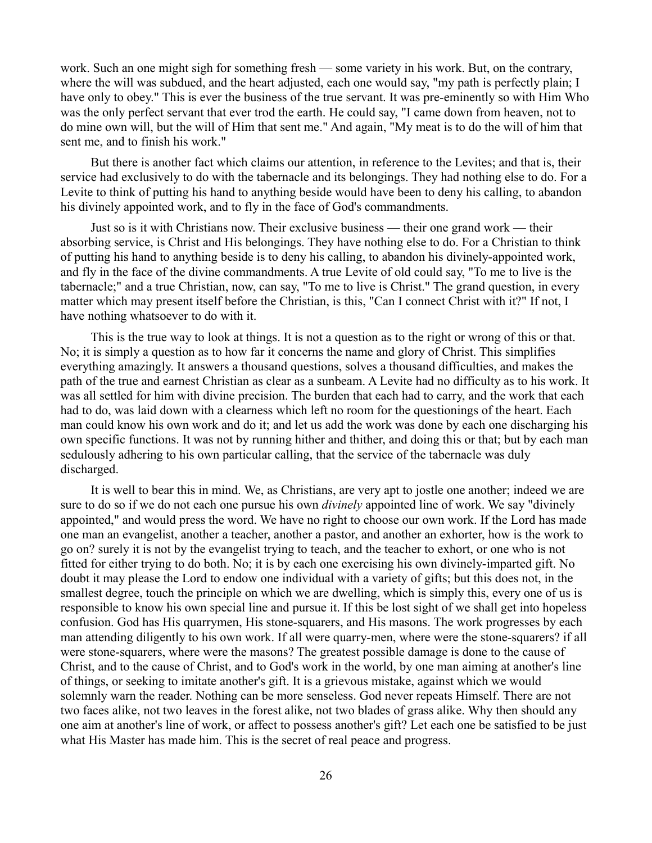work. Such an one might sigh for something fresh — some variety in his work. But, on the contrary, where the will was subdued, and the heart adjusted, each one would say, "my path is perfectly plain; I have only to obey." This is ever the business of the true servant. It was pre-eminently so with Him Who was the only perfect servant that ever trod the earth. He could say, "I came down from heaven, not to do mine own will, but the will of Him that sent me." And again, "My meat is to do the will of him that sent me, and to finish his work."

But there is another fact which claims our attention, in reference to the Levites; and that is, their service had exclusively to do with the tabernacle and its belongings. They had nothing else to do. For a Levite to think of putting his hand to anything beside would have been to deny his calling, to abandon his divinely appointed work, and to fly in the face of God's commandments.

Just so is it with Christians now. Their exclusive business — their one grand work — their absorbing service, is Christ and His belongings. They have nothing else to do. For a Christian to think of putting his hand to anything beside is to deny his calling, to abandon his divinely-appointed work, and fly in the face of the divine commandments. A true Levite of old could say, "To me to live is the tabernacle;" and a true Christian, now, can say, "To me to live is Christ." The grand question, in every matter which may present itself before the Christian, is this, "Can I connect Christ with it?" If not, I have nothing whatsoever to do with it.

This is the true way to look at things. It is not a question as to the right or wrong of this or that. No; it is simply a question as to how far it concerns the name and glory of Christ. This simplifies everything amazingly. It answers a thousand questions, solves a thousand difficulties, and makes the path of the true and earnest Christian as clear as a sunbeam. A Levite had no difficulty as to his work. It was all settled for him with divine precision. The burden that each had to carry, and the work that each had to do, was laid down with a clearness which left no room for the questionings of the heart. Each man could know his own work and do it; and let us add the work was done by each one discharging his own specific functions. It was not by running hither and thither, and doing this or that; but by each man sedulously adhering to his own particular calling, that the service of the tabernacle was duly discharged.

It is well to bear this in mind. We, as Christians, are very apt to jostle one another; indeed we are sure to do so if we do not each one pursue his own *divinely* appointed line of work. We say "divinely appointed," and would press the word. We have no right to choose our own work. If the Lord has made one man an evangelist, another a teacher, another a pastor, and another an exhorter, how is the work to go on? surely it is not by the evangelist trying to teach, and the teacher to exhort, or one who is not fitted for either trying to do both. No; it is by each one exercising his own divinely-imparted gift. No doubt it may please the Lord to endow one individual with a variety of gifts; but this does not, in the smallest degree, touch the principle on which we are dwelling, which is simply this, every one of us is responsible to know his own special line and pursue it. If this be lost sight of we shall get into hopeless confusion. God has His quarrymen, His stone-squarers, and His masons. The work progresses by each man attending diligently to his own work. If all were quarry-men, where were the stone-squarers? if all were stone-squarers, where were the masons? The greatest possible damage is done to the cause of Christ, and to the cause of Christ, and to God's work in the world, by one man aiming at another's line of things, or seeking to imitate another's gift. It is a grievous mistake, against which we would solemnly warn the reader. Nothing can be more senseless. God never repeats Himself. There are not two faces alike, not two leaves in the forest alike, not two blades of grass alike. Why then should any one aim at another's line of work, or affect to possess another's gift? Let each one be satisfied to be just what His Master has made him. This is the secret of real peace and progress.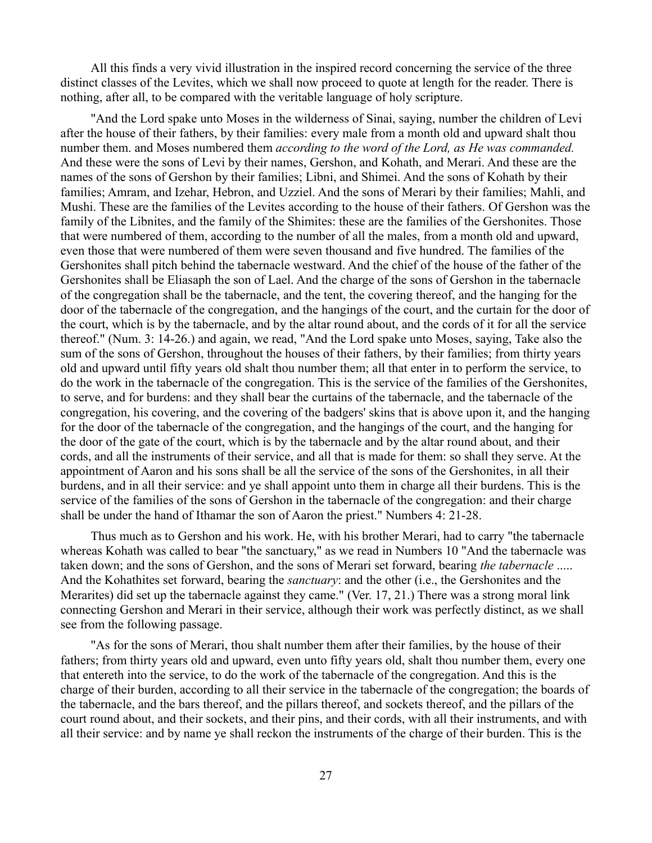All this finds a very vivid illustration in the inspired record concerning the service of the three distinct classes of the Levites, which we shall now proceed to quote at length for the reader. There is nothing, after all, to be compared with the veritable language of holy scripture.

"And the Lord spake unto Moses in the wilderness of Sinai, saying, number the children of Levi after the house of their fathers, by their families: every male from a month old and upward shalt thou number them. and Moses numbered them *according to the word of the Lord, as He was commanded.* And these were the sons of Levi by their names, Gershon, and Kohath, and Merari. And these are the names of the sons of Gershon by their families; Libni, and Shimei. And the sons of Kohath by their families; Amram, and Izehar, Hebron, and Uzziel. And the sons of Merari by their families; Mahli, and Mushi. These are the families of the Levites according to the house of their fathers. Of Gershon was the family of the Libnites, and the family of the Shimites: these are the families of the Gershonites. Those that were numbered of them, according to the number of all the males, from a month old and upward, even those that were numbered of them were seven thousand and five hundred. The families of the Gershonites shall pitch behind the tabernacle westward. And the chief of the house of the father of the Gershonites shall be Eliasaph the son of Lael. And the charge of the sons of Gershon in the tabernacle of the congregation shall be the tabernacle, and the tent, the covering thereof, and the hanging for the door of the tabernacle of the congregation, and the hangings of the court, and the curtain for the door of the court, which is by the tabernacle, and by the altar round about, and the cords of it for all the service thereof." (Num. 3: 14-26.) and again, we read, "And the Lord spake unto Moses, saying, Take also the sum of the sons of Gershon, throughout the houses of their fathers, by their families; from thirty years old and upward until fifty years old shalt thou number them; all that enter in to perform the service, to do the work in the tabernacle of the congregation. This is the service of the families of the Gershonites, to serve, and for burdens: and they shall bear the curtains of the tabernacle, and the tabernacle of the congregation, his covering, and the covering of the badgers' skins that is above upon it, and the hanging for the door of the tabernacle of the congregation, and the hangings of the court, and the hanging for the door of the gate of the court, which is by the tabernacle and by the altar round about, and their cords, and all the instruments of their service, and all that is made for them: so shall they serve. At the appointment of Aaron and his sons shall be all the service of the sons of the Gershonites, in all their burdens, and in all their service: and ye shall appoint unto them in charge all their burdens. This is the service of the families of the sons of Gershon in the tabernacle of the congregation: and their charge shall be under the hand of Ithamar the son of Aaron the priest." Numbers 4: 21-28.

Thus much as to Gershon and his work. He, with his brother Merari, had to carry "the tabernacle whereas Kohath was called to bear "the sanctuary," as we read in Numbers 10 "And the tabernacle was taken down; and the sons of Gershon, and the sons of Merari set forward, bearing *the tabernacle* ..... And the Kohathites set forward, bearing the *sanctuary*: and the other (i.e., the Gershonites and the Merarites) did set up the tabernacle against they came." (Ver. 17, 21.) There was a strong moral link connecting Gershon and Merari in their service, although their work was perfectly distinct, as we shall see from the following passage.

"As for the sons of Merari, thou shalt number them after their families, by the house of their fathers; from thirty years old and upward, even unto fifty years old, shalt thou number them, every one that entereth into the service, to do the work of the tabernacle of the congregation. And this is the charge of their burden, according to all their service in the tabernacle of the congregation; the boards of the tabernacle, and the bars thereof, and the pillars thereof, and sockets thereof, and the pillars of the court round about, and their sockets, and their pins, and their cords, with all their instruments, and with all their service: and by name ye shall reckon the instruments of the charge of their burden. This is the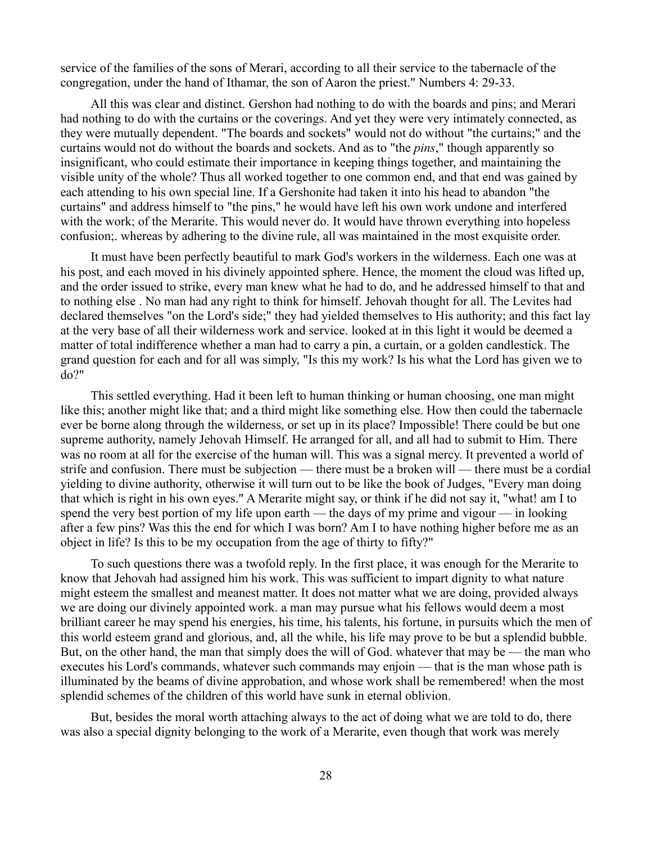service of the families of the sons of Merari, according to all their service to the tabernacle of the congregation, under the hand of Ithamar, the son of Aaron the priest." Numbers 4: 29-33.

All this was clear and distinct. Gershon had nothing to do with the boards and pins; and Merari had nothing to do with the curtains or the coverings. And yet they were very intimately connected, as they were mutually dependent. "The boards and sockets" would not do without "the curtains;" and the curtains would not do without the boards and sockets. And as to "the *pins*," though apparently so insignificant, who could estimate their importance in keeping things together, and maintaining the visible unity of the whole? Thus all worked together to one common end, and that end was gained by each attending to his own special line. If a Gershonite had taken it into his head to abandon "the curtains" and address himself to "the pins," he would have left his own work undone and interfered with the work; of the Merarite. This would never do. It would have thrown everything into hopeless confusion;. whereas by adhering to the divine rule, all was maintained in the most exquisite order.

It must have been perfectly beautiful to mark God's workers in the wilderness. Each one was at his post, and each moved in his divinely appointed sphere. Hence, the moment the cloud was lifted up, and the order issued to strike, every man knew what he had to do, and he addressed himself to that and to nothing else . No man had any right to think for himself. Jehovah thought for all. The Levites had declared themselves "on the Lord's side;" they had yielded themselves to His authority; and this fact lay at the very base of all their wilderness work and service. looked at in this light it would be deemed a matter of total indifference whether a man had to carry a pin, a curtain, or a golden candlestick. The grand question for each and for all was simply, "Is this my work? Is his what the Lord has given we to do?"

This settled everything. Had it been left to human thinking or human choosing, one man might like this; another might like that; and a third might like something else. How then could the tabernacle ever be borne along through the wilderness, or set up in its place? Impossible! There could be but one supreme authority, namely Jehovah Himself. He arranged for all, and all had to submit to Him. There was no room at all for the exercise of the human will. This was a signal mercy. It prevented a world of strife and confusion. There must be subjection — there must be a broken will — there must be a cordial yielding to divine authority, otherwise it will turn out to be like the book of Judges, "Every man doing that which is right in his own eyes." A Merarite might say, or think if he did not say it, "what! am I to spend the very best portion of my life upon earth — the days of my prime and vigour — in looking after a few pins? Was this the end for which I was born? Am I to have nothing higher before me as an object in life? Is this to be my occupation from the age of thirty to fifty?"

To such questions there was a twofold reply. In the first place, it was enough for the Merarite to know that Jehovah had assigned him his work. This was sufficient to impart dignity to what nature might esteem the smallest and meanest matter. It does not matter what we are doing, provided always we are doing our divinely appointed work. a man may pursue what his fellows would deem a most brilliant career he may spend his energies, his time, his talents, his fortune, in pursuits which the men of this world esteem grand and glorious, and, all the while, his life may prove to be but a splendid bubble. But, on the other hand, the man that simply does the will of God. whatever that may be — the man who executes his Lord's commands, whatever such commands may enjoin — that is the man whose path is illuminated by the beams of divine approbation, and whose work shall be remembered! when the most splendid schemes of the children of this world have sunk in eternal oblivion.

But, besides the moral worth attaching always to the act of doing what we are told to do, there was also a special dignity belonging to the work of a Merarite, even though that work was merely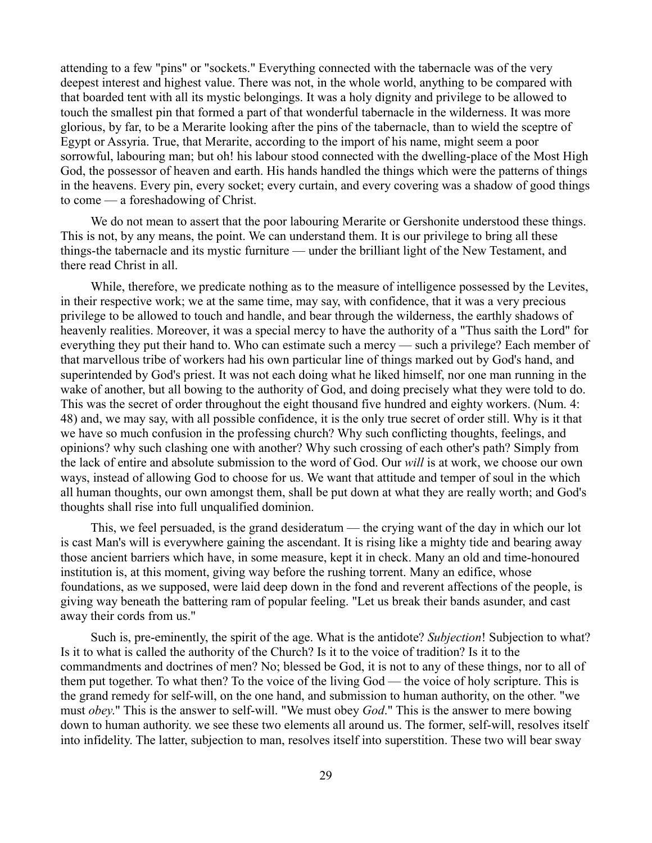attending to a few "pins" or "sockets." Everything connected with the tabernacle was of the very deepest interest and highest value. There was not, in the whole world, anything to be compared with that boarded tent with all its mystic belongings. It was a holy dignity and privilege to be allowed to touch the smallest pin that formed a part of that wonderful tabernacle in the wilderness. It was more glorious, by far, to be a Merarite looking after the pins of the tabernacle, than to wield the sceptre of Egypt or Assyria. True, that Merarite, according to the import of his name, might seem a poor sorrowful, labouring man; but oh! his labour stood connected with the dwelling-place of the Most High God, the possessor of heaven and earth. His hands handled the things which were the patterns of things in the heavens. Every pin, every socket; every curtain, and every covering was a shadow of good things to come — a foreshadowing of Christ.

We do not mean to assert that the poor labouring Merarite or Gershonite understood these things. This is not, by any means, the point. We can understand them. It is our privilege to bring all these things-the tabernacle and its mystic furniture — under the brilliant light of the New Testament, and there read Christ in all.

While, therefore, we predicate nothing as to the measure of intelligence possessed by the Levites, in their respective work; we at the same time, may say, with confidence, that it was a very precious privilege to be allowed to touch and handle, and bear through the wilderness, the earthly shadows of heavenly realities. Moreover, it was a special mercy to have the authority of a "Thus saith the Lord" for everything they put their hand to. Who can estimate such a mercy — such a privilege? Each member of that marvellous tribe of workers had his own particular line of things marked out by God's hand, and superintended by God's priest. It was not each doing what he liked himself, nor one man running in the wake of another, but all bowing to the authority of God, and doing precisely what they were told to do. This was the secret of order throughout the eight thousand five hundred and eighty workers. (Num. 4: 48) and, we may say, with all possible confidence, it is the only true secret of order still. Why is it that we have so much confusion in the professing church? Why such conflicting thoughts, feelings, and opinions? why such clashing one with another? Why such crossing of each other's path? Simply from the lack of entire and absolute submission to the word of God. Our *will* is at work, we choose our own ways, instead of allowing God to choose for us. We want that attitude and temper of soul in the which all human thoughts, our own amongst them, shall be put down at what they are really worth; and God's thoughts shall rise into full unqualified dominion.

This, we feel persuaded, is the grand desideratum — the crying want of the day in which our lot is cast Man's will is everywhere gaining the ascendant. It is rising like a mighty tide and bearing away those ancient barriers which have, in some measure, kept it in check. Many an old and time-honoured institution is, at this moment, giving way before the rushing torrent. Many an edifice, whose foundations, as we supposed, were laid deep down in the fond and reverent affections of the people, is giving way beneath the battering ram of popular feeling. "Let us break their bands asunder, and cast away their cords from us."

Such is, pre-eminently, the spirit of the age. What is the antidote? *Subjection*! Subjection to what? Is it to what is called the authority of the Church? Is it to the voice of tradition? Is it to the commandments and doctrines of men? No; blessed be God, it is not to any of these things, nor to all of them put together. To what then? To the voice of the living God — the voice of holy scripture. This is the grand remedy for self-will, on the one hand, and submission to human authority, on the other. "we must *obey*." This is the answer to self-will. "We must obey *God*." This is the answer to mere bowing down to human authority. we see these two elements all around us. The former, self-will, resolves itself into infidelity. The latter, subjection to man, resolves itself into superstition. These two will bear sway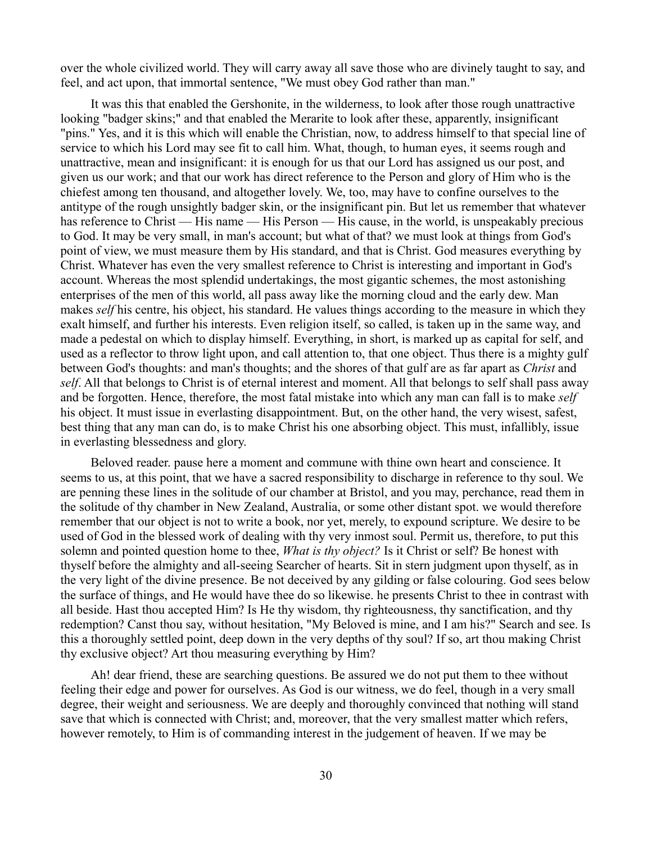over the whole civilized world. They will carry away all save those who are divinely taught to say, and feel, and act upon, that immortal sentence, "We must obey God rather than man."

It was this that enabled the Gershonite, in the wilderness, to look after those rough unattractive looking "badger skins;" and that enabled the Merarite to look after these, apparently, insignificant "pins." Yes, and it is this which will enable the Christian, now, to address himself to that special line of service to which his Lord may see fit to call him. What, though, to human eyes, it seems rough and unattractive, mean and insignificant: it is enough for us that our Lord has assigned us our post, and given us our work; and that our work has direct reference to the Person and glory of Him who is the chiefest among ten thousand, and altogether lovely. We, too, may have to confine ourselves to the antitype of the rough unsightly badger skin, or the insignificant pin. But let us remember that whatever has reference to Christ — His name — His Person — His cause, in the world, is unspeakably precious to God. It may be very small, in man's account; but what of that? we must look at things from God's point of view, we must measure them by His standard, and that is Christ. God measures everything by Christ. Whatever has even the very smallest reference to Christ is interesting and important in God's account. Whereas the most splendid undertakings, the most gigantic schemes, the most astonishing enterprises of the men of this world, all pass away like the morning cloud and the early dew. Man makes *self* his centre, his object, his standard. He values things according to the measure in which they exalt himself, and further his interests. Even religion itself, so called, is taken up in the same way, and made a pedestal on which to display himself. Everything, in short, is marked up as capital for self, and used as a reflector to throw light upon, and call attention to, that one object. Thus there is a mighty gulf between God's thoughts: and man's thoughts; and the shores of that gulf are as far apart as *Christ* and *self*. All that belongs to Christ is of eternal interest and moment. All that belongs to self shall pass away and be forgotten. Hence, therefore, the most fatal mistake into which any man can fall is to make *self* his object. It must issue in everlasting disappointment. But, on the other hand, the very wisest, safest, best thing that any man can do, is to make Christ his one absorbing object. This must, infallibly, issue in everlasting blessedness and glory.

Beloved reader. pause here a moment and commune with thine own heart and conscience. It seems to us, at this point, that we have a sacred responsibility to discharge in reference to thy soul. We are penning these lines in the solitude of our chamber at Bristol, and you may, perchance, read them in the solitude of thy chamber in New Zealand, Australia, or some other distant spot. we would therefore remember that our object is not to write a book, nor yet, merely, to expound scripture. We desire to be used of God in the blessed work of dealing with thy very inmost soul. Permit us, therefore, to put this solemn and pointed question home to thee, *What is thy object?* Is it Christ or self? Be honest with thyself before the almighty and all-seeing Searcher of hearts. Sit in stern judgment upon thyself, as in the very light of the divine presence. Be not deceived by any gilding or false colouring. God sees below the surface of things, and He would have thee do so likewise. he presents Christ to thee in contrast with all beside. Hast thou accepted Him? Is He thy wisdom, thy righteousness, thy sanctification, and thy redemption? Canst thou say, without hesitation, "My Beloved is mine, and I am his?" Search and see. Is this a thoroughly settled point, deep down in the very depths of thy soul? If so, art thou making Christ thy exclusive object? Art thou measuring everything by Him?

Ah! dear friend, these are searching questions. Be assured we do not put them to thee without feeling their edge and power for ourselves. As God is our witness, we do feel, though in a very small degree, their weight and seriousness. We are deeply and thoroughly convinced that nothing will stand save that which is connected with Christ; and, moreover, that the very smallest matter which refers, however remotely, to Him is of commanding interest in the judgement of heaven. If we may be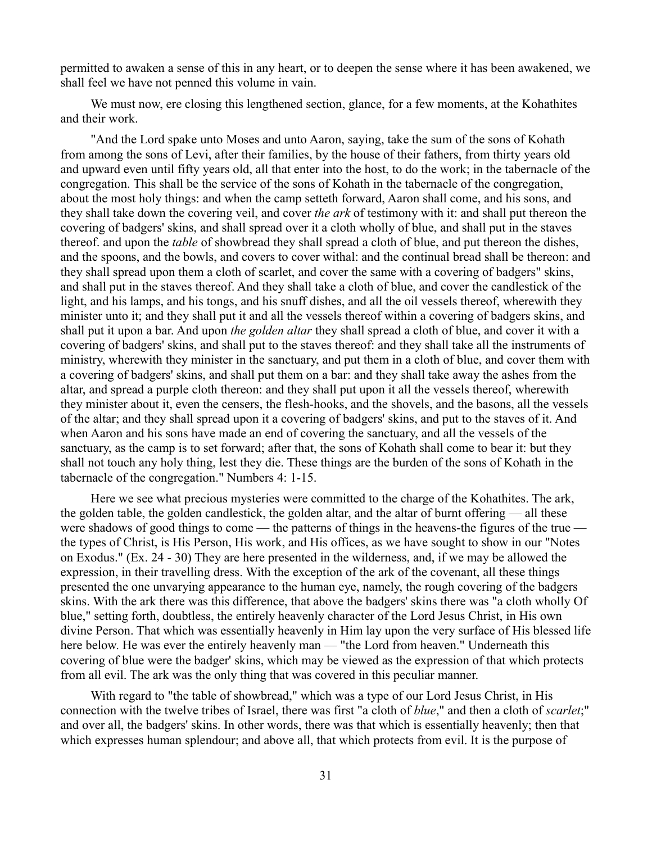permitted to awaken a sense of this in any heart, or to deepen the sense where it has been awakened, we shall feel we have not penned this volume in vain.

We must now, ere closing this lengthened section, glance, for a few moments, at the Kohathites and their work.

"And the Lord spake unto Moses and unto Aaron, saying, take the sum of the sons of Kohath from among the sons of Levi, after their families, by the house of their fathers, from thirty years old and upward even until fifty years old, all that enter into the host, to do the work; in the tabernacle of the congregation. This shall be the service of the sons of Kohath in the tabernacle of the congregation, about the most holy things: and when the camp setteth forward, Aaron shall come, and his sons, and they shall take down the covering veil, and cover *the ark* of testimony with it: and shall put thereon the covering of badgers' skins, and shall spread over it a cloth wholly of blue, and shall put in the staves thereof. and upon the *table* of showbread they shall spread a cloth of blue, and put thereon the dishes, and the spoons, and the bowls, and covers to cover withal: and the continual bread shall be thereon: and they shall spread upon them a cloth of scarlet, and cover the same with a covering of badgers" skins, and shall put in the staves thereof. And they shall take a cloth of blue, and cover the candlestick of the light, and his lamps, and his tongs, and his snuff dishes, and all the oil vessels thereof, wherewith they minister unto it; and they shall put it and all the vessels thereof within a covering of badgers skins, and shall put it upon a bar. And upon *the golden altar* they shall spread a cloth of blue, and cover it with a covering of badgers' skins, and shall put to the staves thereof: and they shall take all the instruments of ministry, wherewith they minister in the sanctuary, and put them in a cloth of blue, and cover them with a covering of badgers' skins, and shall put them on a bar: and they shall take away the ashes from the altar, and spread a purple cloth thereon: and they shall put upon it all the vessels thereof, wherewith they minister about it, even the censers, the flesh-hooks, and the shovels, and the basons, all the vessels of the altar; and they shall spread upon it a covering of badgers' skins, and put to the staves of it. And when Aaron and his sons have made an end of covering the sanctuary, and all the vessels of the sanctuary, as the camp is to set forward; after that, the sons of Kohath shall come to bear it: but they shall not touch any holy thing, lest they die. These things are the burden of the sons of Kohath in the tabernacle of the congregation." Numbers 4: 1-15.

Here we see what precious mysteries were committed to the charge of the Kohathites. The ark, the golden table, the golden candlestick, the golden altar, and the altar of burnt offering — all these were shadows of good things to come — the patterns of things in the heavens-the figures of the true the types of Christ, is His Person, His work, and His offices, as we have sought to show in our "Notes on Exodus." (Ex. 24 - 30) They are here presented in the wilderness, and, if we may be allowed the expression, in their travelling dress. With the exception of the ark of the covenant, all these things presented the one unvarying appearance to the human eye, namely, the rough covering of the badgers skins. With the ark there was this difference, that above the badgers' skins there was "a cloth wholly Of blue," setting forth, doubtless, the entirely heavenly character of the Lord Jesus Christ, in His own divine Person. That which was essentially heavenly in Him lay upon the very surface of His blessed life here below. He was ever the entirely heavenly man — "the Lord from heaven." Underneath this covering of blue were the badger' skins, which may be viewed as the expression of that which protects from all evil. The ark was the only thing that was covered in this peculiar manner.

With regard to "the table of showbread," which was a type of our Lord Jesus Christ, in His connection with the twelve tribes of Israel, there was first "a cloth of *blue*," and then a cloth of *scarlet*;" and over all, the badgers' skins. In other words, there was that which is essentially heavenly; then that which expresses human splendour; and above all, that which protects from evil. It is the purpose of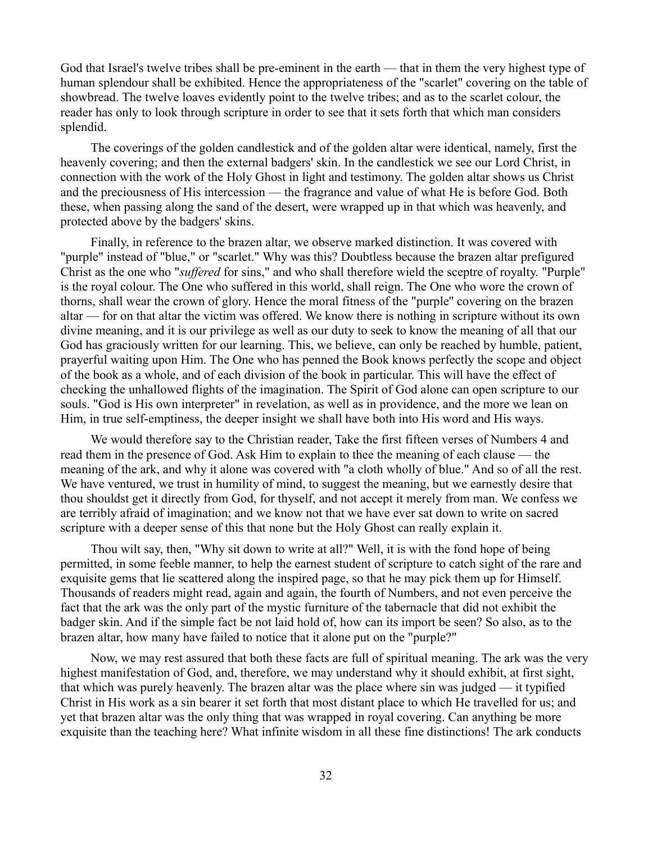God that Israel's twelve tribes shall be pre-eminent in the earth — that in them the very highest type of human splendour shall be exhibited. Hence the appropriateness of the "scarlet" covering on the table of showbread. The twelve loaves evidently point to the twelve tribes; and as to the scarlet colour, the reader has only to look through scripture in order to see that it sets forth that which man considers splendid.

The coverings of the golden candlestick and of the golden altar were identical, namely, first the heavenly covering; and then the external badgers' skin. In the candlestick we see our Lord Christ, in connection with the work of the Holy Ghost in light and testimony. The golden altar shows us Christ and the preciousness of His intercession — the fragrance and value of what He is before God. Both these, when passing along the sand of the desert, were wrapped up in that which was heavenly, and protected above by the badgers' skins.

Finally, in reference to the brazen altar, we observe marked distinction. It was covered with "purple" instead of "blue," or "scarlet." Why was this? Doubtless because the brazen altar prefigured Christ as the one who "*suffered* for sins," and who shall therefore wield the sceptre of royalty. "Purple" is the royal colour. The One who suffered in this world, shall reign. The One who wore the crown of thorns, shall wear the crown of glory. Hence the moral fitness of the "purple'' covering on the brazen altar — for on that altar the victim was offered. We know there is nothing in scripture without its own divine meaning, and it is our privilege as well as our duty to seek to know the meaning of all that our God has graciously written for our learning. This, we believe, can only be reached by humble, patient, prayerful waiting upon Him. The One who has penned the Book knows perfectly the scope and object of the book as a whole, and of each division of the book in particular. This will have the effect of checking the unhallowed flights of the imagination. The Spirit of God alone can open scripture to our souls. "God is His own interpreter" in revelation, as well as in providence, and the more we lean on Him, in true self-emptiness, the deeper insight we shall have both into His word and His ways.

We would therefore say to the Christian reader, Take the first fifteen verses of Numbers 4 and read them in the presence of God. Ask Him to explain to thee the meaning of each clause — the meaning of the ark, and why it alone was covered with "a cloth wholly of blue." And so of all the rest. We have ventured, we trust in humility of mind, to suggest the meaning, but we earnestly desire that thou shouldst get it directly from God, for thyself, and not accept it merely from man. We confess we are terribly afraid of imagination; and we know not that we have ever sat down to write on sacred scripture with a deeper sense of this that none but the Holy Ghost can really explain it.

Thou wilt say, then, "Why sit down to write at all?" Well, it is with the fond hope of being permitted, in some feeble manner, to help the earnest student of scripture to catch sight of the rare and exquisite gems that lie scattered along the inspired page, so that he may pick them up for Himself. Thousands of readers might read, again and again, the fourth of Numbers, and not even perceive the fact that the ark was the only part of the mystic furniture of the tabernacle that did not exhibit the badger skin. And if the simple fact be not laid hold of, how can its import be seen? So also, as to the brazen altar, how many have failed to notice that it alone put on the "purple?"

Now, we may rest assured that both these facts are full of spiritual meaning. The ark was the very highest manifestation of God, and, therefore, we may understand why it should exhibit, at first sight, that which was purely heavenly. The brazen altar was the place where sin was judged — it typified Christ in His work as a sin bearer it set forth that most distant place to which He travelled for us; and yet that brazen altar was the only thing that was wrapped in royal covering. Can anything be more exquisite than the teaching here? What infinite wisdom in all these fine distinctions! The ark conducts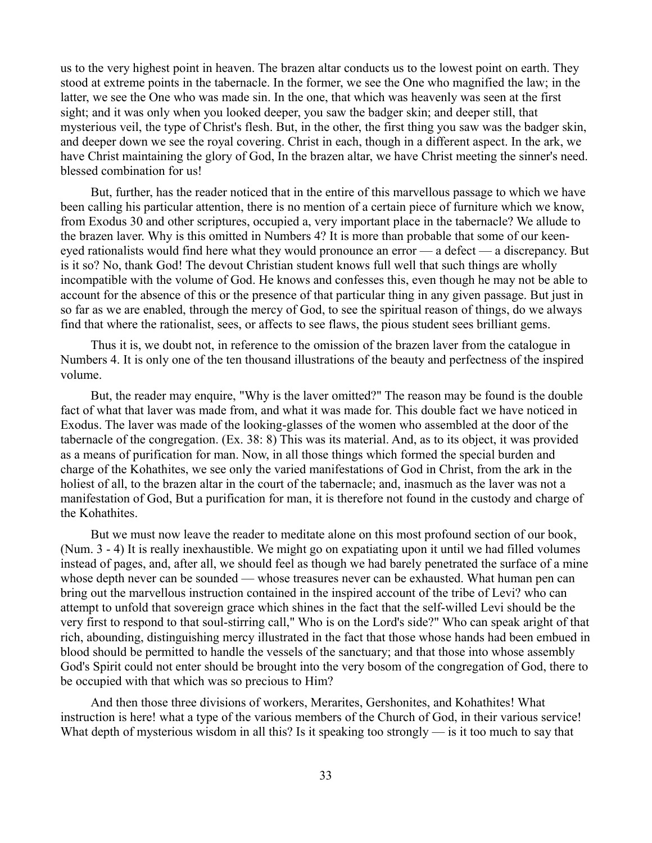us to the very highest point in heaven. The brazen altar conducts us to the lowest point on earth. They stood at extreme points in the tabernacle. In the former, we see the One who magnified the law; in the latter, we see the One who was made sin. In the one, that which was heavenly was seen at the first sight; and it was only when you looked deeper, you saw the badger skin; and deeper still, that mysterious veil, the type of Christ's flesh. But, in the other, the first thing you saw was the badger skin, and deeper down we see the royal covering. Christ in each, though in a different aspect. In the ark, we have Christ maintaining the glory of God, In the brazen altar, we have Christ meeting the sinner's need. blessed combination for us!

But, further, has the reader noticed that in the entire of this marvellous passage to which we have been calling his particular attention, there is no mention of a certain piece of furniture which we know, from Exodus 30 and other scriptures, occupied a, very important place in the tabernacle? We allude to the brazen laver. Why is this omitted in Numbers 4? It is more than probable that some of our keeneyed rationalists would find here what they would pronounce an error — a defect — a discrepancy. But is it so? No, thank God! The devout Christian student knows full well that such things are wholly incompatible with the volume of God. He knows and confesses this, even though he may not be able to account for the absence of this or the presence of that particular thing in any given passage. But just in so far as we are enabled, through the mercy of God, to see the spiritual reason of things, do we always find that where the rationalist, sees, or affects to see flaws, the pious student sees brilliant gems.

Thus it is, we doubt not, in reference to the omission of the brazen laver from the catalogue in Numbers 4. It is only one of the ten thousand illustrations of the beauty and perfectness of the inspired volume.

But, the reader may enquire, "Why is the laver omitted?" The reason may be found is the double fact of what that laver was made from, and what it was made for. This double fact we have noticed in Exodus. The laver was made of the looking-glasses of the women who assembled at the door of the tabernacle of the congregation. (Ex. 38: 8) This was its material. And, as to its object, it was provided as a means of purification for man. Now, in all those things which formed the special burden and charge of the Kohathites, we see only the varied manifestations of God in Christ, from the ark in the holiest of all, to the brazen altar in the court of the tabernacle; and, inasmuch as the laver was not a manifestation of God, But a purification for man, it is therefore not found in the custody and charge of the Kohathites.

But we must now leave the reader to meditate alone on this most profound section of our book, (Num. 3 - 4) It is really inexhaustible. We might go on expatiating upon it until we had filled volumes instead of pages, and, after all, we should feel as though we had barely penetrated the surface of a mine whose depth never can be sounded — whose treasures never can be exhausted. What human pen can bring out the marvellous instruction contained in the inspired account of the tribe of Levi? who can attempt to unfold that sovereign grace which shines in the fact that the self-willed Levi should be the very first to respond to that soul-stirring call," Who is on the Lord's side?" Who can speak aright of that rich, abounding, distinguishing mercy illustrated in the fact that those whose hands had been embued in blood should be permitted to handle the vessels of the sanctuary; and that those into whose assembly God's Spirit could not enter should be brought into the very bosom of the congregation of God, there to be occupied with that which was so precious to Him?

And then those three divisions of workers, Merarites, Gershonites, and Kohathites! What instruction is here! what a type of the various members of the Church of God, in their various service! What depth of mysterious wisdom in all this? Is it speaking too strongly — is it too much to say that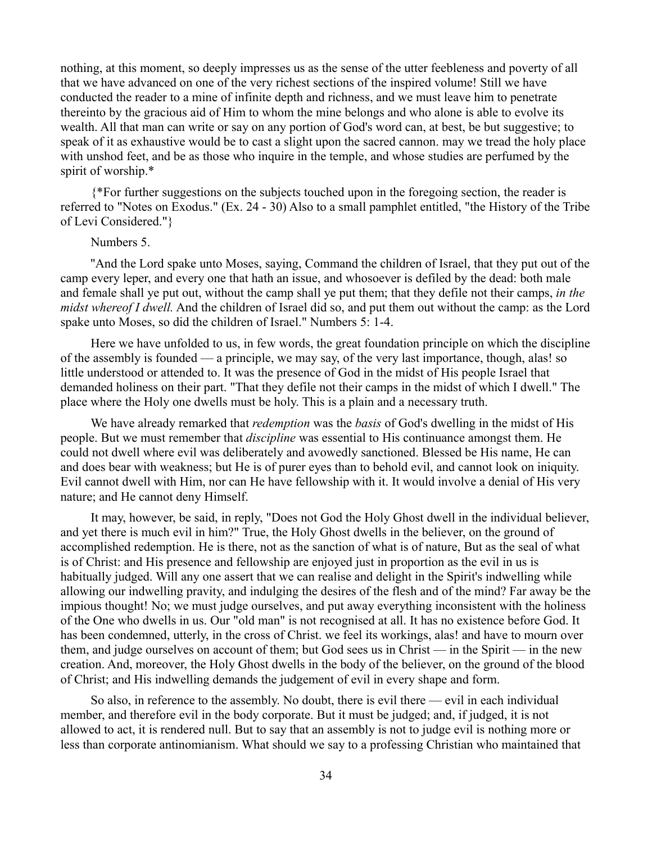nothing, at this moment, so deeply impresses us as the sense of the utter feebleness and poverty of all that we have advanced on one of the very richest sections of the inspired volume! Still we have conducted the reader to a mine of infinite depth and richness, and we must leave him to penetrate thereinto by the gracious aid of Him to whom the mine belongs and who alone is able to evolve its wealth. All that man can write or say on any portion of God's word can, at best, be but suggestive; to speak of it as exhaustive would be to cast a slight upon the sacred cannon. may we tread the holy place with unshod feet, and be as those who inquire in the temple, and whose studies are perfumed by the spirit of worship.\*

{\*For further suggestions on the subjects touched upon in the foregoing section, the reader is referred to "Notes on Exodus." (Ex. 24 - 30) Also to a small pamphlet entitled, "the History of the Tribe of Levi Considered."}

# Numbers 5.

''And the Lord spake unto Moses, saying, Command the children of Israel, that they put out of the camp every leper, and every one that hath an issue, and whosoever is defiled by the dead: both male and female shall ye put out, without the camp shall ye put them; that they defile not their camps, *in the midst whereof I dwell.* And the children of Israel did so, and put them out without the camp: as the Lord spake unto Moses, so did the children of Israel." Numbers 5: 1-4.

Here we have unfolded to us, in few words, the great foundation principle on which the discipline of the assembly is founded — a principle, we may say, of the very last importance, though, alas! so little understood or attended to. It was the presence of God in the midst of His people Israel that demanded holiness on their part. "That they defile not their camps in the midst of which I dwell." The place where the Holy one dwells must be holy. This is a plain and a necessary truth.

We have already remarked that *redemption* was the *basis* of God's dwelling in the midst of His people. But we must remember that *discipline* was essential to His continuance amongst them. He could not dwell where evil was deliberately and avowedly sanctioned. Blessed be His name, He can and does bear with weakness; but He is of purer eyes than to behold evil, and cannot look on iniquity. Evil cannot dwell with Him, nor can He have fellowship with it. It would involve a denial of His very nature; and He cannot deny Himself.

It may, however, be said, in reply, "Does not God the Holy Ghost dwell in the individual believer, and yet there is much evil in him?" True, the Holy Ghost dwells in the believer, on the ground of accomplished redemption. He is there, not as the sanction of what is of nature, But as the seal of what is of Christ: and His presence and fellowship are enjoyed just in proportion as the evil in us is habitually judged. Will any one assert that we can realise and delight in the Spirit's indwelling while allowing our indwelling pravity, and indulging the desires of the flesh and of the mind? Far away be the impious thought! No; we must judge ourselves, and put away everything inconsistent with the holiness of the One who dwells in us. Our "old man" is not recognised at all. It has no existence before God. It has been condemned, utterly, in the cross of Christ. we feel its workings, alas! and have to mourn over them, and judge ourselves on account of them; but God sees us in Christ — in the Spirit — in the new creation. And, moreover, the Holy Ghost dwells in the body of the believer, on the ground of the blood of Christ; and His indwelling demands the judgement of evil in every shape and form.

So also, in reference to the assembly. No doubt, there is evil there — evil in each individual member, and therefore evil in the body corporate. But it must be judged; and, if judged, it is not allowed to act, it is rendered null. But to say that an assembly is not to judge evil is nothing more or less than corporate antinomianism. What should we say to a professing Christian who maintained that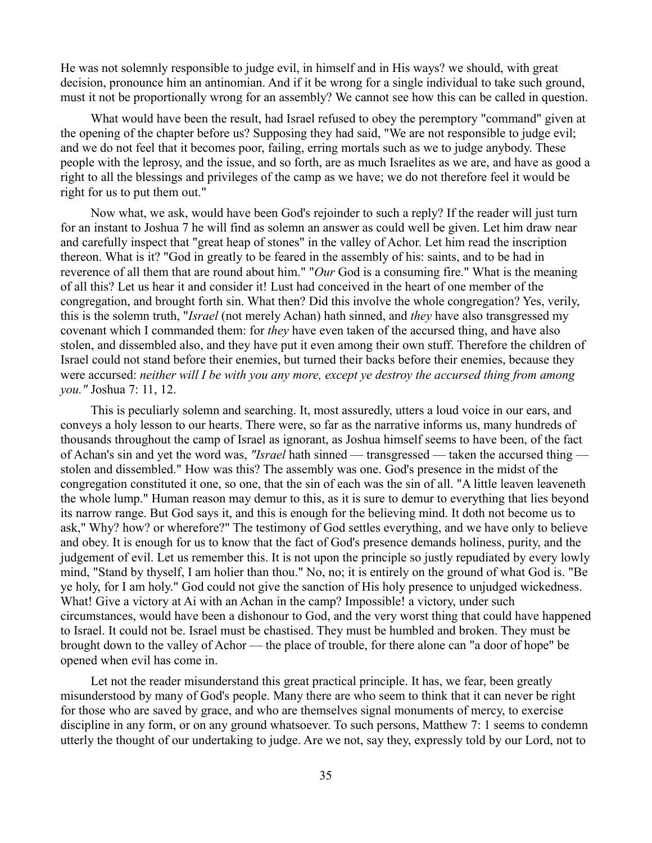He was not solemnly responsible to judge evil, in himself and in His ways? we should, with great decision, pronounce him an antinomian. And if it be wrong for a single individual to take such ground, must it not be proportionally wrong for an assembly? We cannot see how this can be called in question.

What would have been the result, had Israel refused to obey the peremptory "command" given at the opening of the chapter before us? Supposing they had said, "We are not responsible to judge evil; and we do not feel that it becomes poor, failing, erring mortals such as we to judge anybody. These people with the leprosy, and the issue, and so forth, are as much Israelites as we are, and have as good a right to all the blessings and privileges of the camp as we have; we do not therefore feel it would be right for us to put them out."

Now what, we ask, would have been God's rejoinder to such a reply? If the reader will just turn for an instant to Joshua 7 he will find as solemn an answer as could well be given. Let him draw near and carefully inspect that "great heap of stones" in the valley of Achor. Let him read the inscription thereon. What is it? "God in greatly to be feared in the assembly of his: saints, and to be had in reverence of all them that are round about him." "*Our* God is a consuming fire." What is the meaning of all this? Let us hear it and consider it! Lust had conceived in the heart of one member of the congregation, and brought forth sin. What then? Did this involve the whole congregation? Yes, verily, this is the solemn truth, "*Israel* (not merely Achan) hath sinned, and *they* have also transgressed my covenant which I commanded them: for *they* have even taken of the accursed thing, and have also stolen, and dissembled also, and they have put it even among their own stuff. Therefore the children of Israel could not stand before their enemies, but turned their backs before their enemies, because they were accursed: *neither will I be with you any more, except ye destroy the accursed thing from among you."* Joshua 7: 11, 12.

This is peculiarly solemn and searching. It, most assuredly, utters a loud voice in our ears, and conveys a holy lesson to our hearts. There were, so far as the narrative informs us, many hundreds of thousands throughout the camp of Israel as ignorant, as Joshua himself seems to have been, of the fact of Achan's sin and yet the word was, *"Israel* hath sinned — transgressed — taken the accursed thing stolen and dissembled." How was this? The assembly was one. God's presence in the midst of the congregation constituted it one, so one, that the sin of each was the sin of all. "A little leaven leaveneth the whole lump." Human reason may demur to this, as it is sure to demur to everything that lies beyond its narrow range. But God says it, and this is enough for the believing mind. It doth not become us to ask," Why? how? or wherefore?" The testimony of God settles everything, and we have only to believe and obey. It is enough for us to know that the fact of God's presence demands holiness, purity, and the judgement of evil. Let us remember this. It is not upon the principle so justly repudiated by every lowly mind, "Stand by thyself, I am holier than thou." No, no; it is entirely on the ground of what God is. "Be ye holy, for I am holy." God could not give the sanction of His holy presence to unjudged wickedness. What! Give a victory at Ai with an Achan in the camp? Impossible! a victory, under such circumstances, would have been a dishonour to God, and the very worst thing that could have happened to Israel. It could not be. Israel must be chastised. They must be humbled and broken. They must be brought down to the valley of Achor — the place of trouble, for there alone can "a door of hope" be opened when evil has come in.

Let not the reader misunderstand this great practical principle. It has, we fear, been greatly misunderstood by many of God's people. Many there are who seem to think that it can never be right for those who are saved by grace, and who are themselves signal monuments of mercy, to exercise discipline in any form, or on any ground whatsoever. To such persons, Matthew 7: 1 seems to condemn utterly the thought of our undertaking to judge. Are we not, say they, expressly told by our Lord, not to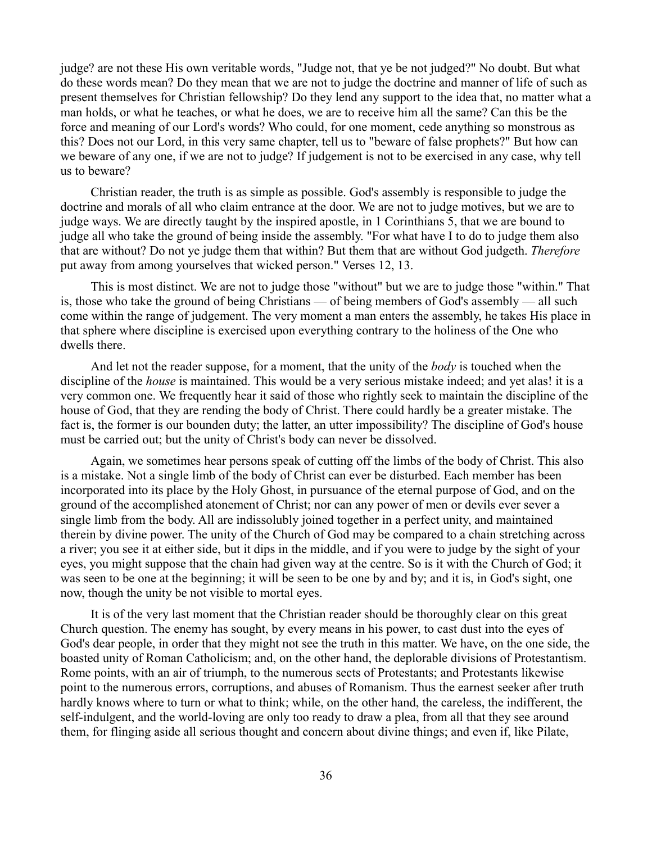judge? are not these His own veritable words, "Judge not, that ye be not judged?" No doubt. But what do these words mean? Do they mean that we are not to judge the doctrine and manner of life of such as present themselves for Christian fellowship? Do they lend any support to the idea that, no matter what a man holds, or what he teaches, or what he does, we are to receive him all the same? Can this be the force and meaning of our Lord's words? Who could, for one moment, cede anything so monstrous as this? Does not our Lord, in this very same chapter, tell us to "beware of false prophets?" But how can we beware of any one, if we are not to judge? If judgement is not to be exercised in any case, why tell us to beware?

Christian reader, the truth is as simple as possible. God's assembly is responsible to judge the doctrine and morals of all who claim entrance at the door. We are not to judge motives, but we are to judge ways. We are directly taught by the inspired apostle, in 1 Corinthians 5, that we are bound to judge all who take the ground of being inside the assembly. "For what have I to do to judge them also that are without? Do not ye judge them that within? But them that are without God judgeth. *Therefore* put away from among yourselves that wicked person." Verses 12, 13.

This is most distinct. We are not to judge those "without" but we are to judge those "within." That is, those who take the ground of being Christians — of being members of God's assembly — all such come within the range of judgement. The very moment a man enters the assembly, he takes His place in that sphere where discipline is exercised upon everything contrary to the holiness of the One who dwells there.

And let not the reader suppose, for a moment, that the unity of the *body* is touched when the discipline of the *house* is maintained. This would be a very serious mistake indeed; and yet alas! it is a very common one. We frequently hear it said of those who rightly seek to maintain the discipline of the house of God, that they are rending the body of Christ. There could hardly be a greater mistake. The fact is, the former is our bounden duty; the latter, an utter impossibility? The discipline of God's house must be carried out; but the unity of Christ's body can never be dissolved.

Again, we sometimes hear persons speak of cutting off the limbs of the body of Christ. This also is a mistake. Not a single limb of the body of Christ can ever be disturbed. Each member has been incorporated into its place by the Holy Ghost, in pursuance of the eternal purpose of God, and on the ground of the accomplished atonement of Christ; nor can any power of men or devils ever sever a single limb from the body. All are indissolubly joined together in a perfect unity, and maintained therein by divine power. The unity of the Church of God may be compared to a chain stretching across a river; you see it at either side, but it dips in the middle, and if you were to judge by the sight of your eyes, you might suppose that the chain had given way at the centre. So is it with the Church of God; it was seen to be one at the beginning; it will be seen to be one by and by; and it is, in God's sight, one now, though the unity be not visible to mortal eyes.

It is of the very last moment that the Christian reader should be thoroughly clear on this great Church question. The enemy has sought, by every means in his power, to cast dust into the eyes of God's dear people, in order that they might not see the truth in this matter. We have, on the one side, the boasted unity of Roman Catholicism; and, on the other hand, the deplorable divisions of Protestantism. Rome points, with an air of triumph, to the numerous sects of Protestants; and Protestants likewise point to the numerous errors, corruptions, and abuses of Romanism. Thus the earnest seeker after truth hardly knows where to turn or what to think; while, on the other hand, the careless, the indifferent, the self-indulgent, and the world-loving are only too ready to draw a plea, from all that they see around them, for flinging aside all serious thought and concern about divine things; and even if, like Pilate,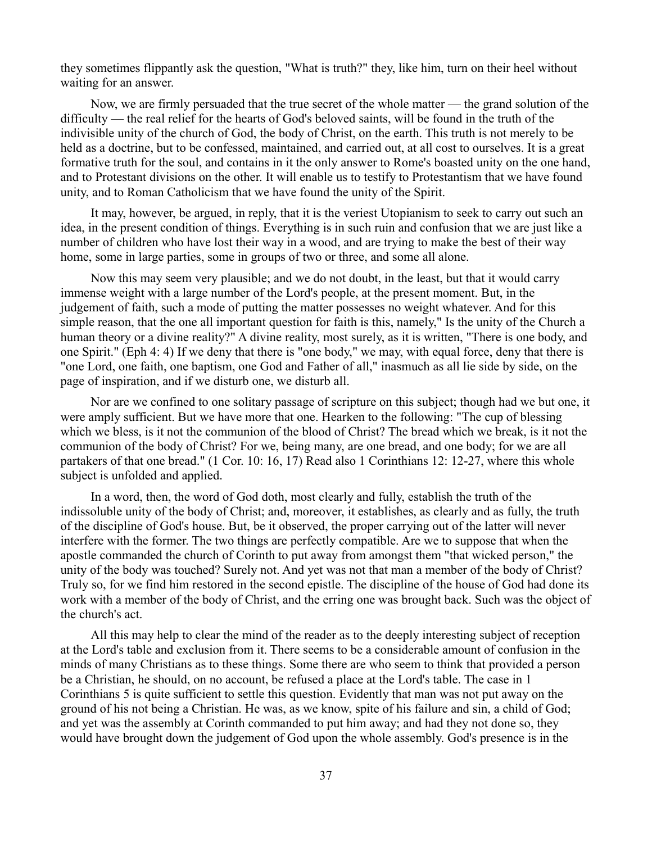they sometimes flippantly ask the question, "What is truth?" they, like him, turn on their heel without waiting for an answer.

Now, we are firmly persuaded that the true secret of the whole matter — the grand solution of the difficulty — the real relief for the hearts of God's beloved saints, will be found in the truth of the indivisible unity of the church of God, the body of Christ, on the earth. This truth is not merely to be held as a doctrine, but to be confessed, maintained, and carried out, at all cost to ourselves. It is a great formative truth for the soul, and contains in it the only answer to Rome's boasted unity on the one hand, and to Protestant divisions on the other. It will enable us to testify to Protestantism that we have found unity, and to Roman Catholicism that we have found the unity of the Spirit.

It may, however, be argued, in reply, that it is the veriest Utopianism to seek to carry out such an idea, in the present condition of things. Everything is in such ruin and confusion that we are just like a number of children who have lost their way in a wood, and are trying to make the best of their way home, some in large parties, some in groups of two or three, and some all alone.

Now this may seem very plausible; and we do not doubt, in the least, but that it would carry immense weight with a large number of the Lord's people, at the present moment. But, in the judgement of faith, such a mode of putting the matter possesses no weight whatever. And for this simple reason, that the one all important question for faith is this, namely," Is the unity of the Church a human theory or a divine reality?" A divine reality, most surely, as it is written, "There is one body, and one Spirit." (Eph 4: 4) If we deny that there is "one body," we may, with equal force, deny that there is "one Lord, one faith, one baptism, one God and Father of all," inasmuch as all lie side by side, on the page of inspiration, and if we disturb one, we disturb all.

Nor are we confined to one solitary passage of scripture on this subject; though had we but one, it were amply sufficient. But we have more that one. Hearken to the following: "The cup of blessing which we bless, is it not the communion of the blood of Christ? The bread which we break, is it not the communion of the body of Christ? For we, being many, are one bread, and one body; for we are all partakers of that one bread." (1 Cor. 10: 16, 17) Read also 1 Corinthians 12: 12-27, where this whole subject is unfolded and applied.

In a word, then, the word of God doth, most clearly and fully, establish the truth of the indissoluble unity of the body of Christ; and, moreover, it establishes, as clearly and as fully, the truth of the discipline of God's house. But, be it observed, the proper carrying out of the latter will never interfere with the former. The two things are perfectly compatible. Are we to suppose that when the apostle commanded the church of Corinth to put away from amongst them "that wicked person," the unity of the body was touched? Surely not. And yet was not that man a member of the body of Christ? Truly so, for we find him restored in the second epistle. The discipline of the house of God had done its work with a member of the body of Christ, and the erring one was brought back. Such was the object of the church's act.

All this may help to clear the mind of the reader as to the deeply interesting subject of reception at the Lord's table and exclusion from it. There seems to be a considerable amount of confusion in the minds of many Christians as to these things. Some there are who seem to think that provided a person be a Christian, he should, on no account, be refused a place at the Lord's table. The case in 1 Corinthians 5 is quite sufficient to settle this question. Evidently that man was not put away on the ground of his not being a Christian. He was, as we know, spite of his failure and sin, a child of God; and yet was the assembly at Corinth commanded to put him away; and had they not done so, they would have brought down the judgement of God upon the whole assembly. God's presence is in the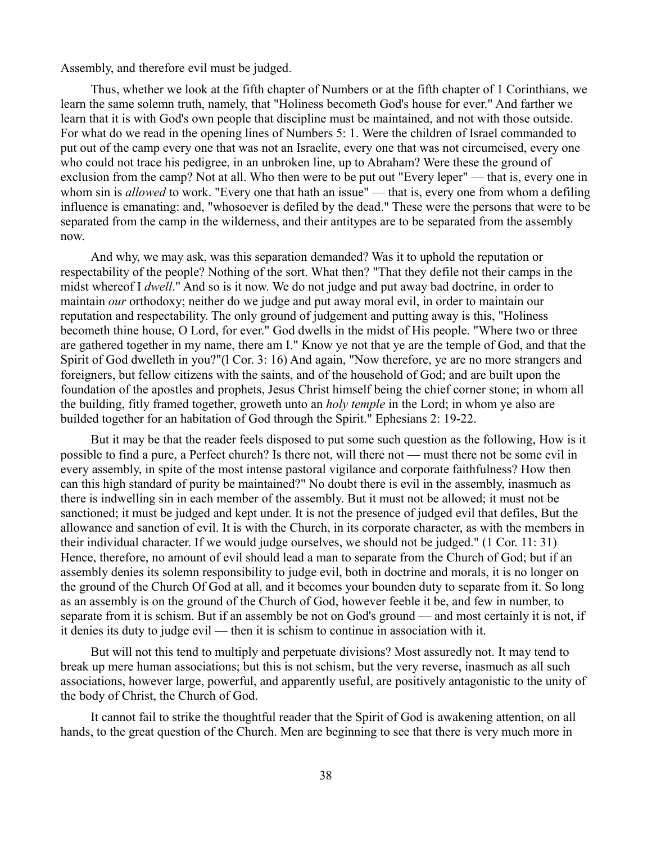Assembly, and therefore evil must be judged.

Thus, whether we look at the fifth chapter of Numbers or at the fifth chapter of 1 Corinthians, we learn the same solemn truth, namely, that "Holiness becometh God's house for ever." And farther we learn that it is with God's own people that discipline must be maintained, and not with those outside. For what do we read in the opening lines of Numbers 5: 1. Were the children of Israel commanded to put out of the camp every one that was not an Israelite, every one that was not circumcised, every one who could not trace his pedigree, in an unbroken line, up to Abraham? Were these the ground of exclusion from the camp? Not at all. Who then were to be put out "Every leper" — that is, every one in whom sin is *allowed* to work. "Every one that hath an issue" — that is, every one from whom a defiling influence is emanating: and, "whosoever is defiled by the dead." These were the persons that were to be separated from the camp in the wilderness, and their antitypes are to be separated from the assembly now.

And why, we may ask, was this separation demanded? Was it to uphold the reputation or respectability of the people? Nothing of the sort. What then? "That they defile not their camps in the midst whereof I *dwell*." And so is it now. We do not judge and put away bad doctrine, in order to maintain *our* orthodoxy; neither do we judge and put away moral evil, in order to maintain our reputation and respectability. The only ground of judgement and putting away is this, "Holiness becometh thine house, O Lord, for ever." God dwells in the midst of His people. "Where two or three are gathered together in my name, there am I." Know ye not that ye are the temple of God, and that the Spirit of God dwelleth in you?"(l Cor. 3: 16) And again, "Now therefore, ye are no more strangers and foreigners, but fellow citizens with the saints, and of the household of God; and are built upon the foundation of the apostles and prophets, Jesus Christ himself being the chief corner stone; in whom all the building, fitly framed together, groweth unto an *holy temple* in the Lord; in whom ye also are builded together for an habitation of God through the Spirit." Ephesians 2: 19-22.

But it may be that the reader feels disposed to put some such question as the following, How is it possible to find a pure, a Perfect church? Is there not, will there not — must there not be some evil in every assembly, in spite of the most intense pastoral vigilance and corporate faithfulness? How then can this high standard of purity be maintained?" No doubt there is evil in the assembly, inasmuch as there is indwelling sin in each member of the assembly. But it must not be allowed; it must not be sanctioned; it must be judged and kept under. It is not the presence of judged evil that defiles, But the allowance and sanction of evil. It is with the Church, in its corporate character, as with the members in their individual character. If we would judge ourselves, we should not be judged." (1 Cor. 11: 31) Hence, therefore, no amount of evil should lead a man to separate from the Church of God; but if an assembly denies its solemn responsibility to judge evil, both in doctrine and morals, it is no longer on the ground of the Church Of God at all, and it becomes your bounden duty to separate from it. So long as an assembly is on the ground of the Church of God, however feeble it be, and few in number, to separate from it is schism. But if an assembly be not on God's ground — and most certainly it is not, if it denies its duty to judge evil — then it is schism to continue in association with it.

But will not this tend to multiply and perpetuate divisions? Most assuredly not. It may tend to break up mere human associations; but this is not schism, but the very reverse, inasmuch as all such associations, however large, powerful, and apparently useful, are positively antagonistic to the unity of the body of Christ, the Church of God.

It cannot fail to strike the thoughtful reader that the Spirit of God is awakening attention, on all hands, to the great question of the Church. Men are beginning to see that there is very much more in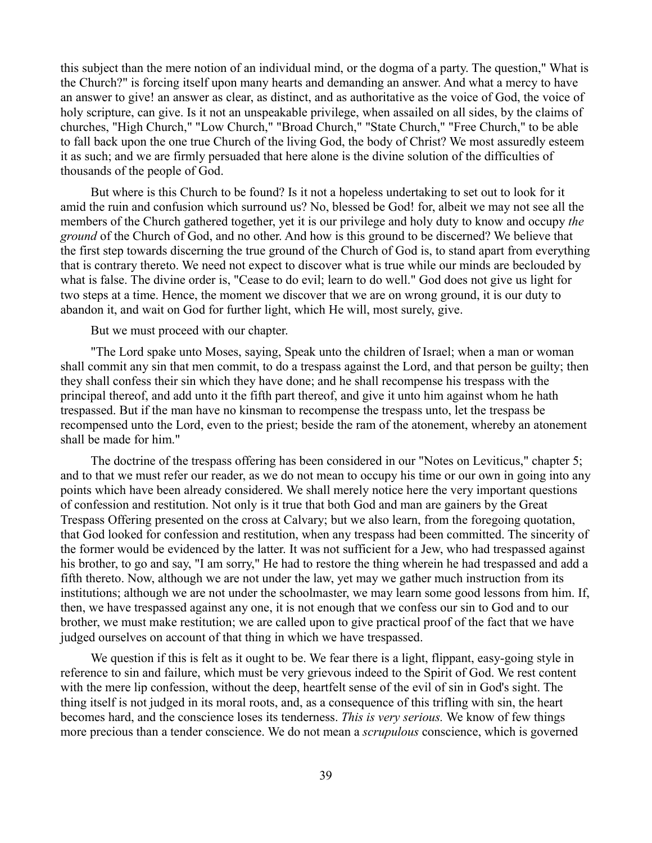this subject than the mere notion of an individual mind, or the dogma of a party. The question," What is the Church?" is forcing itself upon many hearts and demanding an answer. And what a mercy to have an answer to give! an answer as clear, as distinct, and as authoritative as the voice of God, the voice of holy scripture, can give. Is it not an unspeakable privilege, when assailed on all sides, by the claims of churches, "High Church," "Low Church," "Broad Church," "State Church," "Free Church," to be able to fall back upon the one true Church of the living God, the body of Christ? We most assuredly esteem it as such; and we are firmly persuaded that here alone is the divine solution of the difficulties of thousands of the people of God.

But where is this Church to be found? Is it not a hopeless undertaking to set out to look for it amid the ruin and confusion which surround us? No, blessed be God! for, albeit we may not see all the members of the Church gathered together, yet it is our privilege and holy duty to know and occupy *the ground* of the Church of God, and no other. And how is this ground to be discerned? We believe that the first step towards discerning the true ground of the Church of God is, to stand apart from everything that is contrary thereto. We need not expect to discover what is true while our minds are beclouded by what is false. The divine order is, "Cease to do evil; learn to do well." God does not give us light for two steps at a time. Hence, the moment we discover that we are on wrong ground, it is our duty to abandon it, and wait on God for further light, which He will, most surely, give.

But we must proceed with our chapter.

"The Lord spake unto Moses, saying, Speak unto the children of Israel; when a man or woman shall commit any sin that men commit, to do a trespass against the Lord, and that person be guilty; then they shall confess their sin which they have done; and he shall recompense his trespass with the principal thereof, and add unto it the fifth part thereof, and give it unto him against whom he hath trespassed. But if the man have no kinsman to recompense the trespass unto, let the trespass be recompensed unto the Lord, even to the priest; beside the ram of the atonement, whereby an atonement shall be made for him."

The doctrine of the trespass offering has been considered in our "Notes on Leviticus," chapter 5; and to that we must refer our reader, as we do not mean to occupy his time or our own in going into any points which have been already considered. We shall merely notice here the very important questions of confession and restitution. Not only is it true that both God and man are gainers by the Great Trespass Offering presented on the cross at Calvary; but we also learn, from the foregoing quotation, that God looked for confession and restitution, when any trespass had been committed. The sincerity of the former would be evidenced by the latter. It was not sufficient for a Jew, who had trespassed against his brother, to go and say, "I am sorry," He had to restore the thing wherein he had trespassed and add a fifth thereto. Now, although we are not under the law, yet may we gather much instruction from its institutions; although we are not under the schoolmaster, we may learn some good lessons from him. If, then, we have trespassed against any one, it is not enough that we confess our sin to God and to our brother, we must make restitution; we are called upon to give practical proof of the fact that we have judged ourselves on account of that thing in which we have trespassed.

We question if this is felt as it ought to be. We fear there is a light, flippant, easy-going style in reference to sin and failure, which must be very grievous indeed to the Spirit of God. We rest content with the mere lip confession, without the deep, heartfelt sense of the evil of sin in God's sight. The thing itself is not judged in its moral roots, and, as a consequence of this trifling with sin, the heart becomes hard, and the conscience loses its tenderness. *This is very serious.* We know of few things more precious than a tender conscience. We do not mean a *scrupulous* conscience, which is governed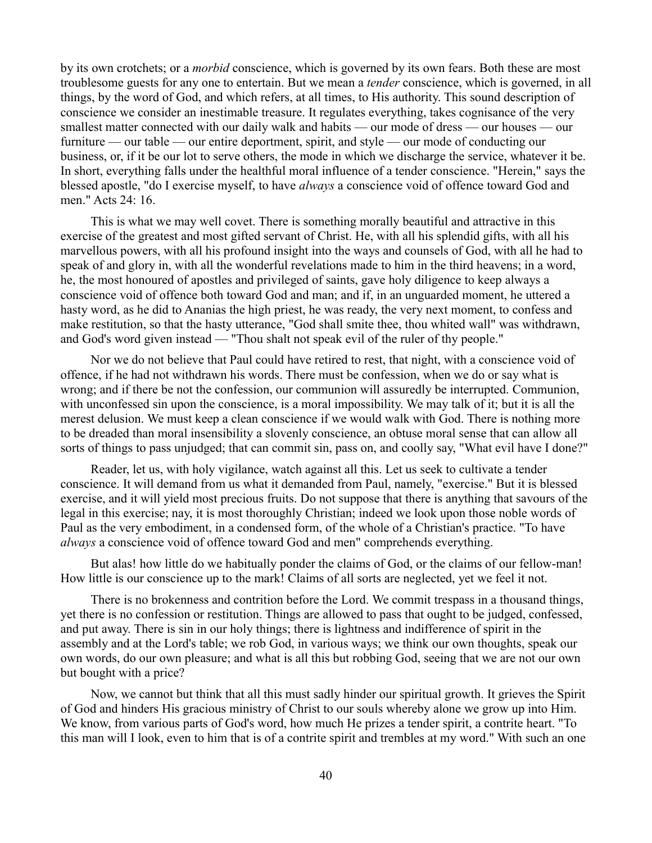by its own crotchets; or a *morbid* conscience, which is governed by its own fears. Both these are most troublesome guests for any one to entertain. But we mean a *tender* conscience, which is governed, in all things, by the word of God, and which refers, at all times, to His authority. This sound description of conscience we consider an inestimable treasure. It regulates everything, takes cognisance of the very smallest matter connected with our daily walk and habits — our mode of dress — our houses — our furniture — our table — our entire deportment, spirit, and style — our mode of conducting our business, or, if it be our lot to serve others, the mode in which we discharge the service, whatever it be. In short, everything falls under the healthful moral influence of a tender conscience. "Herein," says the blessed apostle, "do I exercise myself, to have *always* a conscience void of offence toward God and men." Acts 24: 16.

This is what we may well covet. There is something morally beautiful and attractive in this exercise of the greatest and most gifted servant of Christ. He, with all his splendid gifts, with all his marvellous powers, with all his profound insight into the ways and counsels of God, with all he had to speak of and glory in, with all the wonderful revelations made to him in the third heavens; in a word, he, the most honoured of apostles and privileged of saints, gave holy diligence to keep always a conscience void of offence both toward God and man; and if, in an unguarded moment, he uttered a hasty word, as he did to Ananias the high priest, he was ready, the very next moment, to confess and make restitution, so that the hasty utterance, "God shall smite thee, thou whited wall" was withdrawn, and God's word given instead — "Thou shalt not speak evil of the ruler of thy people."

Nor we do not believe that Paul could have retired to rest, that night, with a conscience void of offence, if he had not withdrawn his words. There must be confession, when we do or say what is wrong; and if there be not the confession, our communion will assuredly be interrupted. Communion, with unconfessed sin upon the conscience, is a moral impossibility. We may talk of it; but it is all the merest delusion. We must keep a clean conscience if we would walk with God. There is nothing more to be dreaded than moral insensibility a slovenly conscience, an obtuse moral sense that can allow all sorts of things to pass unjudged; that can commit sin, pass on, and coolly say, "What evil have I done?"

Reader, let us, with holy vigilance, watch against all this. Let us seek to cultivate a tender conscience. It will demand from us what it demanded from Paul, namely, "exercise." But it is blessed exercise, and it will yield most precious fruits. Do not suppose that there is anything that savours of the legal in this exercise; nay, it is most thoroughly Christian; indeed we look upon those noble words of Paul as the very embodiment, in a condensed form, of the whole of a Christian's practice. "To have *always* a conscience void of offence toward God and men" comprehends everything.

But alas! how little do we habitually ponder the claims of God, or the claims of our fellow-man! How little is our conscience up to the mark! Claims of all sorts are neglected, yet we feel it not.

There is no brokenness and contrition before the Lord. We commit trespass in a thousand things, yet there is no confession or restitution. Things are allowed to pass that ought to be judged, confessed, and put away. There is sin in our holy things; there is lightness and indifference of spirit in the assembly and at the Lord's table; we rob God, in various ways; we think our own thoughts, speak our own words, do our own pleasure; and what is all this but robbing God, seeing that we are not our own but bought with a price?

Now, we cannot but think that all this must sadly hinder our spiritual growth. It grieves the Spirit of God and hinders His gracious ministry of Christ to our souls whereby alone we grow up into Him. We know, from various parts of God's word, how much He prizes a tender spirit, a contrite heart. "To this man will I look, even to him that is of a contrite spirit and trembles at my word." With such an one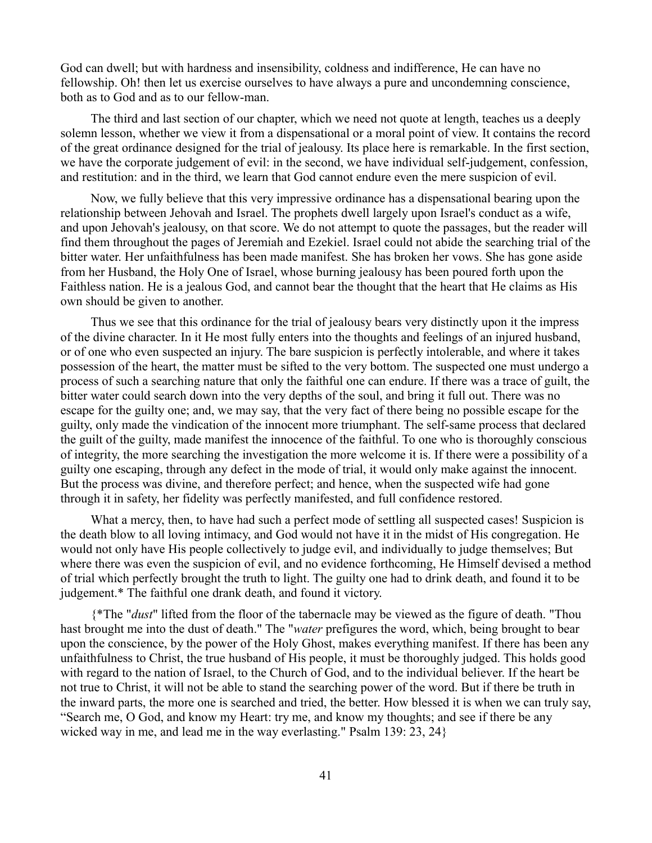God can dwell; but with hardness and insensibility, coldness and indifference, He can have no fellowship. Oh! then let us exercise ourselves to have always a pure and uncondemning conscience, both as to God and as to our fellow-man.

The third and last section of our chapter, which we need not quote at length, teaches us a deeply solemn lesson, whether we view it from a dispensational or a moral point of view. It contains the record of the great ordinance designed for the trial of jealousy. Its place here is remarkable. In the first section, we have the corporate judgement of evil: in the second, we have individual self-judgement, confession, and restitution: and in the third, we learn that God cannot endure even the mere suspicion of evil.

Now, we fully believe that this very impressive ordinance has a dispensational bearing upon the relationship between Jehovah and Israel. The prophets dwell largely upon Israel's conduct as a wife, and upon Jehovah's jealousy, on that score. We do not attempt to quote the passages, but the reader will find them throughout the pages of Jeremiah and Ezekiel. Israel could not abide the searching trial of the bitter water. Her unfaithfulness has been made manifest. She has broken her vows. She has gone aside from her Husband, the Holy One of Israel, whose burning jealousy has been poured forth upon the Faithless nation. He is a jealous God, and cannot bear the thought that the heart that He claims as His own should be given to another.

Thus we see that this ordinance for the trial of jealousy bears very distinctly upon it the impress of the divine character. In it He most fully enters into the thoughts and feelings of an injured husband, or of one who even suspected an injury. The bare suspicion is perfectly intolerable, and where it takes possession of the heart, the matter must be sifted to the very bottom. The suspected one must undergo a process of such a searching nature that only the faithful one can endure. If there was a trace of guilt, the bitter water could search down into the very depths of the soul, and bring it full out. There was no escape for the guilty one; and, we may say, that the very fact of there being no possible escape for the guilty, only made the vindication of the innocent more triumphant. The self-same process that declared the guilt of the guilty, made manifest the innocence of the faithful. To one who is thoroughly conscious of integrity, the more searching the investigation the more welcome it is. If there were a possibility of a guilty one escaping, through any defect in the mode of trial, it would only make against the innocent. But the process was divine, and therefore perfect; and hence, when the suspected wife had gone through it in safety, her fidelity was perfectly manifested, and full confidence restored.

What a mercy, then, to have had such a perfect mode of settling all suspected cases! Suspicion is the death blow to all loving intimacy, and God would not have it in the midst of His congregation. He would not only have His people collectively to judge evil, and individually to judge themselves; But where there was even the suspicion of evil, and no evidence forthcoming, He Himself devised a method of trial which perfectly brought the truth to light. The guilty one had to drink death, and found it to be judgement.\* The faithful one drank death, and found it victory.

{\*The "*dust*" lifted from the floor of the tabernacle may be viewed as the figure of death. "Thou hast brought me into the dust of death." The "*water* prefigures the word, which, being brought to bear upon the conscience, by the power of the Holy Ghost, makes everything manifest. If there has been any unfaithfulness to Christ, the true husband of His people, it must be thoroughly judged. This holds good with regard to the nation of Israel, to the Church of God, and to the individual believer. If the heart be not true to Christ, it will not be able to stand the searching power of the word. But if there be truth in the inward parts, the more one is searched and tried, the better. How blessed it is when we can truly say, "Search me, O God, and know my Heart: try me, and know my thoughts; and see if there be any wicked way in me, and lead me in the way everlasting." Psalm 139: 23, 24}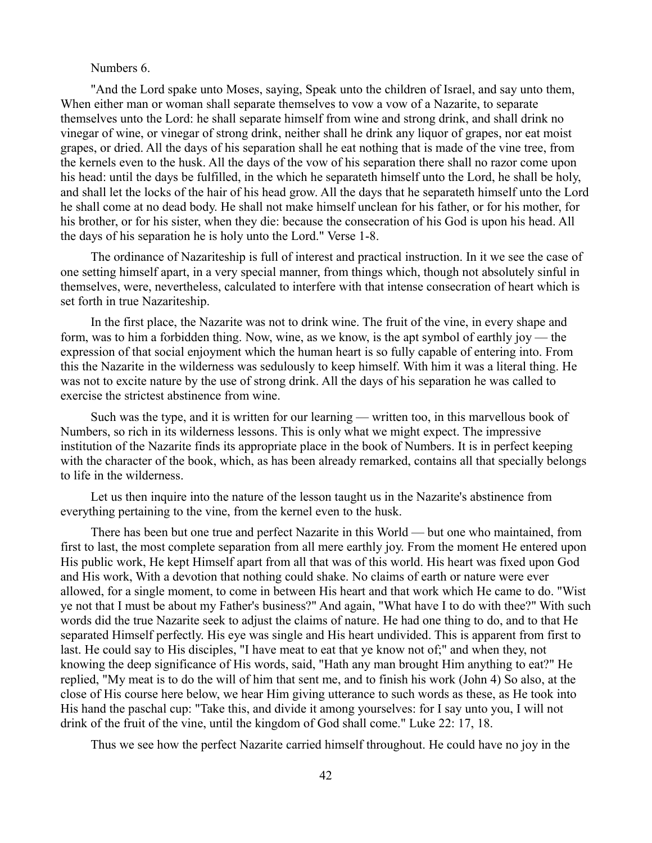## Numbers 6.

"And the Lord spake unto Moses, saying, Speak unto the children of Israel, and say unto them, When either man or woman shall separate themselves to vow a vow of a Nazarite, to separate themselves unto the Lord: he shall separate himself from wine and strong drink, and shall drink no vinegar of wine, or vinegar of strong drink, neither shall he drink any liquor of grapes, nor eat moist grapes, or dried. All the days of his separation shall he eat nothing that is made of the vine tree, from the kernels even to the husk. All the days of the vow of his separation there shall no razor come upon his head: until the days be fulfilled, in the which he separateth himself unto the Lord, he shall be holy, and shall let the locks of the hair of his head grow. All the days that he separateth himself unto the Lord he shall come at no dead body. He shall not make himself unclean for his father, or for his mother, for his brother, or for his sister, when they die: because the consecration of his God is upon his head. All the days of his separation he is holy unto the Lord." Verse 1-8.

The ordinance of Nazariteship is full of interest and practical instruction. In it we see the case of one setting himself apart, in a very special manner, from things which, though not absolutely sinful in themselves, were, nevertheless, calculated to interfere with that intense consecration of heart which is set forth in true Nazariteship.

In the first place, the Nazarite was not to drink wine. The fruit of the vine, in every shape and form, was to him a forbidden thing. Now, wine, as we know, is the apt symbol of earthly joy — the expression of that social enjoyment which the human heart is so fully capable of entering into. From this the Nazarite in the wilderness was sedulously to keep himself. With him it was a literal thing. He was not to excite nature by the use of strong drink. All the days of his separation he was called to exercise the strictest abstinence from wine.

Such was the type, and it is written for our learning — written too, in this marvellous book of Numbers, so rich in its wilderness lessons. This is only what we might expect. The impressive institution of the Nazarite finds its appropriate place in the book of Numbers. It is in perfect keeping with the character of the book, which, as has been already remarked, contains all that specially belongs to life in the wilderness.

Let us then inquire into the nature of the lesson taught us in the Nazarite's abstinence from everything pertaining to the vine, from the kernel even to the husk.

There has been but one true and perfect Nazarite in this World — but one who maintained, from first to last, the most complete separation from all mere earthly joy. From the moment He entered upon His public work, He kept Himself apart from all that was of this world. His heart was fixed upon God and His work, With a devotion that nothing could shake. No claims of earth or nature were ever allowed, for a single moment, to come in between His heart and that work which He came to do. "Wist ye not that I must be about my Father's business?" And again, "What have I to do with thee?" With such words did the true Nazarite seek to adjust the claims of nature. He had one thing to do, and to that He separated Himself perfectly. His eye was single and His heart undivided. This is apparent from first to last. He could say to His disciples, "I have meat to eat that ye know not of;" and when they, not knowing the deep significance of His words, said, "Hath any man brought Him anything to eat?" He replied, "My meat is to do the will of him that sent me, and to finish his work (John 4) So also, at the close of His course here below, we hear Him giving utterance to such words as these, as He took into His hand the paschal cup: "Take this, and divide it among yourselves: for I say unto you, I will not drink of the fruit of the vine, until the kingdom of God shall come." Luke 22: 17, 18.

Thus we see how the perfect Nazarite carried himself throughout. He could have no joy in the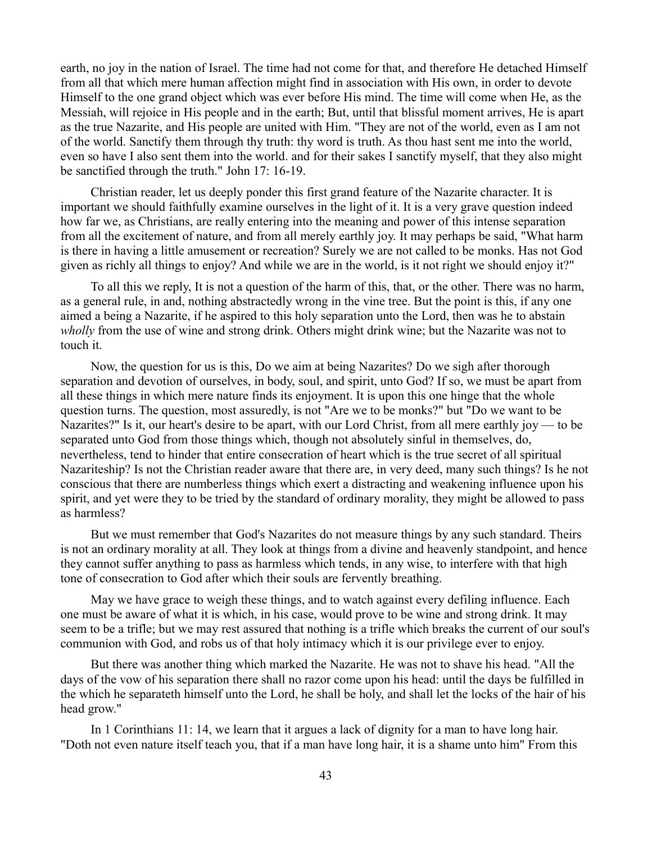earth, no joy in the nation of Israel. The time had not come for that, and therefore He detached Himself from all that which mere human affection might find in association with His own, in order to devote Himself to the one grand object which was ever before His mind. The time will come when He, as the Messiah, will rejoice in His people and in the earth; But, until that blissful moment arrives, He is apart as the true Nazarite, and His people are united with Him. "They are not of the world, even as I am not of the world. Sanctify them through thy truth: thy word is truth. As thou hast sent me into the world, even so have I also sent them into the world. and for their sakes I sanctify myself, that they also might be sanctified through the truth." John 17: 16-19.

Christian reader, let us deeply ponder this first grand feature of the Nazarite character. It is important we should faithfully examine ourselves in the light of it. It is a very grave question indeed how far we, as Christians, are really entering into the meaning and power of this intense separation from all the excitement of nature, and from all merely earthly joy. It may perhaps be said, "What harm is there in having a little amusement or recreation? Surely we are not called to be monks. Has not God given as richly all things to enjoy? And while we are in the world, is it not right we should enjoy it?"

To all this we reply, It is not a question of the harm of this, that, or the other. There was no harm, as a general rule, in and, nothing abstractedly wrong in the vine tree. But the point is this, if any one aimed a being a Nazarite, if he aspired to this holy separation unto the Lord, then was he to abstain *wholly* from the use of wine and strong drink. Others might drink wine; but the Nazarite was not to touch it.

Now, the question for us is this, Do we aim at being Nazarites? Do we sigh after thorough separation and devotion of ourselves, in body, soul, and spirit, unto God? If so, we must be apart from all these things in which mere nature finds its enjoyment. It is upon this one hinge that the whole question turns. The question, most assuredly, is not "Are we to be monks?" but "Do we want to be Nazarites?" Is it, our heart's desire to be apart, with our Lord Christ, from all mere earthly joy — to be separated unto God from those things which, though not absolutely sinful in themselves, do, nevertheless, tend to hinder that entire consecration of heart which is the true secret of all spiritual Nazariteship? Is not the Christian reader aware that there are, in very deed, many such things? Is he not conscious that there are numberless things which exert a distracting and weakening influence upon his spirit, and yet were they to be tried by the standard of ordinary morality, they might be allowed to pass as harmless?

But we must remember that God's Nazarites do not measure things by any such standard. Theirs is not an ordinary morality at all. They look at things from a divine and heavenly standpoint, and hence they cannot suffer anything to pass as harmless which tends, in any wise, to interfere with that high tone of consecration to God after which their souls are fervently breathing.

May we have grace to weigh these things, and to watch against every defiling influence. Each one must be aware of what it is which, in his case, would prove to be wine and strong drink. It may seem to be a trifle; but we may rest assured that nothing is a trifle which breaks the current of our soul's communion with God, and robs us of that holy intimacy which it is our privilege ever to enjoy.

But there was another thing which marked the Nazarite. He was not to shave his head. "All the days of the vow of his separation there shall no razor come upon his head: until the days be fulfilled in the which he separateth himself unto the Lord, he shall be holy, and shall let the locks of the hair of his head grow."

In 1 Corinthians 11: 14, we learn that it argues a lack of dignity for a man to have long hair. "Doth not even nature itself teach you, that if a man have long hair, it is a shame unto him" From this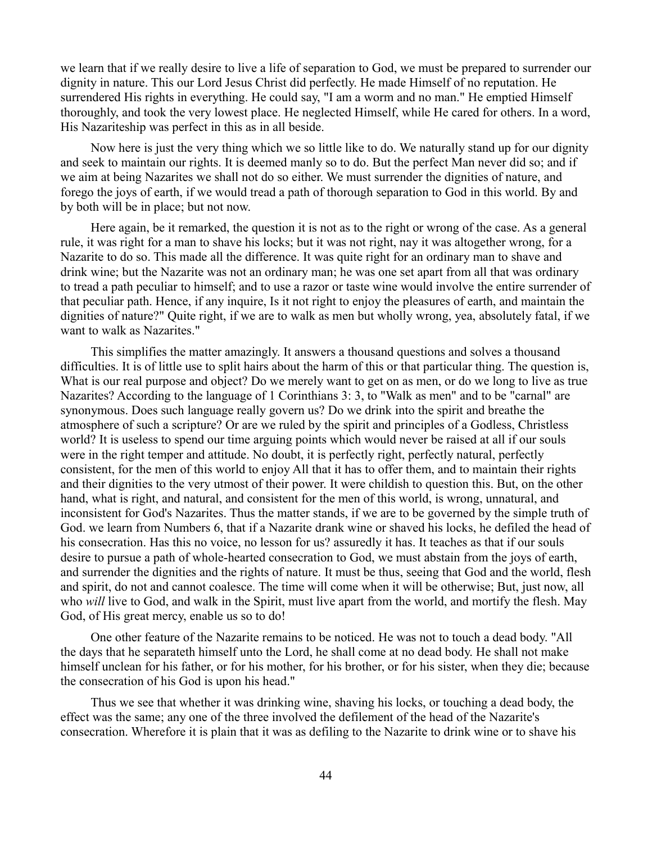we learn that if we really desire to live a life of separation to God, we must be prepared to surrender our dignity in nature. This our Lord Jesus Christ did perfectly. He made Himself of no reputation. He surrendered His rights in everything. He could say, "I am a worm and no man." He emptied Himself thoroughly, and took the very lowest place. He neglected Himself, while He cared for others. In a word, His Nazariteship was perfect in this as in all beside.

Now here is just the very thing which we so little like to do. We naturally stand up for our dignity and seek to maintain our rights. It is deemed manly so to do. But the perfect Man never did so; and if we aim at being Nazarites we shall not do so either. We must surrender the dignities of nature, and forego the joys of earth, if we would tread a path of thorough separation to God in this world. By and by both will be in place; but not now.

Here again, be it remarked, the question it is not as to the right or wrong of the case. As a general rule, it was right for a man to shave his locks; but it was not right, nay it was altogether wrong, for a Nazarite to do so. This made all the difference. It was quite right for an ordinary man to shave and drink wine; but the Nazarite was not an ordinary man; he was one set apart from all that was ordinary to tread a path peculiar to himself; and to use a razor or taste wine would involve the entire surrender of that peculiar path. Hence, if any inquire, Is it not right to enjoy the pleasures of earth, and maintain the dignities of nature?" Quite right, if we are to walk as men but wholly wrong, yea, absolutely fatal, if we want to walk as Nazarites."

This simplifies the matter amazingly. It answers a thousand questions and solves a thousand difficulties. It is of little use to split hairs about the harm of this or that particular thing. The question is, What is our real purpose and object? Do we merely want to get on as men, or do we long to live as true Nazarites? According to the language of 1 Corinthians 3: 3, to "Walk as men" and to be "carnal" are synonymous. Does such language really govern us? Do we drink into the spirit and breathe the atmosphere of such a scripture? Or are we ruled by the spirit and principles of a Godless, Christless world? It is useless to spend our time arguing points which would never be raised at all if our souls were in the right temper and attitude. No doubt, it is perfectly right, perfectly natural, perfectly consistent, for the men of this world to enjoy All that it has to offer them, and to maintain their rights and their dignities to the very utmost of their power. It were childish to question this. But, on the other hand, what is right, and natural, and consistent for the men of this world, is wrong, unnatural, and inconsistent for God's Nazarites. Thus the matter stands, if we are to be governed by the simple truth of God. we learn from Numbers 6, that if a Nazarite drank wine or shaved his locks, he defiled the head of his consecration. Has this no voice, no lesson for us? assuredly it has. It teaches as that if our souls desire to pursue a path of whole-hearted consecration to God, we must abstain from the joys of earth, and surrender the dignities and the rights of nature. It must be thus, seeing that God and the world, flesh and spirit, do not and cannot coalesce. The time will come when it will be otherwise; But, just now, all who *will* live to God, and walk in the Spirit, must live apart from the world, and mortify the flesh. May God, of His great mercy, enable us so to do!

One other feature of the Nazarite remains to be noticed. He was not to touch a dead body. "All the days that he separateth himself unto the Lord, he shall come at no dead body. He shall not make himself unclean for his father, or for his mother, for his brother, or for his sister, when they die; because the consecration of his God is upon his head."

Thus we see that whether it was drinking wine, shaving his locks, or touching a dead body, the effect was the same; any one of the three involved the defilement of the head of the Nazarite's consecration. Wherefore it is plain that it was as defiling to the Nazarite to drink wine or to shave his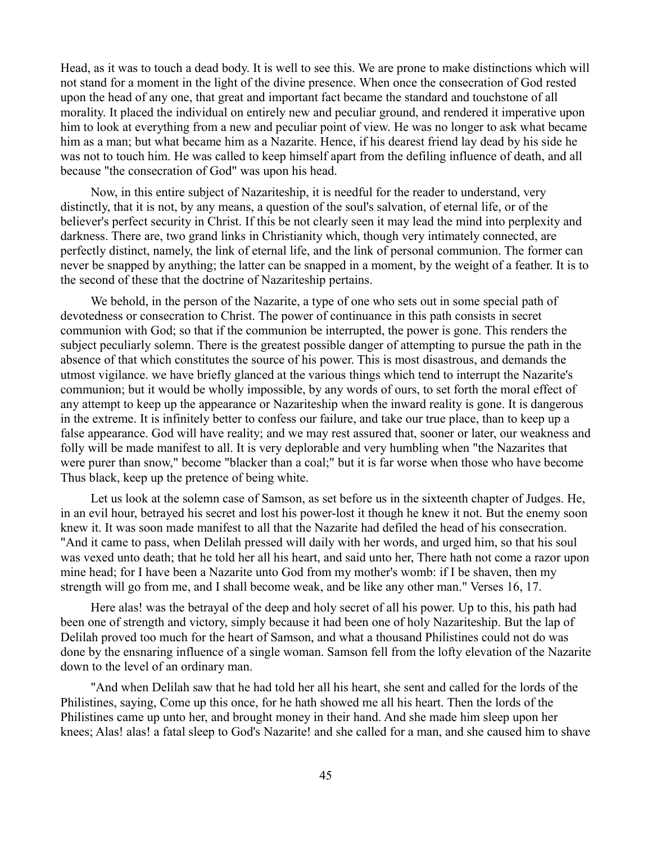Head, as it was to touch a dead body. It is well to see this. We are prone to make distinctions which will not stand for a moment in the light of the divine presence. When once the consecration of God rested upon the head of any one, that great and important fact became the standard and touchstone of all morality. It placed the individual on entirely new and peculiar ground, and rendered it imperative upon him to look at everything from a new and peculiar point of view. He was no longer to ask what became him as a man; but what became him as a Nazarite. Hence, if his dearest friend lay dead by his side he was not to touch him. He was called to keep himself apart from the defiling influence of death, and all because "the consecration of God" was upon his head.

Now, in this entire subject of Nazariteship, it is needful for the reader to understand, very distinctly, that it is not, by any means, a question of the soul's salvation, of eternal life, or of the believer's perfect security in Christ. If this be not clearly seen it may lead the mind into perplexity and darkness. There are, two grand links in Christianity which, though very intimately connected, are perfectly distinct, namely, the link of eternal life, and the link of personal communion. The former can never be snapped by anything; the latter can be snapped in a moment, by the weight of a feather. It is to the second of these that the doctrine of Nazariteship pertains.

We behold, in the person of the Nazarite, a type of one who sets out in some special path of devotedness or consecration to Christ. The power of continuance in this path consists in secret communion with God; so that if the communion be interrupted, the power is gone. This renders the subject peculiarly solemn. There is the greatest possible danger of attempting to pursue the path in the absence of that which constitutes the source of his power. This is most disastrous, and demands the utmost vigilance. we have briefly glanced at the various things which tend to interrupt the Nazarite's communion; but it would be wholly impossible, by any words of ours, to set forth the moral effect of any attempt to keep up the appearance or Nazariteship when the inward reality is gone. It is dangerous in the extreme. It is infinitely better to confess our failure, and take our true place, than to keep up a false appearance. God will have reality; and we may rest assured that, sooner or later, our weakness and folly will be made manifest to all. It is very deplorable and very humbling when "the Nazarites that were purer than snow," become "blacker than a coal;" but it is far worse when those who have become Thus black, keep up the pretence of being white.

Let us look at the solemn case of Samson, as set before us in the sixteenth chapter of Judges. He, in an evil hour, betrayed his secret and lost his power-lost it though he knew it not. But the enemy soon knew it. It was soon made manifest to all that the Nazarite had defiled the head of his consecration. "And it came to pass, when Delilah pressed will daily with her words, and urged him, so that his soul was vexed unto death; that he told her all his heart, and said unto her, There hath not come a razor upon mine head; for I have been a Nazarite unto God from my mother's womb: if I be shaven, then my strength will go from me, and I shall become weak, and be like any other man." Verses 16, 17.

Here alas! was the betrayal of the deep and holy secret of all his power. Up to this, his path had been one of strength and victory, simply because it had been one of holy Nazariteship. But the lap of Delilah proved too much for the heart of Samson, and what a thousand Philistines could not do was done by the ensnaring influence of a single woman. Samson fell from the lofty elevation of the Nazarite down to the level of an ordinary man.

"And when Delilah saw that he had told her all his heart, she sent and called for the lords of the Philistines, saying, Come up this once, for he hath showed me all his heart. Then the lords of the Philistines came up unto her, and brought money in their hand. And she made him sleep upon her knees; Alas! alas! a fatal sleep to God's Nazarite! and she called for a man, and she caused him to shave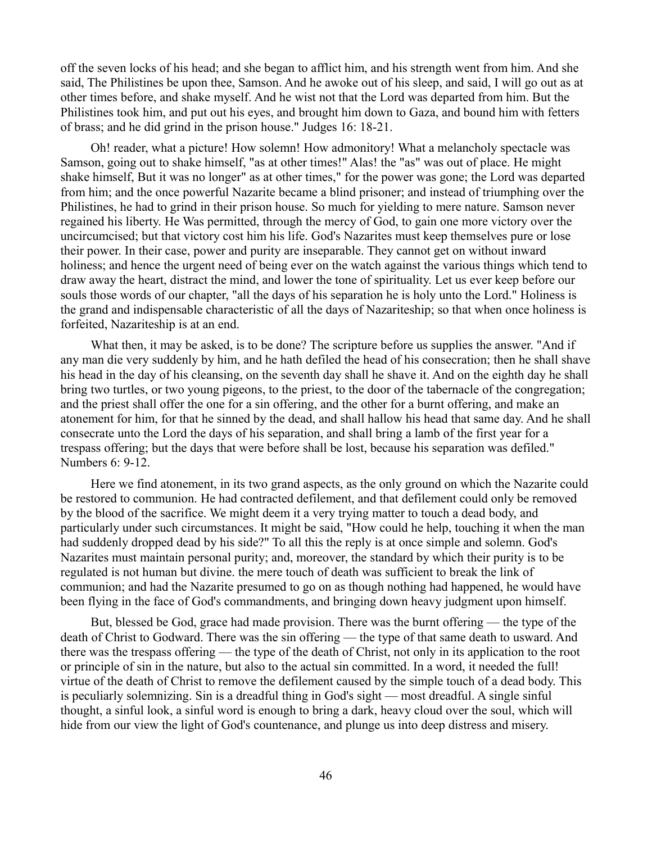off the seven locks of his head; and she began to afflict him, and his strength went from him. And she said, The Philistines be upon thee, Samson. And he awoke out of his sleep, and said, I will go out as at other times before, and shake myself. And he wist not that the Lord was departed from him. But the Philistines took him, and put out his eyes, and brought him down to Gaza, and bound him with fetters of brass; and he did grind in the prison house." Judges 16: 18-21.

Oh! reader, what a picture! How solemn! How admonitory! What a melancholy spectacle was Samson, going out to shake himself, "as at other times!" Alas! the "as" was out of place. He might shake himself, But it was no longer" as at other times," for the power was gone; the Lord was departed from him; and the once powerful Nazarite became a blind prisoner; and instead of triumphing over the Philistines, he had to grind in their prison house. So much for yielding to mere nature. Samson never regained his liberty. He Was permitted, through the mercy of God, to gain one more victory over the uncircumcised; but that victory cost him his life. God's Nazarites must keep themselves pure or lose their power. In their case, power and purity are inseparable. They cannot get on without inward holiness; and hence the urgent need of being ever on the watch against the various things which tend to draw away the heart, distract the mind, and lower the tone of spirituality. Let us ever keep before our souls those words of our chapter, "all the days of his separation he is holy unto the Lord." Holiness is the grand and indispensable characteristic of all the days of Nazariteship; so that when once holiness is forfeited, Nazariteship is at an end.

What then, it may be asked, is to be done? The scripture before us supplies the answer. "And if any man die very suddenly by him, and he hath defiled the head of his consecration; then he shall shave his head in the day of his cleansing, on the seventh day shall he shave it. And on the eighth day he shall bring two turtles, or two young pigeons, to the priest, to the door of the tabernacle of the congregation; and the priest shall offer the one for a sin offering, and the other for a burnt offering, and make an atonement for him, for that he sinned by the dead, and shall hallow his head that same day. And he shall consecrate unto the Lord the days of his separation, and shall bring a lamb of the first year for a trespass offering; but the days that were before shall be lost, because his separation was defiled." Numbers 6: 9-12.

Here we find atonement, in its two grand aspects, as the only ground on which the Nazarite could be restored to communion. He had contracted defilement, and that defilement could only be removed by the blood of the sacrifice. We might deem it a very trying matter to touch a dead body, and particularly under such circumstances. It might be said, "How could he help, touching it when the man had suddenly dropped dead by his side?" To all this the reply is at once simple and solemn. God's Nazarites must maintain personal purity; and, moreover, the standard by which their purity is to be regulated is not human but divine. the mere touch of death was sufficient to break the link of communion; and had the Nazarite presumed to go on as though nothing had happened, he would have been flying in the face of God's commandments, and bringing down heavy judgment upon himself.

But, blessed be God, grace had made provision. There was the burnt offering — the type of the death of Christ to Godward. There was the sin offering — the type of that same death to usward. And there was the trespass offering — the type of the death of Christ, not only in its application to the root or principle of sin in the nature, but also to the actual sin committed. In a word, it needed the full! virtue of the death of Christ to remove the defilement caused by the simple touch of a dead body. This is peculiarly solemnizing. Sin is a dreadful thing in God's sight — most dreadful. A single sinful thought, a sinful look, a sinful word is enough to bring a dark, heavy cloud over the soul, which will hide from our view the light of God's countenance, and plunge us into deep distress and misery.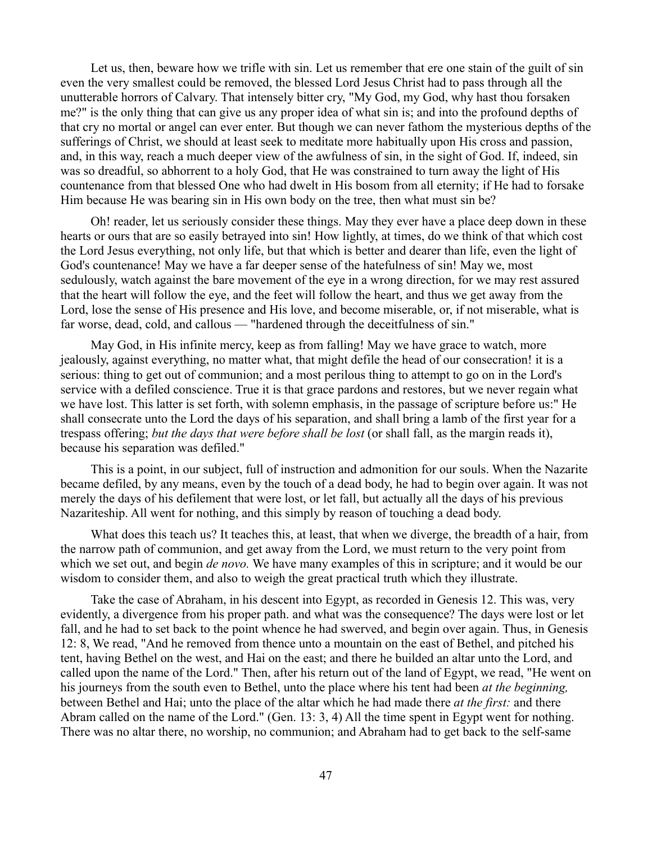Let us, then, beware how we trifle with sin. Let us remember that ere one stain of the guilt of sin even the very smallest could be removed, the blessed Lord Jesus Christ had to pass through all the unutterable horrors of Calvary. That intensely bitter cry, "My God, my God, why hast thou forsaken me?" is the only thing that can give us any proper idea of what sin is; and into the profound depths of that cry no mortal or angel can ever enter. But though we can never fathom the mysterious depths of the sufferings of Christ, we should at least seek to meditate more habitually upon His cross and passion, and, in this way, reach a much deeper view of the awfulness of sin, in the sight of God. If, indeed, sin was so dreadful, so abhorrent to a holy God, that He was constrained to turn away the light of His countenance from that blessed One who had dwelt in His bosom from all eternity; if He had to forsake Him because He was bearing sin in His own body on the tree, then what must sin be?

Oh! reader, let us seriously consider these things. May they ever have a place deep down in these hearts or ours that are so easily betrayed into sin! How lightly, at times, do we think of that which cost the Lord Jesus everything, not only life, but that which is better and dearer than life, even the light of God's countenance! May we have a far deeper sense of the hatefulness of sin! May we, most sedulously, watch against the bare movement of the eye in a wrong direction, for we may rest assured that the heart will follow the eye, and the feet will follow the heart, and thus we get away from the Lord, lose the sense of His presence and His love, and become miserable, or, if not miserable, what is far worse, dead, cold, and callous — "hardened through the deceitfulness of sin."

May God, in His infinite mercy, keep as from falling! May we have grace to watch, more jealously, against everything, no matter what, that might defile the head of our consecration! it is a serious: thing to get out of communion; and a most perilous thing to attempt to go on in the Lord's service with a defiled conscience. True it is that grace pardons and restores, but we never regain what we have lost. This latter is set forth, with solemn emphasis, in the passage of scripture before us:" He shall consecrate unto the Lord the days of his separation, and shall bring a lamb of the first year for a trespass offering; *but the days that were before shall be lost* (or shall fall, as the margin reads it), because his separation was defiled."

This is a point, in our subject, full of instruction and admonition for our souls. When the Nazarite became defiled, by any means, even by the touch of a dead body, he had to begin over again. It was not merely the days of his defilement that were lost, or let fall, but actually all the days of his previous Nazariteship. All went for nothing, and this simply by reason of touching a dead body.

What does this teach us? It teaches this, at least, that when we diverge, the breadth of a hair, from the narrow path of communion, and get away from the Lord, we must return to the very point from which we set out, and begin *de novo.* We have many examples of this in scripture; and it would be our wisdom to consider them, and also to weigh the great practical truth which they illustrate.

Take the case of Abraham, in his descent into Egypt, as recorded in Genesis 12. This was, very evidently, a divergence from his proper path. and what was the consequence? The days were lost or let fall, and he had to set back to the point whence he had swerved, and begin over again. Thus, in Genesis 12: 8, We read, "And he removed from thence unto a mountain on the east of Bethel, and pitched his tent, having Bethel on the west, and Hai on the east; and there he builded an altar unto the Lord, and called upon the name of the Lord." Then, after his return out of the land of Egypt, we read, "He went on his journeys from the south even to Bethel, unto the place where his tent had been *at the beginning,* between Bethel and Hai; unto the place of the altar which he had made there *at the first:* and there Abram called on the name of the Lord." (Gen. 13: 3, 4) All the time spent in Egypt went for nothing. There was no altar there, no worship, no communion; and Abraham had to get back to the self-same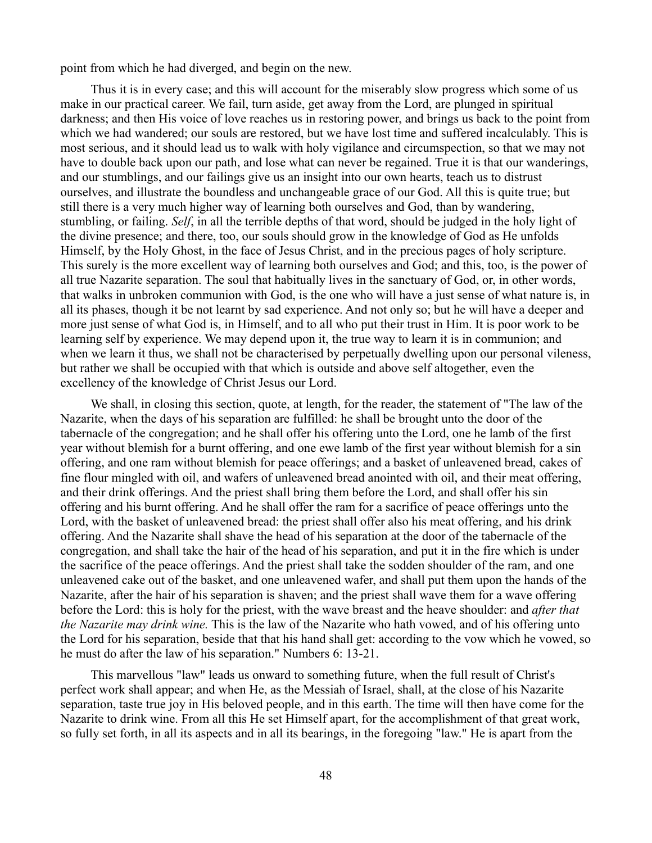point from which he had diverged, and begin on the new.

Thus it is in every case; and this will account for the miserably slow progress which some of us make in our practical career. We fail, turn aside, get away from the Lord, are plunged in spiritual darkness; and then His voice of love reaches us in restoring power, and brings us back to the point from which we had wandered; our souls are restored, but we have lost time and suffered incalculably. This is most serious, and it should lead us to walk with holy vigilance and circumspection, so that we may not have to double back upon our path, and lose what can never be regained. True it is that our wanderings, and our stumblings, and our failings give us an insight into our own hearts, teach us to distrust ourselves, and illustrate the boundless and unchangeable grace of our God. All this is quite true; but still there is a very much higher way of learning both ourselves and God, than by wandering, stumbling, or failing. *Self*, in all the terrible depths of that word, should be judged in the holy light of the divine presence; and there, too, our souls should grow in the knowledge of God as He unfolds Himself, by the Holy Ghost, in the face of Jesus Christ, and in the precious pages of holy scripture. This surely is the more excellent way of learning both ourselves and God; and this, too, is the power of all true Nazarite separation. The soul that habitually lives in the sanctuary of God, or, in other words, that walks in unbroken communion with God, is the one who will have a just sense of what nature is, in all its phases, though it be not learnt by sad experience. And not only so; but he will have a deeper and more just sense of what God is, in Himself, and to all who put their trust in Him. It is poor work to be learning self by experience. We may depend upon it, the true way to learn it is in communion; and when we learn it thus, we shall not be characterised by perpetually dwelling upon our personal vileness, but rather we shall be occupied with that which is outside and above self altogether, even the excellency of the knowledge of Christ Jesus our Lord.

We shall, in closing this section, quote, at length, for the reader, the statement of "The law of the Nazarite, when the days of his separation are fulfilled: he shall be brought unto the door of the tabernacle of the congregation; and he shall offer his offering unto the Lord, one he lamb of the first year without blemish for a burnt offering, and one ewe lamb of the first year without blemish for a sin offering, and one ram without blemish for peace offerings; and a basket of unleavened bread, cakes of fine flour mingled with oil, and wafers of unleavened bread anointed with oil, and their meat offering, and their drink offerings. And the priest shall bring them before the Lord, and shall offer his sin offering and his burnt offering. And he shall offer the ram for a sacrifice of peace offerings unto the Lord, with the basket of unleavened bread: the priest shall offer also his meat offering, and his drink offering. And the Nazarite shall shave the head of his separation at the door of the tabernacle of the congregation, and shall take the hair of the head of his separation, and put it in the fire which is under the sacrifice of the peace offerings. And the priest shall take the sodden shoulder of the ram, and one unleavened cake out of the basket, and one unleavened wafer, and shall put them upon the hands of the Nazarite, after the hair of his separation is shaven; and the priest shall wave them for a wave offering before the Lord: this is holy for the priest, with the wave breast and the heave shoulder: and *after that the Nazarite may drink wine.* This is the law of the Nazarite who hath vowed, and of his offering unto the Lord for his separation, beside that that his hand shall get: according to the vow which he vowed, so he must do after the law of his separation." Numbers 6: 13-21.

This marvellous "law" leads us onward to something future, when the full result of Christ's perfect work shall appear; and when He, as the Messiah of Israel, shall, at the close of his Nazarite separation, taste true joy in His beloved people, and in this earth. The time will then have come for the Nazarite to drink wine. From all this He set Himself apart, for the accomplishment of that great work, so fully set forth, in all its aspects and in all its bearings, in the foregoing "law." He is apart from the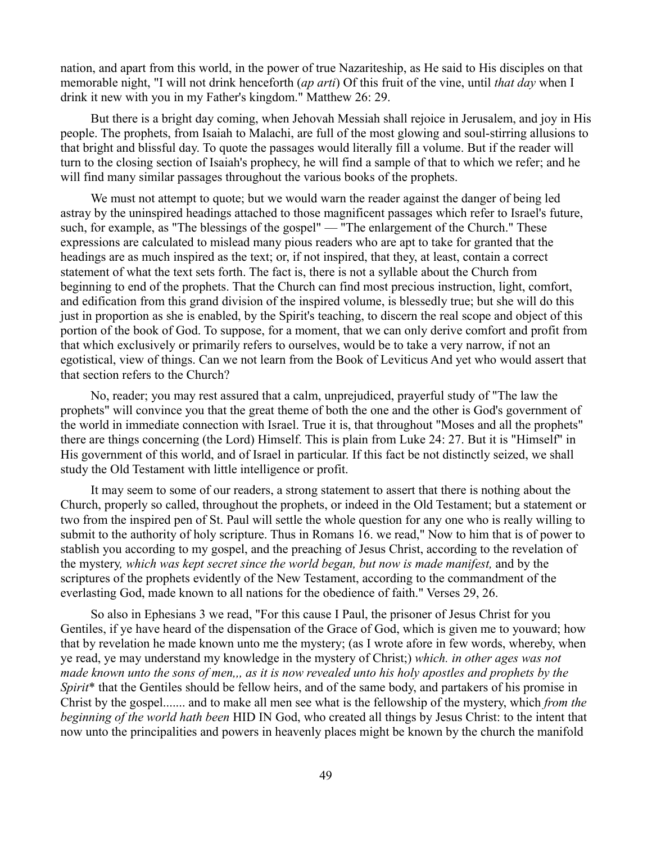nation, and apart from this world, in the power of true Nazariteship, as He said to His disciples on that memorable night, "I will not drink henceforth (*ap arti*) Of this fruit of the vine, until *that day* when I drink it new with you in my Father's kingdom." Matthew 26: 29.

But there is a bright day coming, when Jehovah Messiah shall rejoice in Jerusalem, and joy in His people. The prophets, from Isaiah to Malachi, are full of the most glowing and soul-stirring allusions to that bright and blissful day. To quote the passages would literally fill a volume. But if the reader will turn to the closing section of Isaiah's prophecy, he will find a sample of that to which we refer; and he will find many similar passages throughout the various books of the prophets.

We must not attempt to quote; but we would warn the reader against the danger of being led astray by the uninspired headings attached to those magnificent passages which refer to Israel's future, such, for example, as "The blessings of the gospel" — "The enlargement of the Church." These expressions are calculated to mislead many pious readers who are apt to take for granted that the headings are as much inspired as the text; or, if not inspired, that they, at least, contain a correct statement of what the text sets forth. The fact is, there is not a syllable about the Church from beginning to end of the prophets. That the Church can find most precious instruction, light, comfort, and edification from this grand division of the inspired volume, is blessedly true; but she will do this just in proportion as she is enabled, by the Spirit's teaching, to discern the real scope and object of this portion of the book of God. To suppose, for a moment, that we can only derive comfort and profit from that which exclusively or primarily refers to ourselves, would be to take a very narrow, if not an egotistical, view of things. Can we not learn from the Book of Leviticus And yet who would assert that that section refers to the Church?

No, reader; you may rest assured that a calm, unprejudiced, prayerful study of "The law the prophets" will convince you that the great theme of both the one and the other is God's government of the world in immediate connection with Israel. True it is, that throughout "Moses and all the prophets" there are things concerning (the Lord) Himself. This is plain from Luke 24: 27. But it is "Himself" in His government of this world, and of Israel in particular. If this fact be not distinctly seized, we shall study the Old Testament with little intelligence or profit.

It may seem to some of our readers, a strong statement to assert that there is nothing about the Church, properly so called, throughout the prophets, or indeed in the Old Testament; but a statement or two from the inspired pen of St. Paul will settle the whole question for any one who is really willing to submit to the authority of holy scripture. Thus in Romans 16. we read," Now to him that is of power to stablish you according to my gospel, and the preaching of Jesus Christ, according to the revelation of the mystery*, which was kept secret since the world began, but now is made manifest,* and by the scriptures of the prophets evidently of the New Testament, according to the commandment of the everlasting God, made known to all nations for the obedience of faith." Verses 29, 26.

So also in Ephesians 3 we read, "For this cause I Paul, the prisoner of Jesus Christ for you Gentiles, if ye have heard of the dispensation of the Grace of God, which is given me to youward; how that by revelation he made known unto me the mystery; (as I wrote afore in few words, whereby, when ye read, ye may understand my knowledge in the mystery of Christ;) *which. in other ages was not made known unto the sons of men,,, as it is now revealed unto his holy apostles and prophets by the Spirit*\* that the Gentiles should be fellow heirs, and of the same body, and partakers of his promise in Christ by the gospel....... and to make all men see what is the fellowship of the mystery, which *from the beginning of the world hath been* HID IN God, who created all things by Jesus Christ: to the intent that now unto the principalities and powers in heavenly places might be known by the church the manifold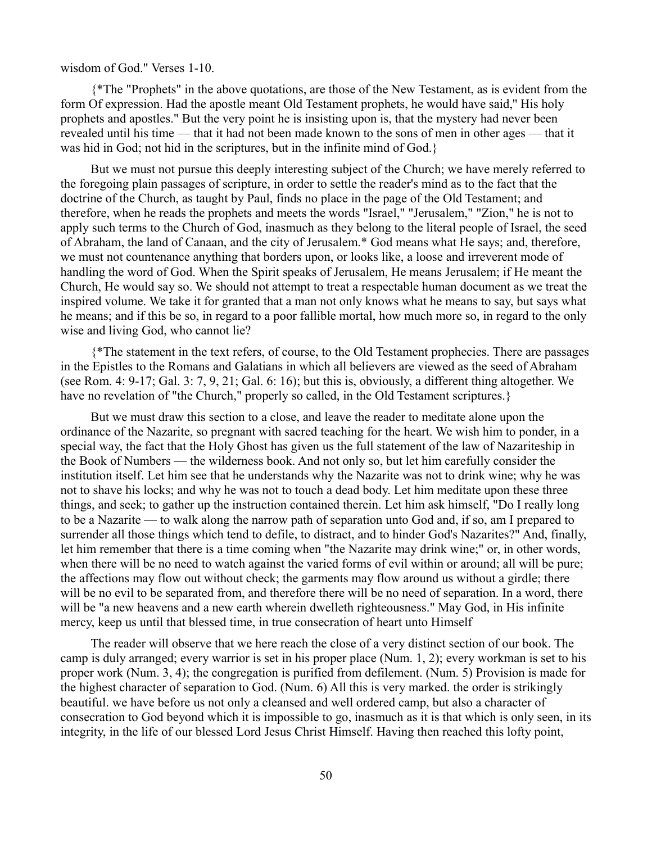### wisdom of God." Verses 1-10.

{\*The "Prophets" in the above quotations, are those of the New Testament, as is evident from the form Of expression. Had the apostle meant Old Testament prophets, he would have said,'' His holy prophets and apostles." But the very point he is insisting upon is, that the mystery had never been revealed until his time — that it had not been made known to the sons of men in other ages — that it was hid in God; not hid in the scriptures, but in the infinite mind of God.}

But we must not pursue this deeply interesting subject of the Church; we have merely referred to the foregoing plain passages of scripture, in order to settle the reader's mind as to the fact that the doctrine of the Church, as taught by Paul, finds no place in the page of the Old Testament; and therefore, when he reads the prophets and meets the words "Israel," "Jerusalem," "Zion," he is not to apply such terms to the Church of God, inasmuch as they belong to the literal people of Israel, the seed of Abraham, the land of Canaan, and the city of Jerusalem.\* God means what He says; and, therefore, we must not countenance anything that borders upon, or looks like, a loose and irreverent mode of handling the word of God. When the Spirit speaks of Jerusalem, He means Jerusalem; if He meant the Church, He would say so. We should not attempt to treat a respectable human document as we treat the inspired volume. We take it for granted that a man not only knows what he means to say, but says what he means; and if this be so, in regard to a poor fallible mortal, how much more so, in regard to the only wise and living God, who cannot lie?

{\*The statement in the text refers, of course, to the Old Testament prophecies. There are passages in the Epistles to the Romans and Galatians in which all believers are viewed as the seed of Abraham (see Rom. 4: 9-17; Gal. 3: 7, 9, 21; Gal. 6: 16); but this is, obviously, a different thing altogether. We have no revelation of "the Church," properly so called, in the Old Testament scriptures.}

But we must draw this section to a close, and leave the reader to meditate alone upon the ordinance of the Nazarite, so pregnant with sacred teaching for the heart. We wish him to ponder, in a special way, the fact that the Holy Ghost has given us the full statement of the law of Nazariteship in the Book of Numbers — the wilderness book. And not only so, but let him carefully consider the institution itself. Let him see that he understands why the Nazarite was not to drink wine; why he was not to shave his locks; and why he was not to touch a dead body. Let him meditate upon these three things, and seek; to gather up the instruction contained therein. Let him ask himself, "Do I really long to be a Nazarite — to walk along the narrow path of separation unto God and, if so, am I prepared to surrender all those things which tend to defile, to distract, and to hinder God's Nazarites?" And, finally, let him remember that there is a time coming when "the Nazarite may drink wine;" or, in other words, when there will be no need to watch against the varied forms of evil within or around; all will be pure; the affections may flow out without check; the garments may flow around us without a girdle; there will be no evil to be separated from, and therefore there will be no need of separation. In a word, there will be "a new heavens and a new earth wherein dwelleth righteousness." May God, in His infinite mercy, keep us until that blessed time, in true consecration of heart unto Himself

The reader will observe that we here reach the close of a very distinct section of our book. The camp is duly arranged; every warrior is set in his proper place (Num. 1, 2); every workman is set to his proper work (Num. 3, 4); the congregation is purified from defilement. (Num. 5) Provision is made for the highest character of separation to God. (Num. 6) All this is very marked. the order is strikingly beautiful. we have before us not only a cleansed and well ordered camp, but also a character of consecration to God beyond which it is impossible to go, inasmuch as it is that which is only seen, in its integrity, in the life of our blessed Lord Jesus Christ Himself. Having then reached this lofty point,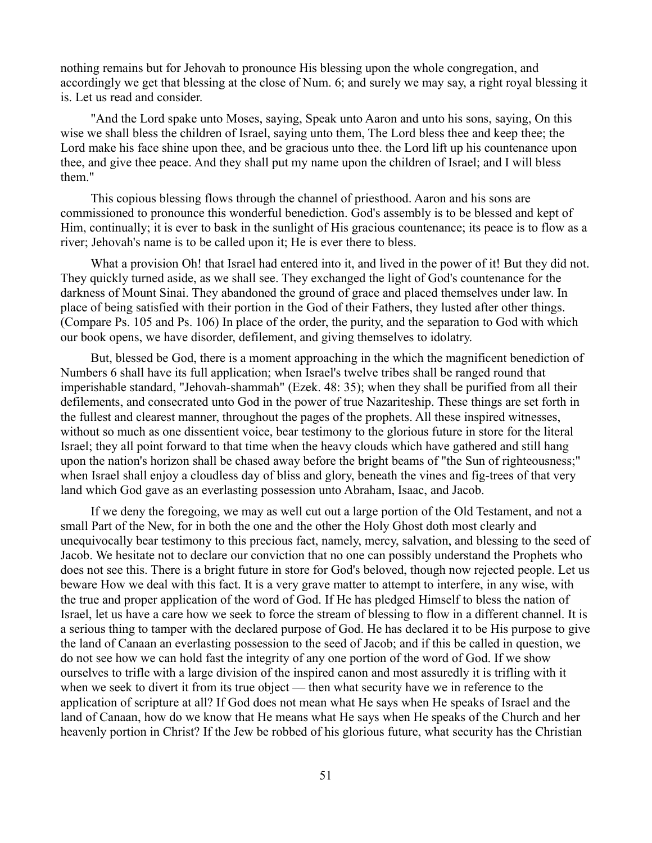nothing remains but for Jehovah to pronounce His blessing upon the whole congregation, and accordingly we get that blessing at the close of Num. 6; and surely we may say, a right royal blessing it is. Let us read and consider.

"And the Lord spake unto Moses, saying, Speak unto Aaron and unto his sons, saying, On this wise we shall bless the children of Israel, saying unto them, The Lord bless thee and keep thee; the Lord make his face shine upon thee, and be gracious unto thee. the Lord lift up his countenance upon thee, and give thee peace. And they shall put my name upon the children of Israel; and I will bless them."

This copious blessing flows through the channel of priesthood. Aaron and his sons are commissioned to pronounce this wonderful benediction. God's assembly is to be blessed and kept of Him, continually; it is ever to bask in the sunlight of His gracious countenance; its peace is to flow as a river; Jehovah's name is to be called upon it; He is ever there to bless.

What a provision Oh! that Israel had entered into it, and lived in the power of it! But they did not. They quickly turned aside, as we shall see. They exchanged the light of God's countenance for the darkness of Mount Sinai. They abandoned the ground of grace and placed themselves under law. In place of being satisfied with their portion in the God of their Fathers, they lusted after other things. (Compare Ps. 105 and Ps. 106) In place of the order, the purity, and the separation to God with which our book opens, we have disorder, defilement, and giving themselves to idolatry.

But, blessed be God, there is a moment approaching in the which the magnificent benediction of Numbers 6 shall have its full application; when Israel's twelve tribes shall be ranged round that imperishable standard, "Jehovah-shammah" (Ezek. 48: 35); when they shall be purified from all their defilements, and consecrated unto God in the power of true Nazariteship. These things are set forth in the fullest and clearest manner, throughout the pages of the prophets. All these inspired witnesses, without so much as one dissentient voice, bear testimony to the glorious future in store for the literal Israel; they all point forward to that time when the heavy clouds which have gathered and still hang upon the nation's horizon shall be chased away before the bright beams of "the Sun of righteousness;" when Israel shall enjoy a cloudless day of bliss and glory, beneath the vines and fig-trees of that very land which God gave as an everlasting possession unto Abraham, Isaac, and Jacob.

If we deny the foregoing, we may as well cut out a large portion of the Old Testament, and not a small Part of the New, for in both the one and the other the Holy Ghost doth most clearly and unequivocally bear testimony to this precious fact, namely, mercy, salvation, and blessing to the seed of Jacob. We hesitate not to declare our conviction that no one can possibly understand the Prophets who does not see this. There is a bright future in store for God's beloved, though now rejected people. Let us beware How we deal with this fact. It is a very grave matter to attempt to interfere, in any wise, with the true and proper application of the word of God. If He has pledged Himself to bless the nation of Israel, let us have a care how we seek to force the stream of blessing to flow in a different channel. It is a serious thing to tamper with the declared purpose of God. He has declared it to be His purpose to give the land of Canaan an everlasting possession to the seed of Jacob; and if this be called in question, we do not see how we can hold fast the integrity of any one portion of the word of God. If we show ourselves to trifle with a large division of the inspired canon and most assuredly it is trifling with it when we seek to divert it from its true object — then what security have we in reference to the application of scripture at all? If God does not mean what He says when He speaks of Israel and the land of Canaan, how do we know that He means what He says when He speaks of the Church and her heavenly portion in Christ? If the Jew be robbed of his glorious future, what security has the Christian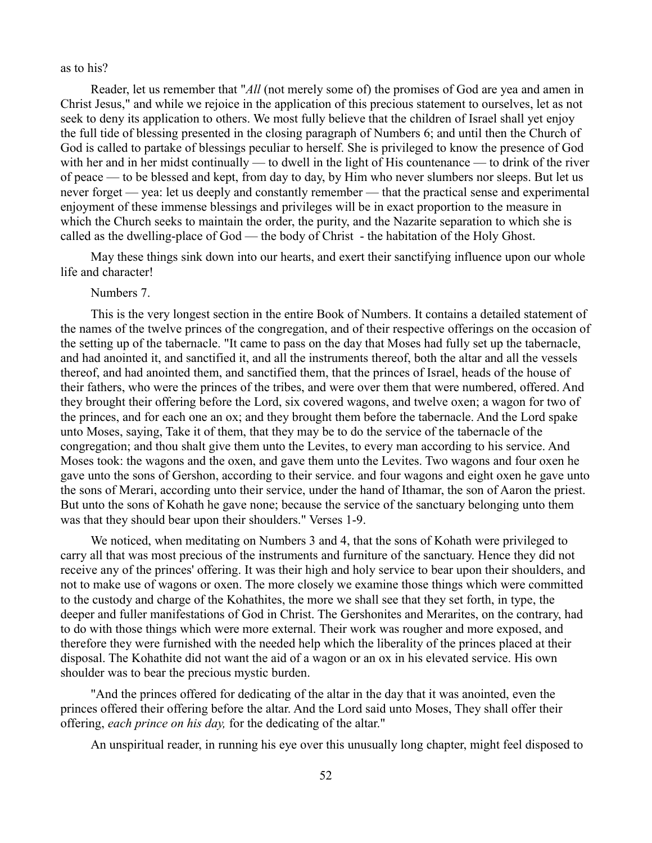as to his?

Reader, let us remember that "*All* (not merely some of) the promises of God are yea and amen in Christ Jesus," and while we rejoice in the application of this precious statement to ourselves, let as not seek to deny its application to others. We most fully believe that the children of Israel shall yet enjoy the full tide of blessing presented in the closing paragraph of Numbers 6; and until then the Church of God is called to partake of blessings peculiar to herself. She is privileged to know the presence of God with her and in her midst continually — to dwell in the light of His countenance — to drink of the river of peace — to be blessed and kept, from day to day, by Him who never slumbers nor sleeps. But let us never forget — yea: let us deeply and constantly remember — that the practical sense and experimental enjoyment of these immense blessings and privileges will be in exact proportion to the measure in which the Church seeks to maintain the order, the purity, and the Nazarite separation to which she is called as the dwelling-place of God — the body of Christ - the habitation of the Holy Ghost.

May these things sink down into our hearts, and exert their sanctifying influence upon our whole life and character!

Numbers 7.

This is the very longest section in the entire Book of Numbers. It contains a detailed statement of the names of the twelve princes of the congregation, and of their respective offerings on the occasion of the setting up of the tabernacle. "It came to pass on the day that Moses had fully set up the tabernacle, and had anointed it, and sanctified it, and all the instruments thereof, both the altar and all the vessels thereof, and had anointed them, and sanctified them, that the princes of Israel, heads of the house of their fathers, who were the princes of the tribes, and were over them that were numbered, offered. And they brought their offering before the Lord, six covered wagons, and twelve oxen; a wagon for two of the princes, and for each one an ox; and they brought them before the tabernacle. And the Lord spake unto Moses, saying, Take it of them, that they may be to do the service of the tabernacle of the congregation; and thou shalt give them unto the Levites, to every man according to his service. And Moses took: the wagons and the oxen, and gave them unto the Levites. Two wagons and four oxen he gave unto the sons of Gershon, according to their service. and four wagons and eight oxen he gave unto the sons of Merari, according unto their service, under the hand of Ithamar, the son of Aaron the priest. But unto the sons of Kohath he gave none; because the service of the sanctuary belonging unto them was that they should bear upon their shoulders." Verses 1-9.

We noticed, when meditating on Numbers 3 and 4, that the sons of Kohath were privileged to carry all that was most precious of the instruments and furniture of the sanctuary. Hence they did not receive any of the princes' offering. It was their high and holy service to bear upon their shoulders, and not to make use of wagons or oxen. The more closely we examine those things which were committed to the custody and charge of the Kohathites, the more we shall see that they set forth, in type, the deeper and fuller manifestations of God in Christ. The Gershonites and Merarites, on the contrary, had to do with those things which were more external. Their work was rougher and more exposed, and therefore they were furnished with the needed help which the liberality of the princes placed at their disposal. The Kohathite did not want the aid of a wagon or an ox in his elevated service. His own shoulder was to bear the precious mystic burden.

"And the princes offered for dedicating of the altar in the day that it was anointed, even the princes offered their offering before the altar. And the Lord said unto Moses, They shall offer their offering, *each prince on his day,* for the dedicating of the altar."

An unspiritual reader, in running his eye over this unusually long chapter, might feel disposed to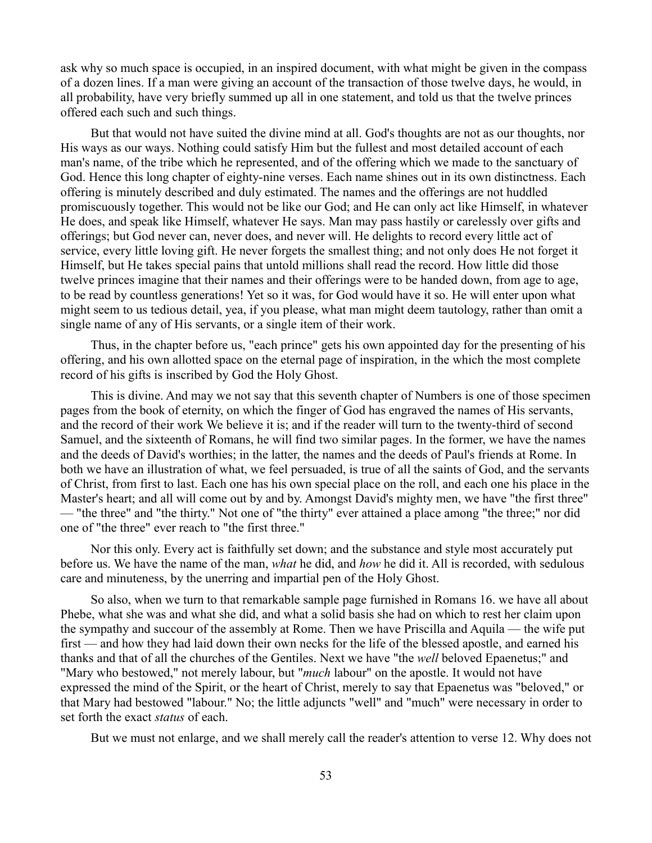ask why so much space is occupied, in an inspired document, with what might be given in the compass of a dozen lines. If a man were giving an account of the transaction of those twelve days, he would, in all probability, have very briefly summed up all in one statement, and told us that the twelve princes offered each such and such things.

But that would not have suited the divine mind at all. God's thoughts are not as our thoughts, nor His ways as our ways. Nothing could satisfy Him but the fullest and most detailed account of each man's name, of the tribe which he represented, and of the offering which we made to the sanctuary of God. Hence this long chapter of eighty-nine verses. Each name shines out in its own distinctness. Each offering is minutely described and duly estimated. The names and the offerings are not huddled promiscuously together. This would not be like our God; and He can only act like Himself, in whatever He does, and speak like Himself, whatever He says. Man may pass hastily or carelessly over gifts and offerings; but God never can, never does, and never will. He delights to record every little act of service, every little loving gift. He never forgets the smallest thing; and not only does He not forget it Himself, but He takes special pains that untold millions shall read the record. How little did those twelve princes imagine that their names and their offerings were to be handed down, from age to age, to be read by countless generations! Yet so it was, for God would have it so. He will enter upon what might seem to us tedious detail, yea, if you please, what man might deem tautology, rather than omit a single name of any of His servants, or a single item of their work.

Thus, in the chapter before us, "each prince" gets his own appointed day for the presenting of his offering, and his own allotted space on the eternal page of inspiration, in the which the most complete record of his gifts is inscribed by God the Holy Ghost.

This is divine. And may we not say that this seventh chapter of Numbers is one of those specimen pages from the book of eternity, on which the finger of God has engraved the names of His servants, and the record of their work We believe it is; and if the reader will turn to the twenty-third of second Samuel, and the sixteenth of Romans, he will find two similar pages. In the former, we have the names and the deeds of David's worthies; in the latter, the names and the deeds of Paul's friends at Rome. In both we have an illustration of what, we feel persuaded, is true of all the saints of God, and the servants of Christ, from first to last. Each one has his own special place on the roll, and each one his place in the Master's heart; and all will come out by and by. Amongst David's mighty men, we have "the first three" — "the three" and "the thirty." Not one of "the thirty" ever attained a place among "the three;" nor did one of "the three" ever reach to "the first three."

Nor this only. Every act is faithfully set down; and the substance and style most accurately put before us. We have the name of the man, *what* he did, and *how* he did it. All is recorded, with sedulous care and minuteness, by the unerring and impartial pen of the Holy Ghost.

So also, when we turn to that remarkable sample page furnished in Romans 16. we have all about Phebe, what she was and what she did, and what a solid basis she had on which to rest her claim upon the sympathy and succour of the assembly at Rome. Then we have Priscilla and Aquila — the wife put first — and how they had laid down their own necks for the life of the blessed apostle, and earned his thanks and that of all the churches of the Gentiles. Next we have "the *well* beloved Epaenetus;" and "Mary who bestowed," not merely labour, but "*much* labour" on the apostle. It would not have expressed the mind of the Spirit, or the heart of Christ, merely to say that Epaenetus was "beloved," or that Mary had bestowed "labour." No; the little adjuncts "well" and "much" were necessary in order to set forth the exact *status* of each.

But we must not enlarge, and we shall merely call the reader's attention to verse 12. Why does not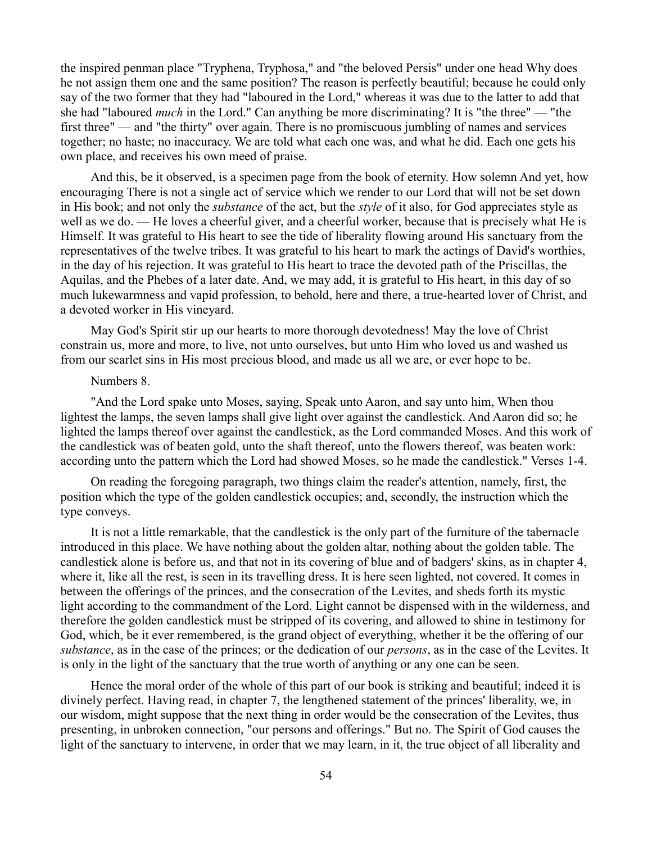the inspired penman place "Tryphena, Tryphosa," and "the beloved Persis" under one head Why does he not assign them one and the same position? The reason is perfectly beautiful; because he could only say of the two former that they had "laboured in the Lord," whereas it was due to the latter to add that she had "laboured *much* in the Lord." Can anything be more discriminating? It is "the three" — "the first three" — and "the thirty" over again. There is no promiscuous jumbling of names and services together; no haste; no inaccuracy. We are told what each one was, and what he did. Each one gets his own place, and receives his own meed of praise.

And this, be it observed, is a specimen page from the book of eternity. How solemn And yet, how encouraging There is not a single act of service which we render to our Lord that will not be set down in His book; and not only the *substance* of the act, but the *style* of it also, for God appreciates style as well as we do. — He loves a cheerful giver, and a cheerful worker, because that is precisely what He is Himself. It was grateful to His heart to see the tide of liberality flowing around His sanctuary from the representatives of the twelve tribes. It was grateful to his heart to mark the actings of David's worthies, in the day of his rejection. It was grateful to His heart to trace the devoted path of the Priscillas, the Aquilas, and the Phebes of a later date. And, we may add, it is grateful to His heart, in this day of so much lukewarmness and vapid profession, to behold, here and there, a true-hearted lover of Christ, and a devoted worker in His vineyard.

May God's Spirit stir up our hearts to more thorough devotedness! May the love of Christ constrain us, more and more, to live, not unto ourselves, but unto Him who loved us and washed us from our scarlet sins in His most precious blood, and made us all we are, or ever hope to be.

#### Numbers 8.

"And the Lord spake unto Moses, saying, Speak unto Aaron, and say unto him, When thou lightest the lamps, the seven lamps shall give light over against the candlestick. And Aaron did so; he lighted the lamps thereof over against the candlestick, as the Lord commanded Moses. And this work of the candlestick was of beaten gold, unto the shaft thereof, unto the flowers thereof, was beaten work: according unto the pattern which the Lord had showed Moses, so he made the candlestick." Verses 1-4.

On reading the foregoing paragraph, two things claim the reader's attention, namely, first, the position which the type of the golden candlestick occupies; and, secondly, the instruction which the type conveys.

It is not a little remarkable, that the candlestick is the only part of the furniture of the tabernacle introduced in this place. We have nothing about the golden altar, nothing about the golden table. The candlestick alone is before us, and that not in its covering of blue and of badgers' skins, as in chapter 4, where it, like all the rest, is seen in its travelling dress. It is here seen lighted, not covered. It comes in between the offerings of the princes, and the consecration of the Levites, and sheds forth its mystic light according to the commandment of the Lord. Light cannot be dispensed with in the wilderness, and therefore the golden candlestick must be stripped of its covering, and allowed to shine in testimony for God, which, be it ever remembered, is the grand object of everything, whether it be the offering of our *substance*, as in the case of the princes; or the dedication of our *persons*, as in the case of the Levites. It is only in the light of the sanctuary that the true worth of anything or any one can be seen.

Hence the moral order of the whole of this part of our book is striking and beautiful; indeed it is divinely perfect. Having read, in chapter 7, the lengthened statement of the princes' liberality, we, in our wisdom, might suppose that the next thing in order would be the consecration of the Levites, thus presenting, in unbroken connection, "our persons and offerings." But no. The Spirit of God causes the light of the sanctuary to intervene, in order that we may learn, in it, the true object of all liberality and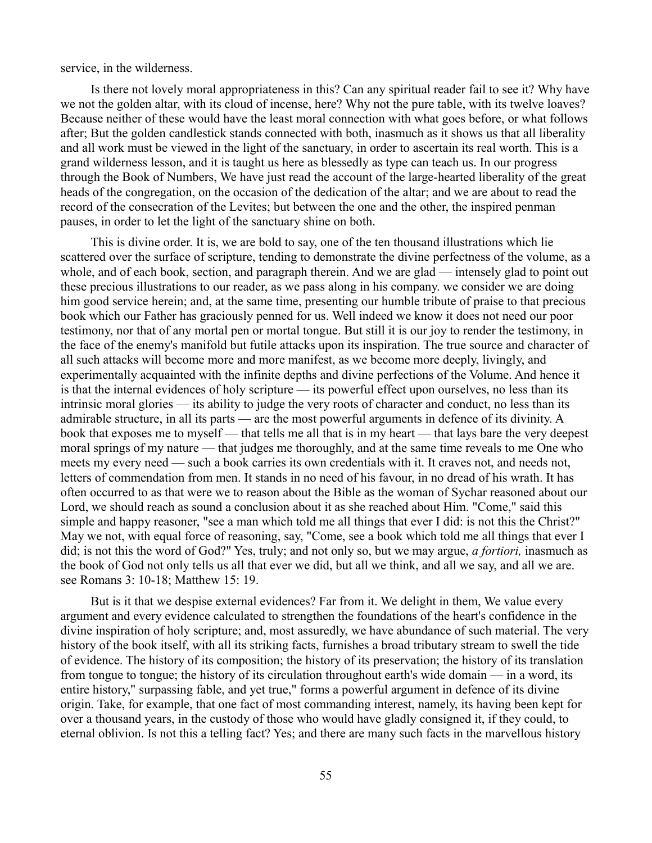service, in the wilderness.

Is there not lovely moral appropriateness in this? Can any spiritual reader fail to see it? Why have we not the golden altar, with its cloud of incense, here? Why not the pure table, with its twelve loaves? Because neither of these would have the least moral connection with what goes before, or what follows after; But the golden candlestick stands connected with both, inasmuch as it shows us that all liberality and all work must be viewed in the light of the sanctuary, in order to ascertain its real worth. This is a grand wilderness lesson, and it is taught us here as blessedly as type can teach us. In our progress through the Book of Numbers, We have just read the account of the large-hearted liberality of the great heads of the congregation, on the occasion of the dedication of the altar; and we are about to read the record of the consecration of the Levites; but between the one and the other, the inspired penman pauses, in order to let the light of the sanctuary shine on both.

This is divine order. It is, we are bold to say, one of the ten thousand illustrations which lie scattered over the surface of scripture, tending to demonstrate the divine perfectness of the volume, as a whole, and of each book, section, and paragraph therein. And we are glad — intensely glad to point out these precious illustrations to our reader, as we pass along in his company. we consider we are doing him good service herein; and, at the same time, presenting our humble tribute of praise to that precious book which our Father has graciously penned for us. Well indeed we know it does not need our poor testimony, nor that of any mortal pen or mortal tongue. But still it is our joy to render the testimony, in the face of the enemy's manifold but futile attacks upon its inspiration. The true source and character of all such attacks will become more and more manifest, as we become more deeply, livingly, and experimentally acquainted with the infinite depths and divine perfections of the Volume. And hence it is that the internal evidences of holy scripture — its powerful effect upon ourselves, no less than its intrinsic moral glories — its ability to judge the very roots of character and conduct, no less than its admirable structure, in all its parts — are the most powerful arguments in defence of its divinity. A book that exposes me to myself — that tells me all that is in my heart — that lays bare the very deepest moral springs of my nature — that judges me thoroughly, and at the same time reveals to me One who meets my every need — such a book carries its own credentials with it. It craves not, and needs not, letters of commendation from men. It stands in no need of his favour, in no dread of his wrath. It has often occurred to as that were we to reason about the Bible as the woman of Sychar reasoned about our Lord, we should reach as sound a conclusion about it as she reached about Him. "Come," said this simple and happy reasoner, "see a man which told me all things that ever I did: is not this the Christ?" May we not, with equal force of reasoning, say, "Come, see a book which told me all things that ever I did; is not this the word of God?" Yes, truly; and not only so, but we may argue, *a fortiori,* inasmuch as the book of God not only tells us all that ever we did, but all we think, and all we say, and all we are. see Romans 3: 10-18; Matthew 15: 19.

But is it that we despise external evidences? Far from it. We delight in them, We value every argument and every evidence calculated to strengthen the foundations of the heart's confidence in the divine inspiration of holy scripture; and, most assuredly, we have abundance of such material. The very history of the book itself, with all its striking facts, furnishes a broad tributary stream to swell the tide of evidence. The history of its composition; the history of its preservation; the history of its translation from tongue to tongue; the history of its circulation throughout earth's wide domain — in a word, its entire history," surpassing fable, and yet true," forms a powerful argument in defence of its divine origin. Take, for example, that one fact of most commanding interest, namely, its having been kept for over a thousand years, in the custody of those who would have gladly consigned it, if they could, to eternal oblivion. Is not this a telling fact? Yes; and there are many such facts in the marvellous history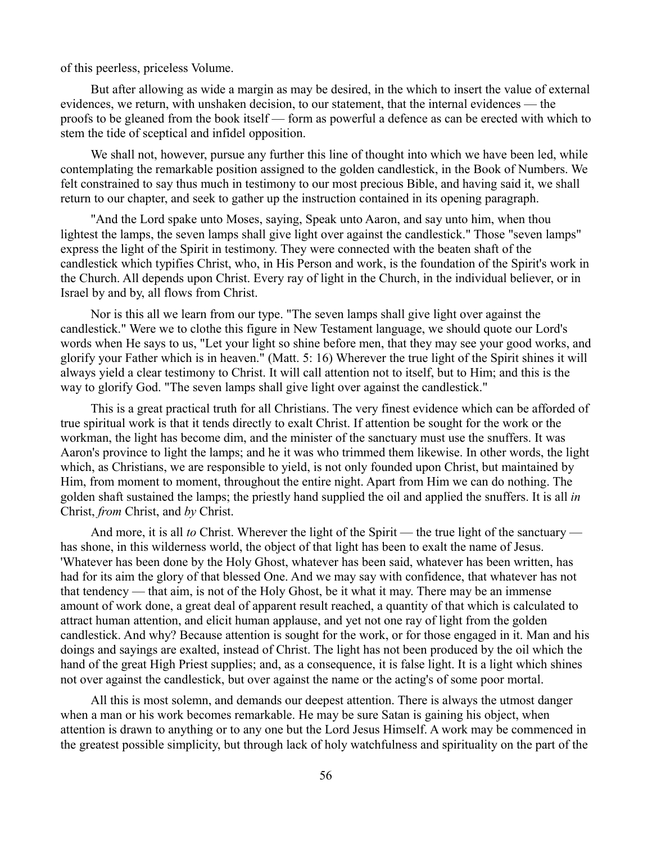of this peerless, priceless Volume.

But after allowing as wide a margin as may be desired, in the which to insert the value of external evidences, we return, with unshaken decision, to our statement, that the internal evidences — the proofs to be gleaned from the book itself — form as powerful a defence as can be erected with which to stem the tide of sceptical and infidel opposition.

We shall not, however, pursue any further this line of thought into which we have been led, while contemplating the remarkable position assigned to the golden candlestick, in the Book of Numbers. We felt constrained to say thus much in testimony to our most precious Bible, and having said it, we shall return to our chapter, and seek to gather up the instruction contained in its opening paragraph.

"And the Lord spake unto Moses, saying, Speak unto Aaron, and say unto him, when thou lightest the lamps, the seven lamps shall give light over against the candlestick." Those "seven lamps" express the light of the Spirit in testimony. They were connected with the beaten shaft of the candlestick which typifies Christ, who, in His Person and work, is the foundation of the Spirit's work in the Church. All depends upon Christ. Every ray of light in the Church, in the individual believer, or in Israel by and by, all flows from Christ.

Nor is this all we learn from our type. "The seven lamps shall give light over against the candlestick." Were we to clothe this figure in New Testament language, we should quote our Lord's words when He says to us, "Let your light so shine before men, that they may see your good works, and glorify your Father which is in heaven." (Matt. 5: 16) Wherever the true light of the Spirit shines it will always yield a clear testimony to Christ. It will call attention not to itself, but to Him; and this is the way to glorify God. "The seven lamps shall give light over against the candlestick."

This is a great practical truth for all Christians. The very finest evidence which can be afforded of true spiritual work is that it tends directly to exalt Christ. If attention be sought for the work or the workman, the light has become dim, and the minister of the sanctuary must use the snuffers. It was Aaron's province to light the lamps; and he it was who trimmed them likewise. In other words, the light which, as Christians, we are responsible to yield, is not only founded upon Christ, but maintained by Him, from moment to moment, throughout the entire night. Apart from Him we can do nothing. The golden shaft sustained the lamps; the priestly hand supplied the oil and applied the snuffers. It is all *in* Christ, *from* Christ, and *by* Christ.

And more, it is all *to* Christ. Wherever the light of the Spirit — the true light of the sanctuary has shone, in this wilderness world, the object of that light has been to exalt the name of Jesus. 'Whatever has been done by the Holy Ghost, whatever has been said, whatever has been written, has had for its aim the glory of that blessed One. And we may say with confidence, that whatever has not that tendency — that aim, is not of the Holy Ghost, be it what it may. There may be an immense amount of work done, a great deal of apparent result reached, a quantity of that which is calculated to attract human attention, and elicit human applause, and yet not one ray of light from the golden candlestick. And why? Because attention is sought for the work, or for those engaged in it. Man and his doings and sayings are exalted, instead of Christ. The light has not been produced by the oil which the hand of the great High Priest supplies; and, as a consequence, it is false light. It is a light which shines not over against the candlestick, but over against the name or the acting's of some poor mortal.

All this is most solemn, and demands our deepest attention. There is always the utmost danger when a man or his work becomes remarkable. He may be sure Satan is gaining his object, when attention is drawn to anything or to any one but the Lord Jesus Himself. A work may be commenced in the greatest possible simplicity, but through lack of holy watchfulness and spirituality on the part of the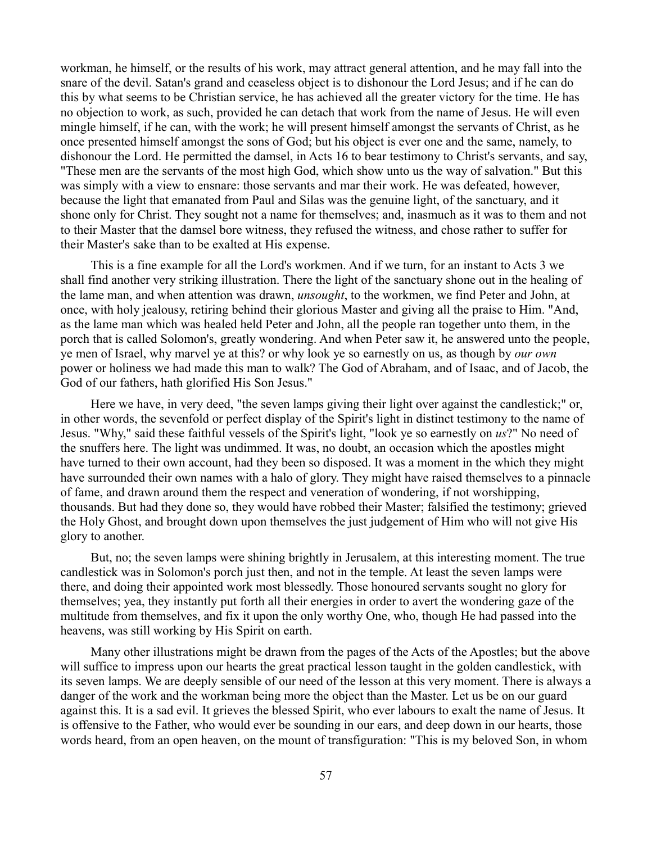workman, he himself, or the results of his work, may attract general attention, and he may fall into the snare of the devil. Satan's grand and ceaseless object is to dishonour the Lord Jesus; and if he can do this by what seems to be Christian service, he has achieved all the greater victory for the time. He has no objection to work, as such, provided he can detach that work from the name of Jesus. He will even mingle himself, if he can, with the work; he will present himself amongst the servants of Christ, as he once presented himself amongst the sons of God; but his object is ever one and the same, namely, to dishonour the Lord. He permitted the damsel, in Acts 16 to bear testimony to Christ's servants, and say, "These men are the servants of the most high God, which show unto us the way of salvation." But this was simply with a view to ensnare: those servants and mar their work. He was defeated, however, because the light that emanated from Paul and Silas was the genuine light, of the sanctuary, and it shone only for Christ. They sought not a name for themselves; and, inasmuch as it was to them and not to their Master that the damsel bore witness, they refused the witness, and chose rather to suffer for their Master's sake than to be exalted at His expense.

This is a fine example for all the Lord's workmen. And if we turn, for an instant to Acts 3 we shall find another very striking illustration. There the light of the sanctuary shone out in the healing of the lame man, and when attention was drawn, *unsought*, to the workmen, we find Peter and John, at once, with holy jealousy, retiring behind their glorious Master and giving all the praise to Him. "And, as the lame man which was healed held Peter and John, all the people ran together unto them, in the porch that is called Solomon's, greatly wondering. And when Peter saw it, he answered unto the people, ye men of Israel, why marvel ye at this? or why look ye so earnestly on us, as though by *our own* power or holiness we had made this man to walk? The God of Abraham, and of Isaac, and of Jacob, the God of our fathers, hath glorified His Son Jesus."

Here we have, in very deed, "the seven lamps giving their light over against the candlestick;" or, in other words, the sevenfold or perfect display of the Spirit's light in distinct testimony to the name of Jesus. "Why," said these faithful vessels of the Spirit's light, "look ye so earnestly on *us*?" No need of the snuffers here. The light was undimmed. It was, no doubt, an occasion which the apostles might have turned to their own account, had they been so disposed. It was a moment in the which they might have surrounded their own names with a halo of glory. They might have raised themselves to a pinnacle of fame, and drawn around them the respect and veneration of wondering, if not worshipping, thousands. But had they done so, they would have robbed their Master; falsified the testimony; grieved the Holy Ghost, and brought down upon themselves the just judgement of Him who will not give His glory to another.

But, no; the seven lamps were shining brightly in Jerusalem, at this interesting moment. The true candlestick was in Solomon's porch just then, and not in the temple. At least the seven lamps were there, and doing their appointed work most blessedly. Those honoured servants sought no glory for themselves; yea, they instantly put forth all their energies in order to avert the wondering gaze of the multitude from themselves, and fix it upon the only worthy One, who, though He had passed into the heavens, was still working by His Spirit on earth.

Many other illustrations might be drawn from the pages of the Acts of the Apostles; but the above will suffice to impress upon our hearts the great practical lesson taught in the golden candlestick, with its seven lamps. We are deeply sensible of our need of the lesson at this very moment. There is always a danger of the work and the workman being more the object than the Master. Let us be on our guard against this. It is a sad evil. It grieves the blessed Spirit, who ever labours to exalt the name of Jesus. It is offensive to the Father, who would ever be sounding in our ears, and deep down in our hearts, those words heard, from an open heaven, on the mount of transfiguration: "This is my beloved Son, in whom